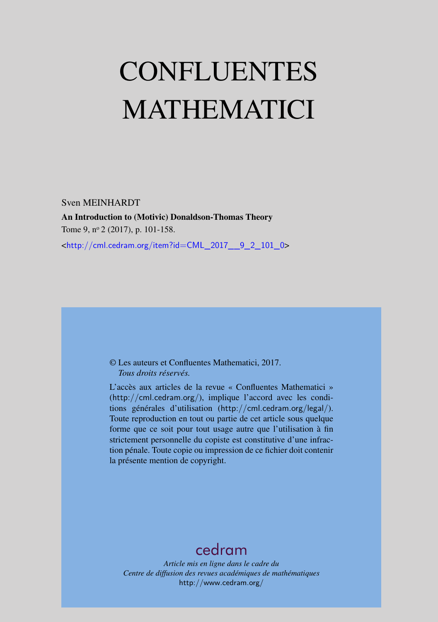# <span id="page-0-0"></span>CONFLUENTES MATHEMATICI

Sven MEINHARDT An Introduction to (Motivic) Donaldson-Thomas Theory Tome 9, nº 2 (2017), p. 101-158. <[http://cml.cedram.org/item?id=CML\\_2017\\_\\_9\\_2\\_101\\_0](http://cml.cedram.org/item?id=CML_2017__9_2_101_0)>

### © Les auteurs et Confluentes Mathematici, 2017. *Tous droits réservés.*

L'accès aux articles de la revue « Confluentes Mathematici » (<http://cml.cedram.org/>), implique l'accord avec les conditions générales d'utilisation (<http://cml.cedram.org/legal/>). Toute reproduction en tout ou partie de cet article sous quelque forme que ce soit pour tout usage autre que l'utilisation à fin strictement personnelle du copiste est constitutive d'une infraction pénale. Toute copie ou impression de ce fichier doit contenir la présente mention de copyright.

# [cedram](http://www.cedram.org/)

*Article mis en ligne dans le cadre du Centre de diffusion des revues académiques de mathématiques* <http://www.cedram.org/>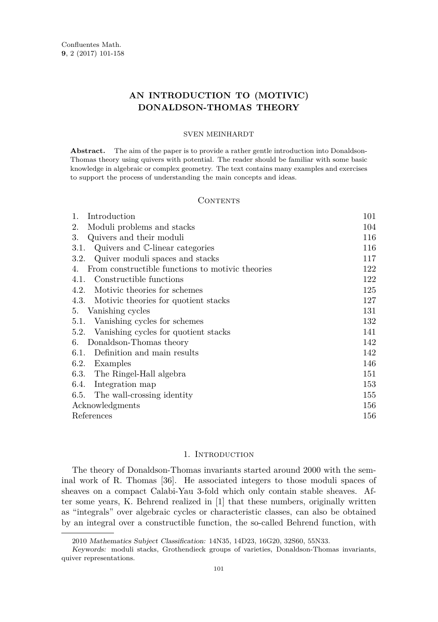## **AN INTRODUCTION TO (MOTIVIC) DONALDSON-THOMAS THEORY**

#### SVEN MEINHARDT

**Abstract.** The aim of the paper is to provide a rather gentle introduction into Donaldson-Thomas theory using quivers with potential. The reader should be familiar with some basic knowledge in algebraic or complex geometry. The text contains many examples and exercises to support the process of understanding the main concepts and ideas.

#### CONTENTS

| 1.<br>Introduction                                     | 101 |
|--------------------------------------------------------|-----|
| Moduli problems and stacks<br>2.                       | 104 |
| 3.<br>Quivers and their moduli                         | 116 |
| Quivers and C-linear categories<br>3.1.                | 116 |
| Quiver moduli spaces and stacks<br>3.2.                | 117 |
| From constructible functions to motivic theories<br>4. | 122 |
| Constructible functions<br>4.1.                        | 122 |
| Motivic theories for schemes<br>4.2.                   | 125 |
| 4.3. Motivic theories for quotient stacks              | 127 |
| 5. Vanishing cycles                                    | 131 |
| Vanishing cycles for schemes<br>5.1.                   | 132 |
| Vanishing cycles for quotient stacks<br>5.2.           | 141 |
| Donaldson-Thomas theory<br>6.                          | 142 |
| 6.1. Definition and main results                       | 142 |
| 6.2. Examples                                          | 146 |
| 6.3. The Ringel-Hall algebra                           | 151 |
| 6.4. Integration map                                   | 153 |
| 6.5. The wall-crossing identity                        | 155 |
| Acknowledgments                                        | 156 |
| References                                             | 156 |

#### 1. INTRODUCTION

<span id="page-1-0"></span>The theory of Donaldson-Thomas invariants started around 2000 with the seminal work of R. Thomas [\[36\]](#page-57-0). He associated integers to those moduli spaces of sheaves on a compact Calabi-Yau 3-fold which only contain stable sheaves. After some years, K. Behrend realized in [\[1\]](#page-56-2) that these numbers, originally written as "integrals" over algebraic cycles or characteristic classes, can also be obtained by an integral over a constructible function, the so-called Behrend function, with

<sup>2010</sup> Mathematics Subject Classification: 14N35, 14D23, 16G20, 32S60, 55N33.

Keywords: moduli stacks, Grothendieck groups of varieties, Donaldson-Thomas invariants, quiver representations.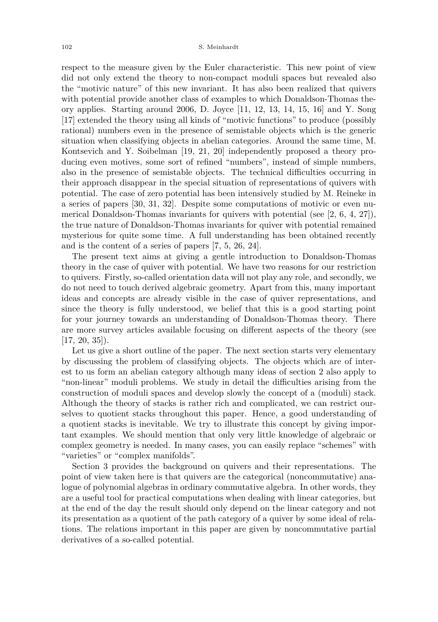respect to the measure given by the Euler characteristic. This new point of view did not only extend the theory to non-compact moduli spaces but revealed also the "motivic nature" of this new invariant. It has also been realized that quivers with potential provide another class of examples to which Donaldson-Thomas theory applies. Starting around 2006, D. Joyce [\[11,](#page-56-3) [12,](#page-56-4) [13,](#page-57-1) [14,](#page-57-2) [15,](#page-57-3) [16\]](#page-57-4) and Y. Song [\[17\]](#page-57-5) extended the theory using all kinds of "motivic functions" to produce (possibly rational) numbers even in the presence of semistable objects which is the generic situation when classifying objects in abelian categories. Around the same time, M. Kontsevich and Y. Soibelman [\[19,](#page-57-6) [21,](#page-57-7) [20\]](#page-57-8) independently proposed a theory producing even motives, some sort of refined "numbers", instead of simple numbers, also in the presence of semistable objects. The technical difficulties occurring in their approach disappear in the special situation of representations of quivers with potential. The case of zero potential has been intensively studied by M. Reineke in a series of papers [\[30,](#page-57-9) [31,](#page-57-10) [32\]](#page-57-11). Despite some computations of motivic or even numerical Donaldson-Thomas invariants for quivers with potential (see [\[2,](#page-56-5) [6,](#page-56-6) [4,](#page-56-7) [27\]](#page-57-12)), the true nature of Donaldson-Thomas invariants for quiver with potential remained mysterious for quite some time. A full understanding has been obtained recently and is the content of a series of papers [\[7,](#page-56-8) [5,](#page-56-9) [26,](#page-57-13) [24\]](#page-57-14).

The present text aims at giving a gentle introduction to Donaldson-Thomas theory in the case of quiver with potential. We have two reasons for our restriction to quivers. Firstly, so-called orientation data will not play any role, and secondly, we do not need to touch derived algebraic geometry. Apart from this, many important ideas and concepts are already visible in the case of quiver representations, and since the theory is fully understood, we belief that this is a good starting point for your journey towards an understanding of Donaldson-Thomas theory. There are more survey articles available focusing on different aspects of the theory (see [\[17,](#page-57-5) [20,](#page-57-8) [35\]](#page-57-15)).

Let us give a short outline of the paper. The next section starts very elementary by discussing the problem of classifying objects. The objects which are of interest to us form an abelian category although many ideas of section 2 also apply to "non-linear" moduli problems. We study in detail the difficulties arising from the construction of moduli spaces and develop slowly the concept of a (moduli) stack. Although the theory of stacks is rather rich and complicated, we can restrict ourselves to quotient stacks throughout this paper. Hence, a good understanding of a quotient stacks is inevitable. We try to illustrate this concept by giving important examples. We should mention that only very little knowledge of algebraic or complex geometry is needed. In many cases, you can easily replace "schemes" with "varieties" or "complex manifolds".

Section 3 provides the background on quivers and their representations. The point of view taken here is that quivers are the categorical (noncommutative) analogue of polynomial algebras in ordinary commutative algebra. In other words, they are a useful tool for practical computations when dealing with linear categories, but at the end of the day the result should only depend on the linear category and not its presentation as a quotient of the path category of a quiver by some ideal of relations. The relations important in this paper are given by noncommutative partial derivatives of a so-called potential.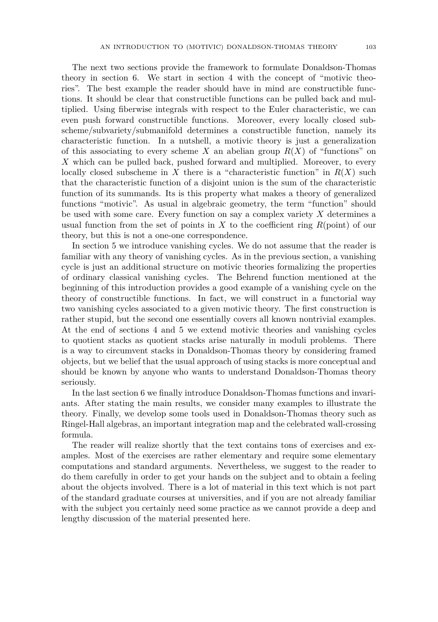The next two sections provide the framework to formulate Donaldson-Thomas theory in section 6. We start in section 4 with the concept of "motivic theories". The best example the reader should have in mind are constructible functions. It should be clear that constructible functions can be pulled back and multiplied. Using fiberwise integrals with respect to the Euler characteristic, we can even push forward constructible functions. Moreover, every locally closed subscheme/subvariety/submanifold determines a constructible function, namely its characteristic function. In a nutshell, a motivic theory is just a generalization of this associating to every scheme X an abelian group  $R(X)$  of "functions" on *X* which can be pulled back, pushed forward and multiplied. Moreover, to every locally closed subscheme in *X* there is a "characteristic function" in  $R(X)$  such that the characteristic function of a disjoint union is the sum of the characteristic function of its summands. Its is this property what makes a theory of generalized functions "motivic". As usual in algebraic geometry, the term "function" should be used with some care. Every function on say a complex variety *X* determines a usual function from the set of points in *X* to the coefficient ring *R*(point) of our theory, but this is not a one-one correspondence.

In section 5 we introduce vanishing cycles. We do not assume that the reader is familiar with any theory of vanishing cycles. As in the previous section, a vanishing cycle is just an additional structure on motivic theories formalizing the properties of ordinary classical vanishing cycles. The Behrend function mentioned at the beginning of this introduction provides a good example of a vanishing cycle on the theory of constructible functions. In fact, we will construct in a functorial way two vanishing cycles associated to a given motivic theory. The first construction is rather stupid, but the second one essentially covers all known nontrivial examples. At the end of sections 4 and 5 we extend motivic theories and vanishing cycles to quotient stacks as quotient stacks arise naturally in moduli problems. There is a way to circumvent stacks in Donaldson-Thomas theory by considering framed objects, but we belief that the usual approach of using stacks is more conceptual and should be known by anyone who wants to understand Donaldson-Thomas theory seriously.

In the last section 6 we finally introduce Donaldson-Thomas functions and invariants. After stating the main results, we consider many examples to illustrate the theory. Finally, we develop some tools used in Donaldson-Thomas theory such as Ringel-Hall algebras, an important integration map and the celebrated wall-crossing formula.

The reader will realize shortly that the text contains tons of exercises and examples. Most of the exercises are rather elementary and require some elementary computations and standard arguments. Nevertheless, we suggest to the reader to do them carefully in order to get your hands on the subject and to obtain a feeling about the objects involved. There is a lot of material in this text which is not part of the standard graduate courses at universities, and if you are not already familiar with the subject you certainly need some practice as we cannot provide a deep and lengthy discussion of the material presented here.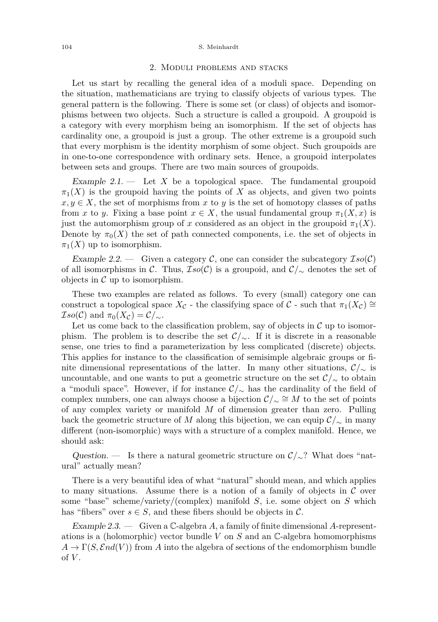#### <span id="page-4-0"></span>104 S. Meinhardt

#### 2. Moduli problems and stacks

Let us start by recalling the general idea of a moduli space. Depending on the situation, mathematicians are trying to classify objects of various types. The general pattern is the following. There is some set (or class) of objects and isomorphisms between two objects. Such a structure is called a groupoid. A groupoid is a category with every morphism being an isomorphism. If the set of objects has cardinality one, a groupoid is just a group. The other extreme is a groupoid such that every morphism is the identity morphism of some object. Such groupoids are in one-to-one correspondence with ordinary sets. Hence, a groupoid interpolates between sets and groups. There are two main sources of groupoids.

Example  $2.1$ .  $\qquad$  Let X be a topological space. The fundamental groupoid  $\pi_1(X)$  is the groupoid having the points of X as objects, and given two points  $x, y \in X$ , the set of morphisms from x to y is the set of homotopy classes of paths from *x* to *y*. Fixing a base point  $x \in X$ , the usual fundamental group  $\pi_1(X, x)$  is just the automorphism group of *x* considered as an object in the groupoid  $\pi_1(X)$ . Denote by  $\pi_0(X)$  the set of path connected components, i.e. the set of objects in  $\pi_1(X)$  up to isomorphism.

Example 2.2. — Given a category  $\mathcal{C}$ , one can consider the subcategory  $\mathcal{I}so(\mathcal{C})$ of all isomorphisms in C. Thus,  $Iso(C)$  is a groupoid, and  $C/\sim$  denotes the set of objects in  $\mathcal C$  up to isomorphism.

These two examples are related as follows. To every (small) category one can construct a topological space  $X_c$  - the classifying space of C - such that  $\pi_1(X_c) \cong$  $\mathcal{I}so(\mathcal{C})$  and  $\pi_0(X_{\mathcal{C}}) = \mathcal{C}/\mathcal{L}$ .

Let us come back to the classification problem, say of objects in  $\mathcal C$  up to isomorphism. The problem is to describe the set  $\mathcal{C}/\sim$ . If it is discrete in a reasonable sense, one tries to find a parameterization by less complicated (discrete) objects. This applies for instance to the classification of semisimple algebraic groups or finite dimensional representations of the latter. In many other situations,  $\mathcal{C}/\sim$  is uncountable, and one wants to put a geometric structure on the set  $\mathcal{C}/\sim$  to obtain a "moduli space". However, if for instance C*/*<sup>∼</sup> has the cardinality of the field of complex numbers, one can always choose a bijection  $\mathcal{C}/\mathcal{Z} \cong M$  to the set of points of any complex variety or manifold *M* of dimension greater than zero. Pulling back the geometric structure of *M* along this bijection, we can equip  $\mathcal{C}/\sim$  in many different (non-isomorphic) ways with a structure of a complex manifold. Hence, we should ask:

Question. — Is there a natural geometric structure on  $\mathcal{C}/\sim$ ? What does "natural" actually mean?

There is a very beautiful idea of what "natural" should mean, and which applies to many situations. Assume there is a notion of a family of objects in  $\mathcal C$  over some "base" scheme/variety/(complex) manifold *S*, i.e. some object on *S* which has "fibers" over  $s \in S$ , and these fibers should be objects in C.

Example 2.3. — Given a C-algebra *A*, a family of finite dimensional *A*-representations is a (holomorphic) vector bundle *V* on *S* and an C-algebra homomorphisms  $A \to \Gamma(S, \mathcal{E}nd(V))$  from *A* into the algebra of sections of the endomorphism bundle of *V* .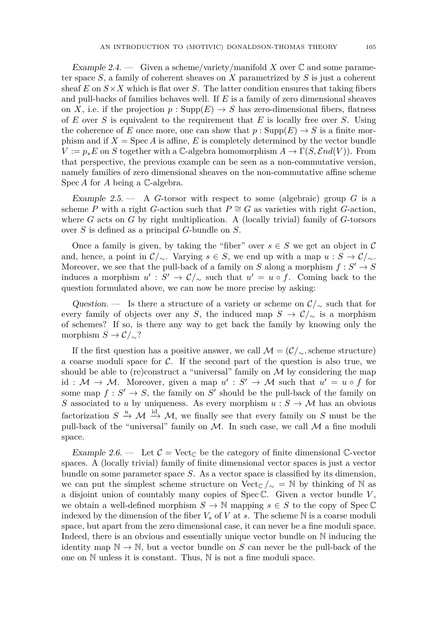Example 2.4. — Given a scheme/variety/manifold X over  $\mathbb C$  and some parameter space *S*, a family of coherent sheaves on *X* parametrized by *S* is just a coherent sheaf  $E$  on  $S \times X$  which is flat over  $S$ . The latter condition ensures that taking fibers and pull-backs of families behaves well. If *E* is a family of zero dimensional sheaves on *X*, i.e. if the projection  $p : \text{Supp}(E) \to S$  has zero-dimensional fibers, flatness of *E* over *S* is equivalent to the requirement that *E* is locally free over *S*. Using the coherence of *E* once more, one can show that  $p : \text{Supp}(E) \to S$  is a finite morphism and if  $X = \text{Spec } A$  is affine, E is completely determined by the vector bundle  $V := p_* E$  on *S* together with a C-algebra homomorphism  $A \to \Gamma(S, \mathcal{E}nd(V))$ . From that perspective, the previous example can be seen as a non-commutative version, namely families of zero dimensional sheaves on the non-commutative affine scheme Spec *A* for *A* being a C-algebra.

Example 2.5. — A *G*-torsor with respect to some (algebraic) group *G* is a scheme *P* with a right *G*-action such that  $P \cong G$  as varieties with right *G*-action, where *G* acts on *G* by right multiplication. A (locally trivial) family of *G*-torsors over *S* is defined as a principal *G*-bundle on *S*.

Once a family is given, by taking the "fiber" over  $s \in S$  we get an object in C and, hence, a point in  $\mathcal{C}/\sim$ . Varying  $s \in S$ , we end up with a map  $u : S \to \mathcal{C}/\sim$ . Moreover, we see that the pull-back of a family on *S* along a morphism  $f : S' \to S$ induces a morphism  $u' : S' \to \mathcal{C}/_{\sim}$  such that  $u' = u \circ f$ . Coming back to the question formulated above, we can now be more precise by asking:

Question. — Is there a structure of a variety or scheme on  $\mathcal{C}/_{\sim}$  such that for every family of objects over any *S*, the induced map  $S \to \mathcal{C}/\sim$  is a morphism of schemes? If so, is there any way to get back the family by knowing only the morphism  $S \to \mathcal{C}/\mathcal{L}$ ?

If the first question has a positive answer, we call  $\mathcal{M} = (\mathcal{C}/_{\sim},\text{scheme structure})$ a coarse moduli space for  $\mathcal{C}$ . If the second part of the question is also true, we should be able to (re)construct a "universal" family on  $\mathcal M$  by considering the map id :  $M \to M$ . Moreover, given a map  $u' : S' \to M$  such that  $u' = u \circ f$  for some map  $f: S' \to S$ , the family on  $S'$  should be the pull-back of the family on *S* associated to *u* by uniqueness. As every morphism  $u : S \to M$  has an obvious factorization  $S \stackrel{u}{\rightarrow} \mathcal{M} \stackrel{\text{id}}{\rightarrow} \mathcal{M}$ , we finally see that every family on  $S$  must be the pull-back of the "universal" family on  $M$ . In such case, we call  $M$  a fine moduli space.

Example 2.6. — Let  $C = \text{Vect}_{\mathbb{C}}$  be the category of finite dimensional  $\mathbb{C}\text{-vector}$ spaces. A (locally trivial) family of finite dimensional vector spaces is just a vector bundle on some parameter space *S*. As a vector space is classified by its dimension, we can put the simplest scheme structure on Vect<sub>C</sub>  $/$ <sub>∼</sub> = N by thinking of N as a disjoint union of countably many copies of Spec C. Given a vector bundle *V* , we obtain a well-defined morphism  $S \to \mathbb{N}$  mapping  $s \in S$  to the copy of Spec  $\mathbb{C}$ indexed by the dimension of the fiber  $V_s$  of  $V$  at  $s$ . The scheme  $\mathbb N$  is a coarse moduli space, but apart from the zero dimensional case, it can never be a fine moduli space. Indeed, there is an obvious and essentially unique vector bundle on N inducing the identity map  $\mathbb{N} \to \mathbb{N}$ , but a vector bundle on *S* can never be the pull-back of the one on N unless it is constant. Thus, N is not a fine moduli space.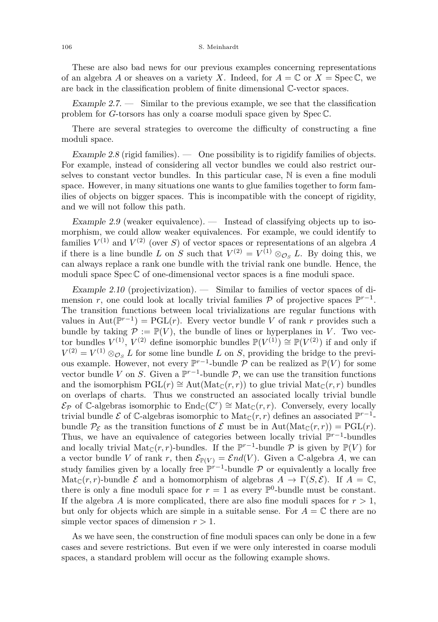#### 106 S. Meinhardt

These are also bad news for our previous examples concerning representations of an algebra A or sheaves on a variety X. Indeed, for  $A = \mathbb{C}$  or  $X = \text{Spec } \mathbb{C}$ , we are back in the classification problem of finite dimensional C-vector spaces.

Example 2.7. — Similar to the previous example, we see that the classification problem for *G*-torsors has only a coarse moduli space given by Spec C.

There are several strategies to overcome the difficulty of constructing a fine moduli space.

Example 2.8 (rigid families).  $\qquad$  One possibility is to rigidify families of objects. For example, instead of considering all vector bundles we could also restrict ourselves to constant vector bundles. In this particular case,  $\mathbb N$  is even a fine moduli space. However, in many situations one wants to glue families together to form families of objects on bigger spaces. This is incompatible with the concept of rigidity, and we will not follow this path.

Example 2.9 (weaker equivalence). — Instead of classifying objects up to isomorphism, we could allow weaker equivalences. For example, we could identify to families  $V^{(1)}$  and  $V^{(2)}$  (over *S*) of vector spaces or representations of an algebra *A* if there is a line bundle *L* on *S* such that  $V^{(2)} = V^{(1)} \otimes_{\mathcal{O}_S} L$ . By doing this, we can always replace a rank one bundle with the trivial rank one bundle. Hence, the moduli space  $Spec \mathbb{C}$  of one-dimensional vector spaces is a fine moduli space.

<span id="page-6-0"></span>Example 2.10 (projectivization).  $\qquad$  Similar to families of vector spaces of dimension *r*, one could look at locally trivial families  $P$  of projective spaces  $\mathbb{P}^{r-1}$ . The transition functions between local trivializations are regular functions with values in  $Aut(\mathbb{P}^{r-1}) = PGL(r)$ . Every vector bundle *V* of rank *r* provides such a bundle by taking  $\mathcal{P} := \mathbb{P}(V)$ , the bundle of lines or hyperplanes in *V*. Two vector bundles  $V^{(1)}$ ,  $V^{(2)}$  define isomorphic bundles  $\mathbb{P}(V^{(1)}) \cong \mathbb{P}(V^{(2)})$  if and only if  $V^{(2)} = V^{(1)} \otimes_{\mathcal{O}_S} L$  for some line bundle *L* on *S*, providing the bridge to the previous example. However, not every  $\mathbb{P}^{r-1}$ -bundle P can be realized as  $\mathbb{P}(V)$  for some vector bundle *V* on *S*. Given a  $\mathbb{P}^{r-1}$ -bundle *P*, we can use the transition functions and the isomorphism  $PGL(r) \cong Aut(Mat_{\mathbb{C}}(r,r))$  to glue trivial  $Mat_{\mathbb{C}}(r,r)$  bundles on overlaps of charts. Thus we constructed an associated locally trivial bundle  $\mathcal{E}_{\mathcal{P}}$  of  $\mathbb{C}\text{-algebras isomorphic to } \text{End}_{\mathbb{C}}(\mathbb{C}^r) \cong \text{Mat}_{\mathbb{C}}(r,r)$ . Conversely, every locally trivial bundle  $\mathcal E$  of  $\mathbb C$ -algebras isomorphic to  $\mathrm{Mat}_{\mathbb C}(r,r)$  defines an associated  $\mathbb P^{r-1}$ bundle  $\mathcal{P}_{\mathcal{E}}$  as the transition functions of  $\mathcal{E}$  must be in Aut(Mat<sub>C</sub>(*r, r*)) = PGL(*r*). Thus, we have an equivalence of categories between locally trivial  $\mathbb{P}^{r-1}$ -bundles and locally trivial  $\text{Mat}_{\mathbb{C}}(r,r)$ -bundles. If the  $\mathbb{P}^{r-1}$ -bundle  $\mathcal P$  is given by  $\mathbb{P}(V)$  for a vector bundle *V* of rank *r*, then  $\mathcal{E}_{\mathbb{P}(V)} = \mathcal{E}nd(V)$ . Given a C-algebra *A*, we can study families given by a locally free  $\mathbb{P}^{r-1}$ -bundle P or equivalently a locally free Mat<sub>C</sub>(*r, r*)-bundle  $\mathcal E$  and a homomorphism of algebras  $A \to \Gamma(S, \mathcal E)$ . If  $A = \mathbb C$ , there is only a fine moduli space for  $r = 1$  as every  $\mathbb{P}^0$ -bundle must be constant. If the algebra *A* is more complicated, there are also fine moduli spaces for  $r > 1$ , but only for objects which are simple in a suitable sense. For  $A = \mathbb{C}$  there are no simple vector spaces of dimension  $r > 1$ .

As we have seen, the construction of fine moduli spaces can only be done in a few cases and severe restrictions. But even if we were only interested in coarse moduli spaces, a standard problem will occur as the following example shows.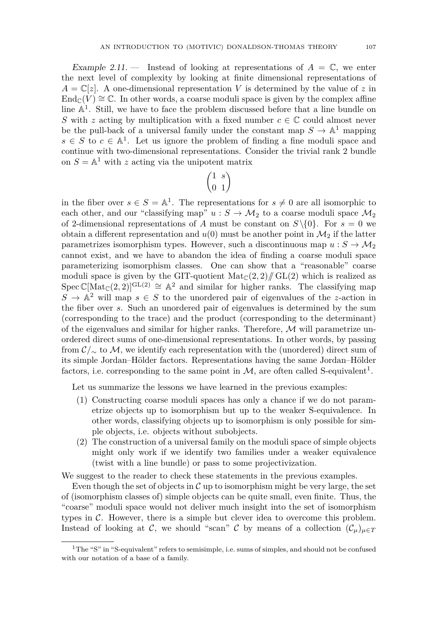<span id="page-7-0"></span>Example 2.11.  $\qquad$  Instead of looking at representations of  $A = \mathbb{C}$ , we enter the next level of complexity by looking at finite dimensional representations of  $A = \mathbb{C}[z]$ . A one-dimensional representation *V* is determined by the value of *z* in  $\text{End}_{\mathbb{C}}(V) \cong \mathbb{C}$ . In other words, a coarse moduli space is given by the complex affine line  $\mathbb{A}^1$ . Still, we have to face the problem discussed before that a line bundle on *S* with *z* acting by multiplication with a fixed number  $c \in \mathbb{C}$  could almost never be the pull-back of a universal family under the constant map  $S \to \mathbb{A}^1$  mapping  $s \in S$  to  $c \in \mathbb{A}^1$ . Let us ignore the problem of finding a fine moduli space and continue with two-dimensional representations. Consider the trivial rank 2 bundle on  $S = \mathbb{A}^1$  with z acting via the unipotent matrix

$$
\begin{pmatrix} 1 & s \\ 0 & 1 \end{pmatrix}
$$

in the fiber over  $s \in S = \mathbb{A}^1$ . The representations for  $s \neq 0$  are all isomorphic to each other, and our "classifying map"  $u : S \to M_2$  to a coarse moduli space  $M_2$ of 2-dimensional representations of *A* must be constant on  $S \setminus \{0\}$ . For  $s = 0$  we obtain a different representation and  $u(0)$  must be another point in  $\mathcal{M}_2$  if the latter parametrizes isomorphism types. However, such a discontinuous map  $u : S \to M_2$ cannot exist, and we have to abandon the idea of finding a coarse moduli space parameterizing isomorphism classes. One can show that a "reasonable" coarse moduli space is given by the GIT-quotient  $\text{Mat}_{\mathbb{C}}(2,2)/\!/\!\!/ \text{GL}(2)$  which is realized as Spec  $\mathbb{C}[\text{Mat}_{\mathbb{C}}(2,2)]^{\text{GL}(2)} \cong \mathbb{A}^2$  and similar for higher ranks. The classifying map  $S \to \mathbb{A}^2$  will map  $s \in S$  to the unordered pair of eigenvalues of the *z*-action in the fiber over *s*. Such an unordered pair of eigenvalues is determined by the sum (corresponding to the trace) and the product (corresponding to the determinant) of the eigenvalues and similar for higher ranks. Therefore,  $\mathcal M$  will parametrize unordered direct sums of one-dimensional representations. In other words, by passing from C*/*<sup>∼</sup> to M, we identify each representation with the (unordered) direct sum of its simple Jordan–Hölder factors. Representations having the same Jordan–Hölder factors, i.e. corresponding to the same point in  $M$ , are often called S-equivalent<sup>1</sup>.

Let us summarize the lessons we have learned in the previous examples:

- (1) Constructing coarse moduli spaces has only a chance if we do not parametrize objects up to isomorphism but up to the weaker S-equivalence. In other words, classifying objects up to isomorphism is only possible for simple objects, i.e. objects without subobjects.
- (2) The construction of a universal family on the moduli space of simple objects might only work if we identify two families under a weaker equivalence (twist with a line bundle) or pass to some projectivization.

We suggest to the reader to check these statements in the previous examples.

Even though the set of objects in  $\mathcal C$  up to isomorphism might be very large, the set of (isomorphism classes of) simple objects can be quite small, even finite. Thus, the "coarse" moduli space would not deliver much insight into the set of isomorphism types in  $C$ . However, there is a simple but clever idea to overcome this problem. Instead of looking at C, we should "scan" C by means of a collection  $(C_\mu)_{\mu \in \mathcal{T}}$ 

<sup>&</sup>lt;sup>1</sup>The "S" in "S-equivalent" refers to semisimple, i.e. sums of simples, and should not be confused with our notation of a base of a family.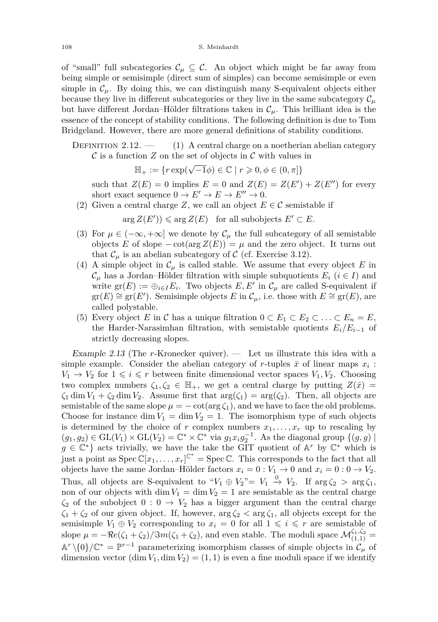of "small" full subcategories  $\mathcal{C}_{\mu} \subseteq \mathcal{C}$ . An object which might be far away from being simple or semisimple (direct sum of simples) can become semisimple or even simple in  $\mathcal{C}_{\mu}$ . By doing this, we can distinguish many S-equivalent objects either because they live in different subcategories or they live in the same subcategory  $\mathcal{C}_{\mu}$ but have different Jordan–Hölder filtrations taken in C*µ*. This brilliant idea is the essence of the concept of stability conditions. The following definition is due to Tom Bridgeland. However, there are more general definitions of stability conditions.

DEFINITION  $2.12.$   $\qquad$  (1) A central charge on a noetherian abelian category  $\mathcal C$  is a function  $Z$  on the set of objects in  $\mathcal C$  with values in

$$
\mathbb{H}_{+} := \{ r \exp(\sqrt{-1}\phi) \in \mathbb{C} \mid r \geqslant 0, \phi \in (0, \pi] \}
$$

such that  $Z(E) = 0$  implies  $E = 0$  and  $Z(E) = Z(E') + Z(E'')$  for every short exact sequence  $0 \to E' \to E \to E'' \to 0$ .

(2) Given a central charge *Z*, we call an object  $E \in \mathcal{C}$  semistable if

 $\arg Z(E')$ )  $\leq$   $\arg Z(E)$  for all subobjects  $E' \subset E$ .

- (3) For  $\mu \in (-\infty, +\infty]$  we denote by  $\mathcal{C}_{\mu}$  the full subcategory of all semistable objects *E* of slope  $-\cot(\arg Z(E)) = \mu$  and the zero object. It turns out that  $\mathcal{C}_{\mu}$  is an abelian subcategory of  $\mathcal{C}$  (cf. Exercise [3.12\)](#page-20-0).
- (4) A simple object in  $\mathcal{C}_{\mu}$  is called stable. We assume that every object *E* in  $\mathcal{C}_{\mu}$  has a Jordan–Hölder filtration with simple subquotients  $E_i$  ( $i \in I$ ) and write  $gr(E) := \bigoplus_{i \in I} E_i$ . Two objects  $E, E'$  in  $\mathcal{C}_{\mu}$  are called S-equivalent if  $gr(E) \cong gr(E')$ . Semisimple objects *E* in  $\mathcal{C}_{\mu}$ , i.e. those with  $E \cong gr(E)$ , are called polystable.
- (5) Every object *E* in *C* has a unique filtration  $0 \subset E_1 \subset E_2 \subset \ldots \subset E_n = E$ , the Harder-Narasimhan filtration, with semistable quotients  $E_i/E_{i-1}$  of strictly decreasing slopes.

<span id="page-8-0"></span>Example 2.13 (The *r*-Kronecker quiver). — Let us illustrate this idea with a simple example. Consider the abelian category of *r*-tuples  $\bar{x}$  of linear maps  $x_i$ :  $V_1 \rightarrow V_2$  for  $1 \leq i \leq r$  between finite dimensional vector spaces  $V_1, V_2$ . Choosing two complex numbers  $\zeta_1, \zeta_2 \in \mathbb{H}_+$ , we get a central charge by putting  $Z(\bar{x}) =$  $\zeta_1$  dim  $V_1 + \zeta_2$  dim  $V_2$ . Assume first that  $\arg(\zeta_1) = \arg(\zeta_2)$ . Then, all objects are semistable of the same slope  $\mu = -\cot(\arg \zeta_1)$ , and we have to face the old problems. Choose for instance dim  $V_1 = \dim V_2 = 1$ . The isomorphism type of such objects is determined by the choice of *r* complex numbers  $x_1, \ldots, x_r$  up to rescaling by  $(g_1, g_2) \in GL(V_1) \times GL(V_2) = \mathbb{C}^* \times \mathbb{C}^*$  via  $g_1 x_i g_2^{-1}$ . As the diagonal group  $\{(g, g) \mid$  $g \in \mathbb{C}^*$  acts trivially, we have the take the GIT quotient of A<sup>r</sup> by  $\mathbb{C}^*$  which is just a point as  $Spec \mathbb{C}[x_1, \ldots, x_r]^{\mathbb{C}^*} = Spec \mathbb{C}$ . This corresponds to the fact that all objects have the same Jordan–Hölder factors  $x_i = 0 : V_1 \to 0$  and  $x_i = 0 : 0 \to V_2$ . Thus, all objects are S-equivalent to " $V_1 \oplus V_2$ "=  $V_1 \stackrel{0}{\rightarrow} V_2$ . If  $\arg \zeta_2 > \arg \zeta_1$ , non of our objects with dim  $V_1 = \dim V_2 = 1$  are semistable as the central charge  $\zeta_2$  of the subobject  $0: 0 \to V_2$  has a bigger argument than the central charge  $\zeta_1 + \zeta_2$  of our given object. If, however,  $\arg \zeta_2 < \arg \zeta_1$ , all objects except for the semisimple  $V_1 \oplus V_2$  corresponding to  $x_i = 0$  for all  $1 \leq i \leq r$  are semistable of slope  $\mu = -\Re(e(\zeta_1 + \zeta_2)/\Im(m(\zeta_1 + \zeta_2))$ , and even stable. The moduli space  $\mathcal{M}_{(1,1)}^{\zeta_1,\zeta_2}$  $A^r \setminus \{0\}/\mathbb{C}^* = \mathbb{P}^{r-1}$  parameterizing isomorphism classes of simple objects in  $\mathcal{C}_\mu$  of dimension vector  $(\dim V_1, \dim V_2) = (1, 1)$  is even a fine moduli space if we identify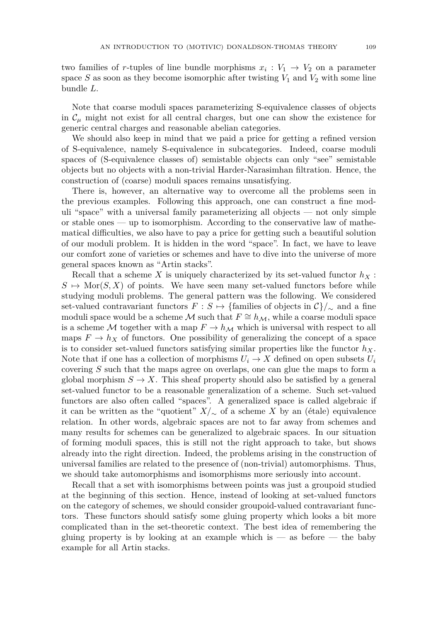two families of *r*-tuples of line bundle morphisms  $x_i: V_1 \to V_2$  on a parameter space  $S$  as soon as they become isomorphic after twisting  $V_1$  and  $V_2$  with some line bundle *L*.

Note that coarse moduli spaces parameterizing S-equivalence classes of objects in  $\mathcal{C}_{\mu}$  might not exist for all central charges, but one can show the existence for generic central charges and reasonable abelian categories.

We should also keep in mind that we paid a price for getting a refined version of S-equivalence, namely S-equivalence in subcategories. Indeed, coarse moduli spaces of (S-equivalence classes of) semistable objects can only "see" semistable objects but no objects with a non-trivial Harder-Narasimhan filtration. Hence, the construction of (coarse) moduli spaces remains unsatisfying.

There is, however, an alternative way to overcome all the problems seen in the previous examples. Following this approach, one can construct a fine moduli "space" with a universal family parameterizing all objects — not only simple or stable ones — up to isomorphism. According to the conservative law of mathematical difficulties, we also have to pay a price for getting such a beautiful solution of our moduli problem. It is hidden in the word "space". In fact, we have to leave our comfort zone of varieties or schemes and have to dive into the universe of more general spaces known as "Artin stacks".

Recall that a scheme *X* is uniquely characterized by its set-valued functor  $h_X$ :  $S \mapsto \text{Mor}(S, X)$  of points. We have seen many set-valued functors before while studying moduli problems. The general pattern was the following. We considered set-valued contravariant functors  $F : S \mapsto \{\text{families of objects in } \mathcal{C}\}/\sim \text{ and a fine}$ moduli space would be a scheme M such that  $F \cong h_{\mathcal{M}}$ , while a coarse moduli space is a scheme M together with a map  $F \to h_M$  which is universal with respect to all maps  $F \to h_X$  of functors. One possibility of generalizing the concept of a space is to consider set-valued functors satisfying similar properties like the functor  $h_X$ . Note that if one has a collection of morphisms  $U_i \to X$  defined on open subsets  $U_i$ covering *S* such that the maps agree on overlaps, one can glue the maps to form a global morphism  $S \to X$ . This sheaf property should also be satisfied by a general set-valued functor to be a reasonable generalization of a scheme. Such set-valued functors are also often called "spaces". A generalized space is called algebraic if it can be written as the "quotient"  $X/\sim$  of a scheme *X* by an (étale) equivalence relation. In other words, algebraic spaces are not to far away from schemes and many results for schemes can be generalized to algebraic spaces. In our situation of forming moduli spaces, this is still not the right approach to take, but shows already into the right direction. Indeed, the problems arising in the construction of universal families are related to the presence of (non-trivial) automorphisms. Thus, we should take automorphisms and isomorphisms more seriously into account.

Recall that a set with isomorphisms between points was just a groupoid studied at the beginning of this section. Hence, instead of looking at set-valued functors on the category of schemes, we should consider groupoid-valued contravariant functors. These functors should satisfy some gluing property which looks a bit more complicated than in the set-theoretic context. The best idea of remembering the gluing property is by looking at an example which is — as before — the baby example for all Artin stacks.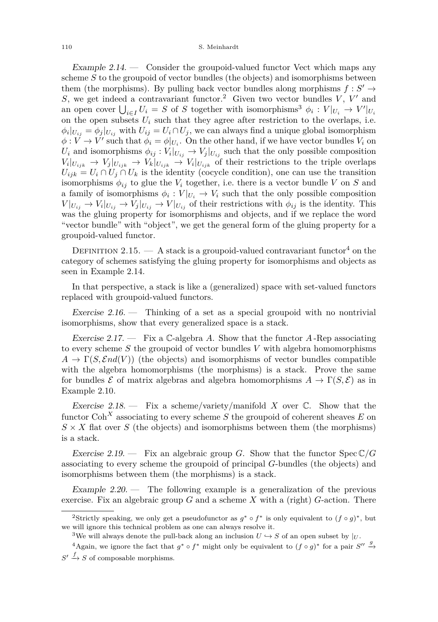<span id="page-10-0"></span>Example 2.14.  $\sim$  Consider the groupoid-valued functor Vect which maps any scheme *S* to the groupoid of vector bundles (the objects) and isomorphisms between them (the morphisms). By pulling back vector bundles along morphisms  $f: S' \to$ *S*, we get indeed a contravariant functor.<sup>2</sup> Given two vector bundles  $V$ ,  $V'$  and an open cover  $\bigcup_{i \in I} U_i = S$  of *S* together with isomorphisms<sup>3</sup>  $\phi_i : V|_{U_i} \to V'|_{U_i}$ on the open subsets  $U_i$  such that they agree after restriction to the overlaps, i.e.  $\phi_i|_{U_{ij}} = \phi_j|_{U_{ij}}$  with  $U_{ij} = U_i \cap U_j$ , we can always find a unique global isomorphism  $\phi: V \to V'$  such that  $\phi_i = \phi|_{U_i}$ . On the other hand, if we have vector bundles  $V_i$  on *U*<sup>*i*</sup> and isomorphisms  $\phi_{ij}: V_i|_{U_{ij}} \to V_j|_{U_{ij}}$  such that the only possible composition  $V_i|_{U_{ijk}} \to V_j|_{U_{ijk}} \to V_k|_{U_{ijk}} \to V_i|_{U_{ijk}}$  of their restrictions to the triple overlaps  $U_{ijk} = U_i \cap U_j \cap U_k$  is the identity (cocycle condition), one can use the transition isomorphisms  $\phi_{ij}$  to glue the  $V_i$  together, i.e. there is a vector bundle V on *S* and a family of isomorphisms  $\phi_i: V|_{U_i} \to V_i$  such that the only possible composition  $V|_{U_{ij}} \to V_i|_{U_{ij}} \to V_j|_{U_{ij}} \to V|_{U_{ij}}$  of their restrictions with  $\phi_{ij}$  is the identity. This was the gluing property for isomorphisms and objects, and if we replace the word "vector bundle" with "object", we get the general form of the gluing property for a groupoid-valued functor.

DEFINITION 2.15. — A stack is a groupoid-valued contravariant functor<sup>4</sup> on the category of schemes satisfying the gluing property for isomorphisms and objects as seen in Example [2.14.](#page-10-0)

In that perspective, a stack is like a (generalized) space with set-valued functors replaced with groupoid-valued functors.

Exercise 2.16. — Thinking of a set as a special groupoid with no nontrivial isomorphisms, show that every generalized space is a stack.

<span id="page-10-1"></span>Exercise 2.17. — Fix a C-algebra *A*. Show that the functor *A* -Rep associating to every scheme *S* the groupoid of vector bundles *V* with algebra homomorphisms  $A \to \Gamma(S, \mathcal{E}nd(V))$  (the objects) and isomorphisms of vector bundles compatible with the algebra homomorphisms (the morphisms) is a stack. Prove the same for bundles  $\mathcal E$  of matrix algebras and algebra homomorphisms  $A \to \Gamma(S, \mathcal E)$  as in Example [2.10.](#page-6-0)

Exercise 2.18.  $-$  Fix a scheme/variety/manifold *X* over  $\mathbb{C}$ . Show that the functor  $Coh<sup>X</sup>$  associating to every scheme *S* the groupoid of coherent sheaves *E* on  $S \times X$  flat over *S* (the objects) and isomorphisms between them (the morphisms) is a stack.

Exercise 2.19. — Fix an algebraic group *G*. Show that the functor  $Spec C/G$ associating to every scheme the groupoid of principal *G*-bundles (the objects) and isomorphisms between them (the morphisms) is a stack.

Example  $2.20$  — The following example is a generalization of the previous exercise. Fix an algebraic group  $G$  and a scheme  $X$  with a (right)  $G$ -action. There

<sup>&</sup>lt;sup>2</sup>Strictly speaking, we only get a pseudofunctor as  $g^* \circ f^*$  is only equivalent to  $(f \circ g)^*$ , but we will ignore this technical problem as one can always resolve it.

<sup>&</sup>lt;sup>3</sup>We will always denote the pull-back along an inclusion  $U \rightarrow S$  of an open subset by  $|_U$ .

<sup>&</sup>lt;sup>4</sup>Again, we ignore the fact that  $g^* \circ f^*$  might only be equivalent to  $(f \circ g)^*$  for a pair  $S'' \stackrel{g}{\to}$  $S' \stackrel{f}{\rightarrow} S$  of composable morphisms.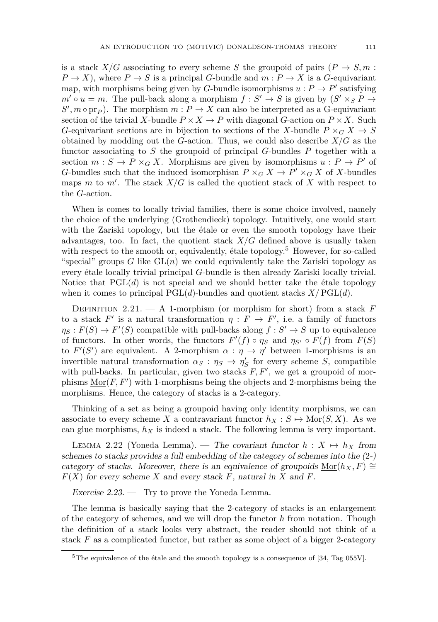is a stack  $X/G$  associating to every scheme *S* the groupoid of pairs  $(P \rightarrow S, m)$ :  $P \rightarrow X$ ), where  $P \rightarrow S$  is a principal *G*-bundle and  $m : P \rightarrow X$  is a *G*-equivariant map, with morphisms being given by *G*-bundle isomorphisms  $u : P \to P'$  satisfying  $m' \circ u = m$ . The pull-back along a morphism  $f : S' \to S$  is given by  $(S' \times_S P \to S')$  $S', m \circ pr_P$ ). The morphism  $m : P \to X$  can also be interpreted as a G-equivariant section of the trivial *X*-bundle  $P \times X \to P$  with diagonal *G*-action on  $P \times X$ . Such *G*-equivariant sections are in bijection to sections of the *X*-bundle  $P \times_G X \to S$ obtained by modding out the *G*-action. Thus, we could also describe *X/G* as the functor associating to *S* the groupoid of principal *G*-bundles *P* together with a section  $m: S \to P \times_G X$ . Morphisms are given by isomorphisms  $u: P \to P'$  of *G*-bundles such that the induced isomorphism  $P \times_G X \to P' \times_G X$  of X-bundles maps *m* to *m'*. The stack  $X/G$  is called the quotient stack of X with respect to the *G*-action.

When is comes to locally trivial families, there is some choice involved, namely the choice of the underlying (Grothendieck) topology. Intuitively, one would start with the Zariski topology, but the étale or even the smooth topology have their advantages, too. In fact, the quotient stack  $X/G$  defined above is usually taken with respect to the smooth or, equivalently, étale topology.<sup>5</sup> However, for so-called "special" groups  $G$  like  $GL(n)$  we could equivalently take the Zariski topology as every étale locally trivial principal *G*-bundle is then already Zariski locally trivial. Notice that  $PGL(d)$  is not special and we should better take the étale topology when it comes to principal  $PGL(d)$ -bundles and quotient stacks  $X/PGL(d)$ .

Definition 2.21. — A 1-morphism (or morphism for short) from a stack *F* to a stack  $F'$  is a natural transformation  $\eta : F \to F'$ , i.e. a family of functors  $\eta_S: F(S) \to F'(S)$  compatible with pull-backs along  $f: S' \to S$  up to equivalence of functors. In other words, the functors  $F'(f) \circ \eta_S$  and  $\eta_{S'} \circ F(f)$  from  $F(S)$ to  $F'(S')$  are equivalent. A 2-morphism  $\alpha : \eta \to \eta'$  between 1-morphisms is an invertible natural transformation  $\alpha_S : \eta_S \to \eta_S'$  for every scheme *S*, compatible with pull-backs. In particular, given two stacks  $F, F'$ , we get a groupoid of morphisms  $\underline{\text{Mor}}(F, F')$  with 1-morphisms being the objects and 2-morphisms being the morphisms. Hence, the category of stacks is a 2-category.

Thinking of a set as being a groupoid having only identity morphisms, we can associate to every scheme *X* a contravariant functor  $h_X : S \mapsto \text{Mor}(S, X)$ . As we can glue morphisms,  $h_X$  is indeed a stack. The following lemma is very important.

LEMMA 2.22 (Yoneda Lemma). — The covariant functor  $h: X \mapsto h_X$  from schemes to stacks provides a full embedding of the category of schemes into the (2-) category of stacks. Moreover, there is an equivalence of groupoids  $\text{Mor}(h_X, F) \cong$ *F*(*X*) for every scheme *X* and every stack *F*, natural in *X* and *F*.

Exercise 2.23. — Try to prove the Yoneda Lemma.

The lemma is basically saying that the 2-category of stacks is an enlargement of the category of schemes, and we will drop the functor *h* from notation. Though the definition of a stack looks very abstract, the reader should not think of a stack  $F$  as a complicated functor, but rather as some object of a bigger 2-category

<sup>&</sup>lt;sup>5</sup>The equivalence of the étale and the smooth topology is a consequence of  $[34, Tag 055V]$  $[34, Tag 055V]$ .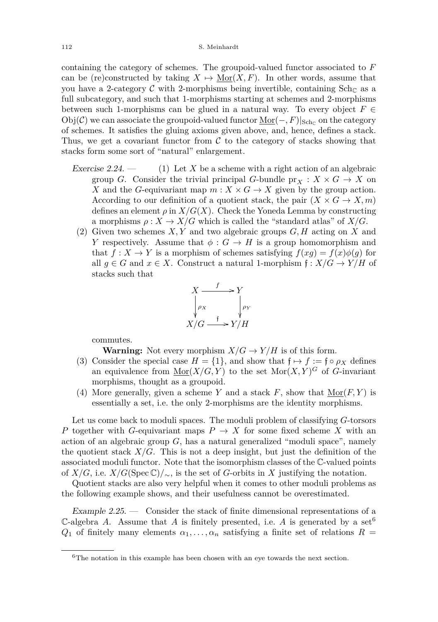containing the category of schemes. The groupoid-valued functor associated to *F* can be (re)constructed by taking  $X \mapsto \text{Mor}(X, F)$ . In other words, assume that you have a 2-category C with 2-morphisms being invertible, containing  $\text{Sch}_{\mathbb{C}}$  as a full subcategory, and such that 1-morphisms starting at schemes and 2-morphisms between such 1-morphisms can be glued in a natural way. To every object  $F \in$  $\mathrm{Obj}(\mathcal{C})$  we can associate the groupoid-valued functor  $\underline{\mathrm{Mor}}(-, F)|_{\mathrm{Sch}_\mathbb{C}}$  on the category of schemes. It satisfies the gluing axioms given above, and, hence, defines a stack. Thus, we get a covariant functor from  $\mathcal C$  to the category of stacks showing that stacks form some sort of "natural" enlargement.

- Exercise 2.24. (1) Let *X* be a scheme with a right action of an algebraic group *G*. Consider the trivial principal *G*-bundle  $pr_X : X \times G \rightarrow X$  on *X* and the *G*-equivariant map  $m: X \times G \rightarrow X$  given by the group action. According to our definition of a quotient stack, the pair  $(X \times G \to X, m)$ defines an element  $\rho$  in  $X/G(X)$ . Check the Yoneda Lemma by constructing a morphisms  $\rho: X \to X/G$  which is called the "standard atlas" of  $X/G$ .
	- (2) Given two schemes *X, Y* and two algebraic groups *G, H* acting on *X* and *Y* respectively. Assume that  $\phi: G \to H$  is a group homomorphism and that  $f: X \to Y$  is a morphism of schemes satisfying  $f(xg) = f(x)\phi(g)$  for all  $g \in G$  and  $x \in X$ . Construct a natural 1-morphism  $f: X/G \to Y/H$  of stacks such that



commutes.

**Warning:** Not every morphism  $X/G \to Y/H$  is of this form.

- (3) Consider the special case  $H = \{1\}$ , and show that  $f \mapsto f := f \circ \rho_X$  defines an equivalence from  $\underline{\text{Mor}}(X/G, Y)$  to the set  $\text{Mor}(X, Y)^G$  of G-invariant morphisms, thought as a groupoid.
- (4) More generally, given a scheme *Y* and a stack *F*, show that  $\underline{\text{Mor}}(F, Y)$  is essentially a set, i.e. the only 2-morphisms are the identity morphisms.

Let us come back to moduli spaces. The moduli problem of classifying *G*-torsors *P* together with *G*-equivariant maps  $P \rightarrow X$  for some fixed scheme *X* with an action of an algebraic group *G*, has a natural generalized "moduli space", namely the quotient stack  $X/G$ . This is not a deep insight, but just the definition of the associated moduli functor. Note that the isomorphism classes of the C-valued points of *X/G*, i.e. *X/G*(Spec  $\mathbb{C}$ )/∼, is the set of *G*-orbits in *X* justifying the notation.

Quotient stacks are also very helpful when it comes to other moduli problems as the following example shows, and their usefulness cannot be overestimated.

<span id="page-12-0"></span>Example 2.25. — Consider the stack of finite dimensional representations of a C-algebra *A*. Assume that *A* is finitely presented, i.e. *A* is generated by a set<sup>6</sup> *Q*<sub>1</sub> of finitely many elements  $\alpha_1, \ldots, \alpha_n$  satisfying a finite set of relations  $R =$ 

 $6$ The notation in this example has been chosen with an eye towards the next section.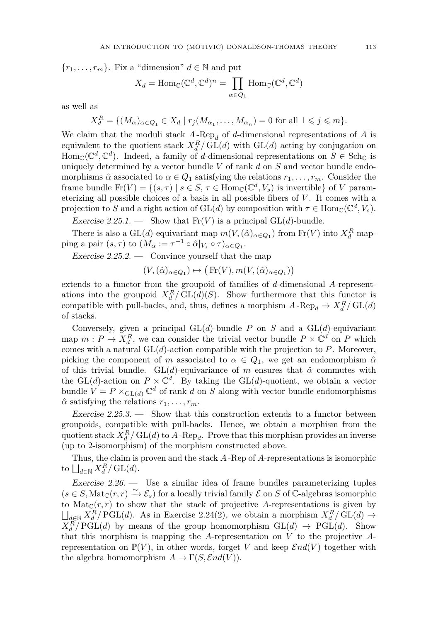${r_1, \ldots, r_m}$ . Fix a "dimension"  $d \in \mathbb{N}$  and put

$$
X_d = \text{Hom}_{\mathbb{C}}(\mathbb{C}^d, \mathbb{C}^d)^n = \prod_{\alpha \in Q_1} \text{Hom}_{\mathbb{C}}(\mathbb{C}^d, \mathbb{C}^d)
$$

as well as

 $X_d^R = \{(M_\alpha)_{\alpha \in Q_1} \in X_d \mid r_j(M_{\alpha_1}, \ldots, M_{\alpha_n}) = 0 \text{ for all } 1 \leq j \leq m\}.$ 

We claim that the moduli stack  $A$ -Rep<sub>d</sub> of *d*-dimensional representations of  $A$  is equivalent to the quotient stack  $X_d^R$ / $GL(d)$  with  $GL(d)$  acting by conjugation on  $\text{Hom}_{\mathbb{C}}(\mathbb{C}^d,\mathbb{C}^d)$ . Indeed, a family of *d*-dimensional representations on  $S \in \text{Sch}_{\mathbb{C}}$  is uniquely determined by a vector bundle *V* of rank *d* on *S* and vector bundle endomorphisms  $\hat{\alpha}$  associated to  $\alpha \in Q_1$  satisfying the relations  $r_1, \ldots, r_m$ . Consider the frame bundle  $\text{Fr}(V) = \{(s, \tau) \mid s \in S, \tau \in \text{Hom}_{\mathbb{C}}(\mathbb{C}^d, V_s) \text{ is invertible}\}\$  of *V* parameterizing all possible choices of a basis in all possible fibers of *V* . It comes with a projection to *S* and a right action of  $GL(d)$  by composition with  $\tau \in Hom_{\mathbb{C}}(\mathbb{C}^d, V_s)$ .

Exercise 2.25.1. — Show that  $Fr(V)$  is a principal  $GL(d)$ -bundle.

There is also a  $GL(d)$ -equivariant map  $m(V, (\hat{\alpha})_{\alpha \in Q_1})$  from  $Fr(V)$  into  $X_d^R$  map- $\text{ping a pair } (s, \tau) \text{ to } (M_\alpha := \tau^{-1} \circ \hat{\alpha}|_{V_s} \circ \tau)_{\alpha \in Q_1}.$ 

Exercise  $2.25.2.$  — Convince yourself that the map

 $(V, (\hat{\alpha})_{\alpha \in Q_1}) \mapsto (\text{Fr}(V), m(V, (\hat{\alpha})_{\alpha \in Q_1}))$ 

extends to a functor from the groupoid of families of *d*-dimensional *A*-representations into the groupoid  $X_d^R/GL(d)(S)$ . Show furthermore that this functor is compatible with pull-backs, and, thus, defines a morphism  $A \text{-Rep}_d \to X_d^R / GL(d)$ of stacks.

Conversely, given a principal  $GL(d)$ -bundle *P* on *S* and a  $GL(d)$ -equivariant map  $m: P \to X_d^R$ , we can consider the trivial vector bundle  $P \times \mathbb{C}^d$  on P which comes with a natural GL(*d*)-action compatible with the projection to *P*. Moreover, picking the component of *m* associated to  $\alpha \in Q_1$ , we get an endomorphism  $\hat{\alpha}$ of this trivial bundle. GL(*d*)-equivariance of *m* ensures that *α*ˆ commutes with the GL(*d*)-action on  $P \times \mathbb{C}^d$ . By taking the GL(*d*)-quotient, we obtain a vector bundle  $V = P \times_{GL(d)} \mathbb{C}^d$  of rank *d* on *S* along with vector bundle endomorphisms  $\hat{\alpha}$  satisfying the relations  $r_1, \ldots, r_m$ .

Exercise  $2.25.3.$  — Show that this construction extends to a functor between groupoids, compatible with pull-backs. Hence, we obtain a morphism from the quotient stack  $X_d^R / GL(d)$  to  $A$ -Rep<sub>d</sub>. Prove that this morphism provides an inverse (up to 2-isomorphism) of the morphism constructed above.

Thus, the claim is proven and the stack *A* -Rep of *A*-representations is isomorphic to  $\bigsqcup_{d\in\mathbb{N}} X_d^R / GL(d)$ .

<span id="page-13-0"></span>Exercise 2.26. — Use a similar idea of frame bundles parameterizing tuples  $(s \in S, \text{Mat}_{\mathbb{C}}(r, r) \xrightarrow{\sim} \mathcal{E}_s$  for a locally trivial family  $\mathcal E$  on  $S$  of  $\mathbb C$ -algebras isomorphic to  $\text{Mat}_{\mathbb{C}}(r,r)$  to show that the stack of projective A-representations is given by  $\bigcup_{d \in \mathbb{N}} X_d^R / \mathrm{PGL}(d)$ . As in Exercise [2.24\(](#page-0-0)2), we obtain a morphism  $X_d^R / \mathrm{GL}(d) \to$  $X_d^R$  / PGL(*d*) by means of the group homomorphism  $GL(d) \rightarrow PGL(d)$ . Show that this morphism is mapping the *A*-representation on *V* to the projective *A*representation on  $\mathbb{P}(V)$ , in other words, forget *V* and keep  $\mathcal{E}nd(V)$  together with the algebra homomorphism  $A \to \Gamma(S, \mathcal{E}nd(V)).$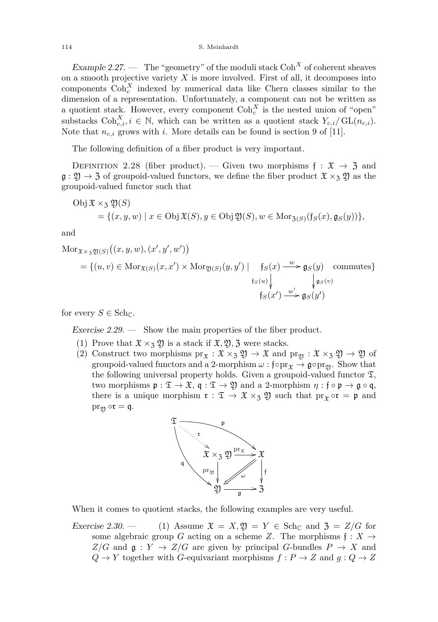Example 2.27. — The "geometry" of the moduli stack  $\text{Coh}^X$  of coherent sheaves on a smooth projective variety  $X$  is more involved. First of all, it decomposes into components  $\text{Coh}_c^X$  indexed by numerical data like Chern classes similar to the dimension of a representation. Unfortunately, a component can not be written as a quotient stack. However, every component  $\text{Coh}_c^X$  is the nested union of "open" substacks  $\text{Coh}_{c,i}^X, i \in \mathbb{N}$ , which can be written as a quotient stack  $Y_{c,i}/\text{GL}(n_{c,i})$ . Note that  $n_{c,i}$  grows with *i*. More details can be found is section 9 of [\[11\]](#page-56-3).

The following definition of a fiber product is very important.

DEFINITION 2.28 (fiber product). — Given two morphisms  $f : \mathfrak{X} \to \mathfrak{Z}$  and  $\mathfrak{g}: \mathfrak{Y} \to \mathfrak{Z}$  of groupoid-valued functors, we define the fiber product  $\mathfrak{X} \times_{\mathfrak{Z}} \mathfrak{Y}$  as the groupoid-valued functor such that

Obj 
$$
\mathfrak{X} \times_{\mathfrak{Z}} \mathfrak{Y}(S)
$$
  
= { $(x, y, w) | x \in \text{Obj } \mathfrak{X}(S), y \in \text{Obj } \mathfrak{Y}(S), w \in \text{Mor}_{\mathfrak{Z}(S)}(\mathfrak{f}_S(x), \mathfrak{g}_S(y))$ },

and

$$
Mor_{\mathfrak{X}\times_{3}\mathfrak{Y}(S)}((x,y,w),(x',y',w'))
$$
  
= {(u,v) \in Mor\_{\mathfrak{X}(S)}(x,x') \times Mor\_{\mathfrak{Y}(S)}(y,y') | f\_S(x) \xrightarrow{w} \mathfrak{g}\_S(y) commutes}  
f\_S(u) \nvert \nvert \nvert g\_S(v)  
f\_S(x') \xrightarrow{w'} \mathfrak{g}\_S(y')

for every  $S \in \text{Sch}_{\mathbb{C}}$ .

Exercise  $2.29.$  — Show the main properties of the fiber product.

- (1) Prove that  $\mathfrak{X} \times_{\mathfrak{Z}} \mathfrak{Y}$  is a stack if  $\mathfrak{X}, \mathfrak{Y}, \mathfrak{Z}$  were stacks.
- (2) Construct two morphisms  $pr_{\mathfrak{X}} : \mathfrak{X} \times_{\mathfrak{Z}} \mathfrak{Y} \to \mathfrak{X}$  and  $pr_{\mathfrak{Y}} : \mathfrak{X} \times_{\mathfrak{Z}} \mathfrak{Y} \to \mathfrak{Y}$  of groupoid-valued functors and a 2-morphism  $\omega : f \circ pr_{\mathfrak{X}} \to \mathfrak{g} \circ pr_{\mathfrak{Y}}$ . Show that the following universal property holds. Given a groupoid-valued functor  $\mathfrak{T}$ , two morphisms  $\mathfrak{p}: \mathfrak{T} \to \mathfrak{X}$ ,  $\mathfrak{q}: \mathfrak{T} \to \mathfrak{Y}$  and a 2-morphism  $\eta: \mathfrak{f} \circ \mathfrak{p} \to \mathfrak{g} \circ \mathfrak{q}$ , there is a unique morphism  $\mathfrak{r}: \mathfrak{T} \to \mathfrak{X} \times_{\mathfrak{Z}} \mathfrak{Y}$  such that  $\mathrm{pr}_{\mathfrak{X}} \circ \mathfrak{r} = \mathfrak{p}$  and  $pr_{\mathfrak{Y}} \circ \mathfrak{r} = \mathfrak{q}.$



When it comes to quotient stacks, the following examples are very useful.

Exercise 2.30. — (1) Assume  $\mathfrak{X} = X, \mathfrak{Y} = Y \in \text{Sch}_{\mathbb{C}}$  and  $\mathfrak{Z} = Z/G$  for some algebraic group *G* acting on a scheme *Z*. The morphisms  $f: X \rightarrow$  $Z/G$  and  $\mathfrak{g}: Y \to Z/G$  are given by principal *G*-bundles  $P \to X$  and  $Q \rightarrow Y$  together with *G*-equivariant morphisms  $f : P \rightarrow Z$  and  $g : Q \rightarrow Z$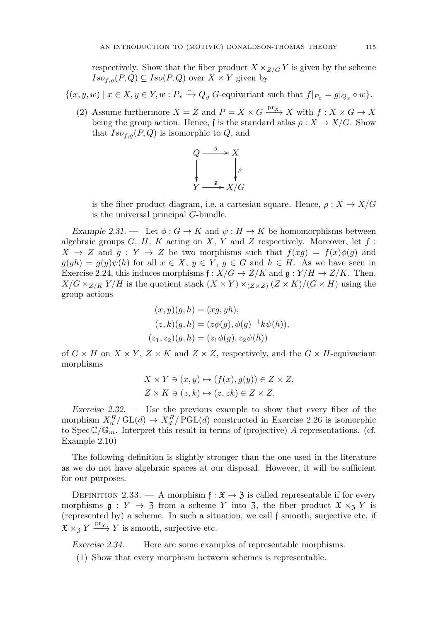respectively. Show that the fiber product  $X \times_{Z/G} Y$  is given by the scheme  $Iso_{f,g}(P,Q) \subseteq Iso(P,Q)$  over  $X \times Y$  given by

## $\{(x, y, w) \mid x \in X, y \in Y, w : P_x \xrightarrow{\sim} Q_y \text{ } G$ -equivariant such that  $f|_{P_x} = g|_{Q_x} \circ w\}.$

(2) Assume furthermore  $X = Z$  and  $P = X \times G \xrightarrow{\text{pr}_X} X$  with  $f: X \times G \to X$ being the group action. Hence, f is the standard atlas  $\rho: X \to X/G$ . Show that  $Iso_{f,g}(P,Q)$  is isomorphic to  $Q$ , and



is the fiber product diagram, i.e. a cartesian square. Hence,  $\rho: X \to X/G$ is the universal principal *G*-bundle.

<span id="page-15-0"></span>Example 2.31. — Let  $\phi: G \to K$  and  $\psi: H \to K$  be homomorphisms between algebraic groups *G*, *H*, *K* acting on *X*, *Y* and *Z* respectively. Moreover, let *f* :  $X \rightarrow Z$  and  $g: Y \rightarrow Z$  be two morphisms such that  $f(xg) = f(x)\phi(g)$  and  $g(yh) = g(y)\psi(h)$  for all  $x \in X$ ,  $y \in Y$ ,  $g \in G$  and  $h \in H$ . As we have seen in Exercise [2.24,](#page-0-0) this induces morphisms  $f : X/G \to Z/K$  and  $g : Y/H \to Z/K$ . Then,  $X/G \times_{Z/K} Y/H$  is the quotient stack  $(X \times Y) \times_{(Z \times Z)} (Z \times K)/(G \times H)$  using the group actions

$$
(x, y)(g, h) = (xg, yh),(z, k)(g, h) = (z\phi(g), \phi(g)^{-1}k\psi(h)),(z_1, z_2)(g, h) = (z_1\phi(g), z_2\psi(h))
$$

of  $G \times H$  on  $X \times Y$ ,  $Z \times K$  and  $Z \times Z$ , respectively, and the  $G \times H$ -equivariant morphisms

$$
X \times Y \ni (x, y) \mapsto (f(x), g(y)) \in Z \times Z,
$$
  

$$
Z \times K \ni (z, k) \mapsto (z, zk) \in Z \times Z.
$$

<span id="page-15-2"></span>Exercise  $2.32$ . — Use the previous example to show that every fiber of the morphism  $X_d^R/\mathrm{GL}(d) \to X_d^R/\mathrm{PGL}(d)$  constructed in Exercise [2.26](#page-13-0) is isomorphic to Spec  $\mathbb{C}/\mathbb{G}_m$ . Interpret this result in terms of (projective) *A*-representations. (cf. Example [2.10\)](#page-6-0)

The following definition is slightly stronger than the one used in the literature as we do not have algebraic spaces at our disposal. However, it will be sufficient for our purposes.

DEFINITION 2.33. — A morphism  $f: \mathfrak{X} \to \mathfrak{Z}$  is called representable if for every morphisms  $g: Y \to \mathfrak{Z}$  from a scheme *Y* into  $\mathfrak{Z}$ , the fiber product  $\mathfrak{X} \times_{\mathfrak{Z}} Y$  is (represented by) a scheme. In such a situation, we call f smooth, surjective etc. if  $\mathfrak{X} \times_{\mathfrak{Z}} Y \xrightarrow{\text{pr}_Y} Y$  is smooth, surjective etc.

<span id="page-15-1"></span>Exercise 2.34. — Here are some examples of representable morphisms.

(1) Show that every morphism between schemes is representable.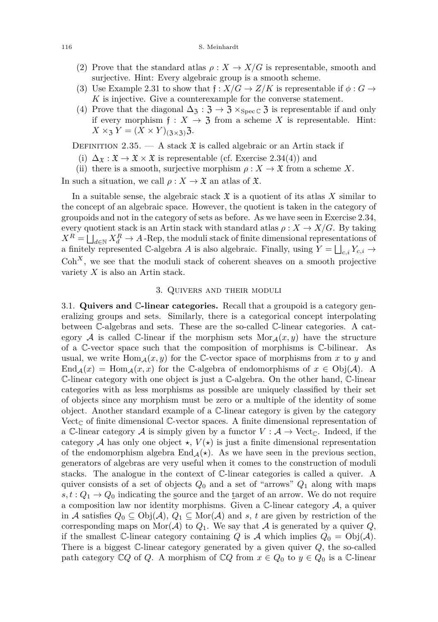#### 116 S. Meinhardt

- (2) Prove that the standard atlas  $\rho: X \to X/G$  is representable, smooth and surjective. Hint: Every algebraic group is a smooth scheme.
- (3) Use Example [2.31](#page-15-0) to show that  $f: X/G \to Z/K$  is representable if  $\phi: G \to$ *K* is injective. Give a counterexample for the converse statement.
- (4) Prove that the diagonal  $\Delta_3 : \mathfrak{Z} \to \mathfrak{Z} \times_{\text{Spec } \mathbb{C}} \mathfrak{Z}$  is representable if and only if every morphism  $f: X \to \mathfrak{Z}$  from a scheme X is representable. Hint:  $X \times_3 Y = (X \times Y)_{(3 \times 3)}$ .

DEFINITION 2.35.  $-$  A stack  $\mathfrak X$  is called algebraic or an Artin stack if

- (i)  $\Delta_{\mathfrak{X}} : \mathfrak{X} \to \mathfrak{X} \times \mathfrak{X}$  is representable (cf. Exercise [2.34\(](#page-15-1)4)) and
- (ii) there is a smooth, surjective morphism  $\rho: X \to \mathfrak{X}$  from a scheme *X*.

In such a situation, we call  $\rho: X \to \mathfrak{X}$  an atlas of  $\mathfrak{X}$ .

In a suitable sense, the algebraic stack  $\mathfrak X$  is a quotient of its atlas  $X$  similar to the concept of an algebraic space. However, the quotient is taken in the category of groupoids and not in the category of sets as before. As we have seen in Exercise [2.34,](#page-15-1) every quotient stack is an Artin stack with standard atlas  $\rho: X \to X/G$ . By taking  $X^R = \bigsqcup_{d \in \mathbb{N}} X_d^R \to A$  -Rep, the moduli stack of finite dimensional representations of a finitely represented C-algebra *A* is also algebraic. Finally, using  $Y = \bigsqcup_{c,i} Y_{c,i} \rightarrow$  $Coh<sup>X</sup>$ , we see that the moduli stack of coherent sheaves on a smooth projective variety *X* is also an Artin stack.

#### 3. Quivers and their moduli

<span id="page-16-1"></span><span id="page-16-0"></span>3.1. **Quivers and** C**-linear categories.** Recall that a groupoid is a category generalizing groups and sets. Similarly, there is a categorical concept interpolating between C-algebras and sets. These are the so-called C-linear categories. A category A is called C-linear if the morphism sets  $Mor_A(x, y)$  have the structure of a C-vector space such that the composition of morphisms is C-bilinear. As usual, we write  $\text{Hom}_{\mathcal{A}}(x, y)$  for the C-vector space of morphisms from x to y and End<sub>A</sub>(*x*) = Hom<sub>A</sub>(*x, x*) for the C-algebra of endomorphisms of  $x \in \text{Obj}(\mathcal{A})$ . A C-linear category with one object is just a C-algebra. On the other hand, C-linear categories with as less morphisms as possible are uniquely classified by their set of objects since any morphism must be zero or a multiple of the identity of some object. Another standard example of a C-linear category is given by the category Vect<sub> $\mathbb C$ </sub> of finite dimensional  $\mathbb C$ -vector spaces. A finite dimensional representation of a C-linear category A is simply given by a functor  $V : A \rightarrow \text{Vect}_{\mathbb{C}}$ . Indeed, if the category A has only one object  $\star$ ,  $V(\star)$  is just a finite dimensional representation of the endomorphism algebra  $\text{End}_{\mathcal{A}}(\star)$ . As we have seen in the previous section, generators of algebras are very useful when it comes to the construction of moduli stacks. The analogue in the context of C-linear categories is called a quiver. A quiver consists of a set of objects *Q*<sup>0</sup> and a set of "arrows" *Q*<sup>1</sup> along with maps  $s, t: Q_1 \rightarrow Q_0$  indicating the source and the target of an arrow. We do not require a composition law nor identity morphisms. Given a  $\mathbb{C}\text{-linear category }\mathcal{A}$ , a quiver in A satisfies  $Q_0 \subseteq Obj(\mathcal{A}), Q_1 \subseteq \text{Mor}(\mathcal{A})$  and s, t are given by restriction of the corresponding maps on  $\text{Mor}(\mathcal{A})$  to  $Q_1$ . We say that  $\mathcal{A}$  is generated by a quiver  $Q$ , if the smallest C-linear category containing *Q* is A which implies  $Q_0 = \text{Obj}(\mathcal{A})$ . There is a biggest C-linear category generated by a given quiver *Q*, the so-called path category  $\mathbb{C}Q$  of *Q*. A morphism of  $\mathbb{C}Q$  from  $x \in Q_0$  to  $y \in Q_0$  is a  $\mathbb{C}$ -linear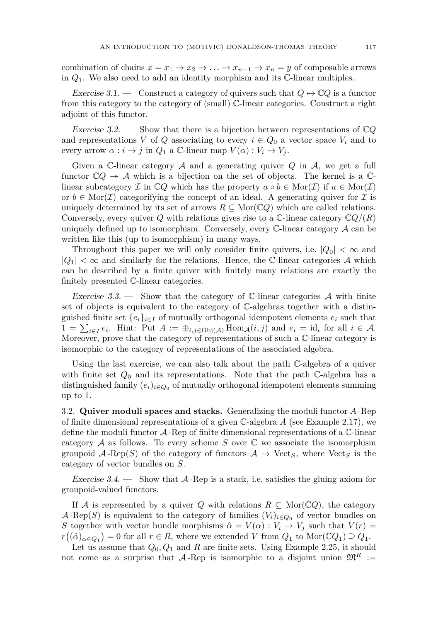combination of chains  $x = x_1 \rightarrow x_2 \rightarrow \ldots \rightarrow x_{n-1} \rightarrow x_n = y$  of composable arrows in *Q*1. We also need to add an identity morphism and its C-linear multiples.

Exercise 3.1. — Construct a category of quivers such that  $Q \mapsto \mathbb{C}Q$  is a functor from this category to the category of (small) C-linear categories. Construct a right adjoint of this functor.

Exercise 3.2. — Show that there is a bijection between representations of C*Q* and representations *V* of *Q* associating to every  $i \in Q_0$  a vector space  $V_i$  and to every arrow  $\alpha : i \to j$  in  $Q_1$  a C-linear map  $V(\alpha) : V_i \to V_j$ .

Given a C-linear category  $A$  and a generating quiver  $Q$  in  $A$ , we get a full functor  $\mathbb{C}Q \twoheadrightarrow \mathcal{A}$  which is a bijection on the set of objects. The kernel is a  $\mathbb{C}$ linear subcategory I in  $\mathbb{C}Q$  which has the property  $a \circ b \in \text{Mor}(\mathcal{I})$  if  $a \in \text{Mor}(\mathcal{I})$ or  $b \in \text{Mor}(\mathcal{I})$  categoritying the concept of an ideal. A generating quiver for  $\mathcal{I}$  is uniquely determined by its set of arrows  $R \subseteq \text{Mor}(\mathbb{C}Q)$  which are called relations. Conversely, every quiver *Q* with relations gives rise to a  $\mathbb{C}\text{-linear category }\mathbb{C}Q/(R)$ uniquely defined up to isomorphism. Conversely, every  $\mathbb{C}\text{-linear category }\mathcal{A}$  can be written like this (up to isomorphism) in many ways.

Throughout this paper we will only consider finite quivers, i.e.  $|Q_0| < \infty$  and  $|Q_1| < \infty$  and similarly for the relations. Hence, the C-linear categories A which can be described by a finite quiver with finitely many relations are exactly the finitely presented C-linear categories.

Exercise 3.3. — Show that the category of  $\mathbb{C}$ -linear categories A with finite set of objects is equivalent to the category of C-algebras together with a distinguished finite set  $\{e_i\}_{i \in I}$  of mutually orthogonal idempotent elements  $e_i$  such that  $1 = \sum_{i \in I} e_i$ . Hint: Put  $A := \bigoplus_{i,j \in \text{Obj}(\mathcal{A})} \text{Hom}_{\mathcal{A}}(i,j)$  and  $e_i = \text{id}_i$  for all  $i \in \mathcal{A}$ . Moreover, prove that the category of representations of such a C-linear category is isomorphic to the category of representations of the associated algebra.

Using the last exercise, we can also talk about the path C-algebra of a quiver with finite set  $Q_0$  and its representations. Note that the path  $\mathbb{C}$ -algebra has a distinguished family  $(e_i)_{i \in Q_0}$  of mutually orthogonal idempotent elements summing up to 1.

<span id="page-17-0"></span>3.2. **Quiver moduli spaces and stacks.** Generalizing the moduli functor *A* -Rep of finite dimensional representations of a given C-algebra *A* (see Example [2.17\)](#page-10-1), we define the moduli functor  $\mathcal{A}$ -Rep of finite dimensional representations of a  $\mathbb{C}$ -linear category  $A$  as follows. To every scheme *S* over  $\mathbb C$  we associate the isomorphism groupoid  $\mathcal{A}$ -Rep(*S*) of the category of functors  $\mathcal{A} \to \text{Vect}_S$ , where  $\text{Vect}_S$  is the category of vector bundles on *S*.

Exercise 3.4.  $\qquad$  Show that A-Rep is a stack, i.e. satisfies the gluing axiom for groupoid-valued functors.

If A is represented by a quiver Q with relations  $R \subseteq \text{Mor}(\mathbb{C}Q)$ , the category  $\mathcal{A}$ -Rep(*S*) is equivalent to the category of families  $(V_i)_{i\in Q_0}$  of vector bundles on *S* together with vector bundle morphisms  $\hat{\alpha} = V(\alpha) : V_i \to V_j$  such that  $V(r) =$  $r((\hat{\alpha})_{\alpha \in Q_1}) = 0$  for all  $r \in R$ , where we extended *V* from  $Q_1$  to Mor( $\mathbb{C}Q_1$ )  $\supseteq Q_1$ .

Let us assume that *Q*0*, Q*<sup>1</sup> and *R* are finite sets. Using Example [2.25,](#page-12-0) it should not come as a surprise that  $\mathcal{A}$ -Rep is isomorphic to a disjoint union  $\mathfrak{M}^R :=$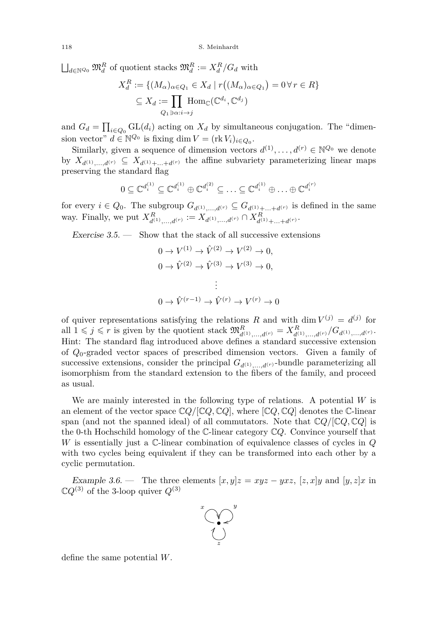$\bigsqcup_{d \in \mathbb{N}^{Q_0}} \mathfrak{M}_d^R$  of quotient stacks  $\mathfrak{M}_d^R := X_d^R/G_d$  with

$$
X_d^R := \{ (M_\alpha)_{\alpha \in Q_1} \in X_d \mid r((M_\alpha)_{\alpha \in Q_1}) = 0 \,\forall \, r \in R \}
$$
  

$$
\subseteq X_d := \prod_{Q_1 \ni \alpha: i \to j} \text{Hom}_{\mathbb{C}}(\mathbb{C}^{d_i}, \mathbb{C}^{d_j})
$$

and  $G_d = \prod_{i \in Q_0} GL(d_i)$  acting on  $X_d$  by simultaneous conjugation. The "dimension vector"  $d \in \mathbb{N}^{\mathbb{Q}_0}$  is fixing dim  $V = (\text{rk } V_i)_{i \in \mathbb{Q}_0}$ .

Similarly, given a sequence of dimension vectors  $d^{(1)}, \ldots, d^{(r)} \in \mathbb{N}^{\mathcal{Q}_0}$  we denote by  $X_{d^{(1)},...,d^{(r)}} \subseteq X_{d^{(1)},+...+d^{(r)}}$  the affine subvariety parameterizing linear maps preserving the standard flag

$$
0 \subseteq \mathbb{C}^{d_i^{(1)}} \subseteq \mathbb{C}^{d_i^{(1)}} \oplus \mathbb{C}^{d_i^{(2)}} \subseteq \ldots \subseteq \mathbb{C}^{d_i^{(1)}} \oplus \ldots \oplus \mathbb{C}^{d_i^{(r)}}
$$

for every  $i \in Q_0$ . The subgroup  $G_{d^{(1)},...,d^{(r)}} \subseteq G_{d^{(1)}+...+d^{(r)}}$  is defined in the same way. Finally, we put  $X_{d^{(1)},...,d^{(r)}}^R := X_{d^{(1)},...,d^{(r)}} \cap X_{d^{(1)}+...+d^{(r)}}^R$ .

Exercise  $3.5.$  — Show that the stack of all successive extensions

$$
0 \to V^{(1)} \to \hat{V}^{(2)} \to V^{(2)} \to 0,
$$
  
\n
$$
0 \to \hat{V}^{(2)} \to \hat{V}^{(3)} \to V^{(3)} \to 0,
$$
  
\n
$$
\vdots
$$
  
\n
$$
0 \to \hat{V}^{(r-1)} \to \hat{V}^{(r)} \to V^{(r)} \to 0
$$

of quiver representations satisfying the relations *R* and with dim  $V^{(j)} = d^{(j)}$  for all  $1 \leq j \leq r$  is given by the quotient stack  $\mathfrak{M}_{d^{(1)},...,d^{(r)}}^R = X_{d^{(1)},...,d^{(r)}}^R / G_{d^{(1)},...,d^{(r)}}$ . Hint: The standard flag introduced above defines a standard successive extension of *Q*0-graded vector spaces of prescribed dimension vectors. Given a family of successive extensions, consider the principal  $G_{d^{(1)},...,d^{(r)}}$ -bundle parameterizing all isomorphism from the standard extension to the fibers of the family, and proceed as usual.

We are mainly interested in the following type of relations. A potential *W* is an element of the vector space  $\mathbb{C}Q/[\mathbb{C}Q,\mathbb{C}Q]$ , where  $[\mathbb{C}Q,\mathbb{C}Q]$  denotes the C-linear span (and not the spanned ideal) of all commutators. Note that  $\mathbb{C}Q/\mathbb{C}Q$ ,  $\mathbb{C}Q$  is the 0-th Hochschild homology of the C-linear category C*Q*. Convince yourself that *W* is essentially just a C-linear combination of equivalence classes of cycles in *Q* with two cycles being equivalent if they can be transformed into each other by a cyclic permutation.

Example 3.6. — The three elements  $[x, y]z = xyz - yxz$ ,  $[z, x]y$  and  $[y, z]x$  in  $\mathbb{C}Q^{(3)}$  of the 3-loop quiver  $Q^{(3)}$ 



define the same potential *W*.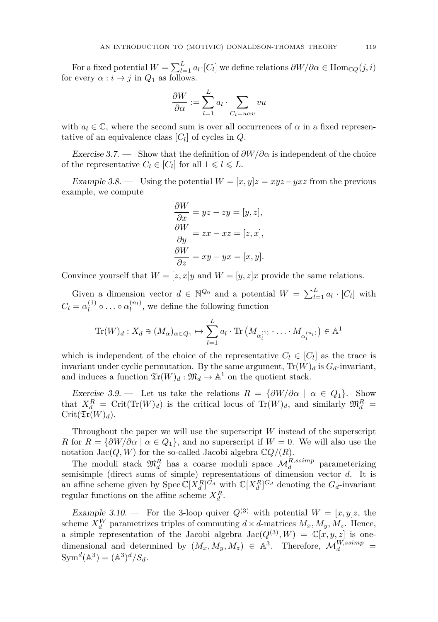For a fixed potential  $W = \sum_{l=1}^{L} a_l \cdot [C_l]$  we define relations  $\partial W / \partial \alpha \in \text{Hom}_{\mathbb{C}Q}(j, i)$ for every  $\alpha : i \to j$  in  $Q_1$  as follows.

$$
\frac{\partial W}{\partial \alpha} := \sum_{l=1}^{L} a_l \cdot \sum_{C_l = u \alpha v} vu
$$

with  $a_l \in \mathbb{C}$ , where the second sum is over all occurrences of  $\alpha$  in a fixed representative of an equivalence class [*C<sup>l</sup>* ] of cycles in *Q*.

Exercise 3.7. — Show that the definition of *∂W/∂α* is independent of the choice of the representative  $C_l \in [C_l]$  for all  $1 \leq l \leq L$ .

Example 3.8. — Using the potential  $W = [x, y]z = xyz - yxz$  from the previous example, we compute

$$
\frac{\partial W}{\partial x} = yz - zy = [y, z],
$$
  
\n
$$
\frac{\partial W}{\partial y} = zx - xz = [z, x],
$$
  
\n
$$
\frac{\partial W}{\partial z} = xy - yx = [x, y].
$$

Convince yourself that  $W = [z, x]y$  and  $W = [y, z]x$  provide the same relations.

Given a dimension vector  $d \in \mathbb{N}^{\mathcal{Q}_0}$  and a potential  $W = \sum_{l=1}^L a_l \cdot [C_l]$  with  $C_l = \alpha_l^{(1)}$  $\alpha_l^{(1)} \circ \ldots \circ \alpha_l^{(n_l)}$ , we define the following function

$$
\operatorname{Tr}(W)_d: X_d \ni (M_\alpha)_{\alpha \in Q_1} \mapsto \sum_{l=1}^L a_l \cdot \operatorname{Tr}\left(M_{\alpha_l^{(1)}} \cdot \ldots \cdot M_{\alpha_l^{(n_l)}}\right) \in \mathbb{A}^1
$$

which is independent of the choice of the representative  $C_l \in [C_l]$  as the trace is invariant under cyclic permutation. By the same argument,  $\text{Tr}(W)_d$  is  $G_d$ -invariant, and induces a function  $\mathfrak{Tr}(W)_d : \mathfrak{M}_d \to \mathbb{A}^1$  on the quotient stack.

Exercise 3.9. — Let us take the relations  $R = {\partial W / \partial \alpha \mid \alpha \in Q_1}$ . Show that  $X_d^R = \text{Crit}(\text{Tr}(W)_d)$  is the critical locus of  $\text{Tr}(W)_d$ , and similarly  $\mathfrak{M}_d^R =$  $Crit( \mathfrak{Tr}(W)_d).$ 

Throughout the paper we will use the superscript *W* instead of the superscript *R* for  $R = \{\partial W/\partial \alpha \mid \alpha \in Q_1\}$ , and no superscript if  $W = 0$ . We will also use the notation  $\operatorname{Jac}(Q, W)$  for the so-called Jacobi algebra  $\mathbb{C}Q/(R)$ .

The moduli stack  $\mathfrak{M}_d^R$  has a coarse moduli space  $\mathcal{M}_d^{R,ssimp}$  parameterizing semisimple (direct sums of simple) representations of dimension vector *d*. It is an affine scheme given by  $\text{Spec } \mathbb{C}[X_d^R]^{G_d}$  with  $\mathbb{C}[X_d^R]^{G_d}$  denoting the  $G_d$ -invariant regular functions on the affine scheme  $X_d^R$ .

Example 3.10. – For the 3-loop quiver  $Q^{(3)}$  with potential  $W = [x, y]z$ , the scheme  $X_d^W$  parametrizes triples of commuting  $d \times d$ -matrices  $M_x, M_y, M_z$ . Hence, a simple representation of the Jacobi algebra  $Jac(Q^{(3)}, W) = \mathbb{C}[x, y, z]$  is onedimensional and determined by  $(M_x, M_y, M_z) \in \mathbb{A}^3$ . Therefore,  $\mathcal{M}_d^{W,ssimp} =$  $Sym^d(A^3) = (A^3)^d/S_d.$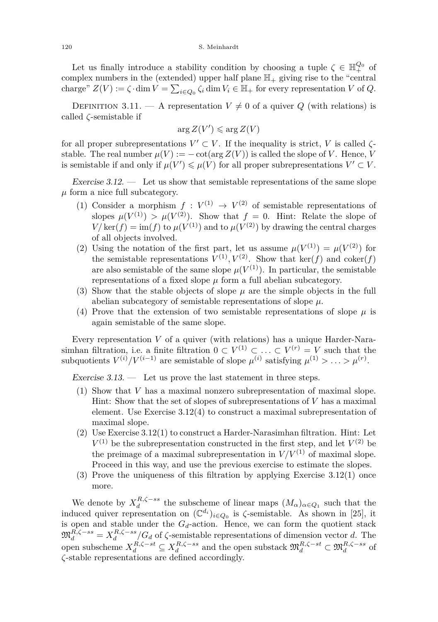Let us finally introduce a stability condition by choosing a tuple  $\zeta \in \mathbb{H}^{Q_0}_+$  of complex numbers in the (extended) upper half plane  $\mathbb{H}_+$  giving rise to the "central charge"  $Z(V) := \zeta \cdot \dim V = \sum_{i \in Q_0} \zeta_i \dim V_i \in \mathbb{H}_+$  for every representation *V* of *Q*.

DEFINITION 3.11. — A representation  $V \neq 0$  of a quiver *Q* (with relations) is called *ζ*-semistable if

$$
\arg Z(V') \leqslant \arg Z(V)
$$

for all proper subrepresentations  $V' \subset V$ . If the inequality is strict, *V* is called  $\zeta$ stable. The real number  $\mu(V) := -\cot(\arg Z(V))$  is called the slope of *V*. Hence, *V* is semistable if and only if  $\mu(V) \le \mu(V)$  for all proper subrepresentations  $V' \subset V$ .

<span id="page-20-0"></span>Exercise  $3.12.$  — Let us show that semistable representations of the same slope *µ* form a nice full subcategory.

- (1) Consider a morphism  $f: V^{(1)} \to V^{(2)}$  of semistable representations of slopes  $\mu(V^{(1)}) > \mu(V^{(2)})$ . Show that  $f = 0$ . Hint: Relate the slope of  $V/\ker(f) = \text{im}(f)$  to  $\mu(V^{(1)})$  and to  $\mu(V^{(2)})$  by drawing the central charges of all objects involved.
- (2) Using the notation of the first part, let us assume  $\mu(V^{(1)}) = \mu(V^{(2)})$  for the semistable representations  $V^{(1)}$ ,  $V^{(2)}$ . Show that ker(*f*) and coker(*f*) are also semistable of the same slope  $\mu(V^{(1)})$ . In particular, the semistable representations of a fixed slope *µ* form a full abelian subcategory.
- (3) Show that the stable objects of slope  $\mu$  are the simple objects in the full abelian subcategory of semistable representations of slope *µ*.
- (4) Prove that the extension of two semistable representations of slope  $\mu$  is again semistable of the same slope.

Every representation *V* of a quiver (with relations) has a unique Harder-Narasimhan filtration, i.e. a finite filtration  $0 \subset V^{(1)} \subset \ldots \subset V^{(r)} = V$  such that the subquotients  $V^{(i)}/V^{(i-1)}$  are semistable of slope  $\mu^{(i)}$  satisfying  $\mu^{(1)} > \ldots > \mu^{(r)}$ .

Exercise  $3.13.$  — Let us prove the last statement in three steps.

- (1) Show that *V* has a maximal nonzero subrepresentation of maximal slope. Hint: Show that the set of slopes of subrepresentations of *V* has a maximal element. Use Exercise [3.12\(](#page-20-0)4) to construct a maximal subrepresentation of maximal slope.
- (2) Use Exercise [3.12\(](#page-20-0)1) to construct a Harder-Narasimhan filtration. Hint: Let  $V^{(1)}$  be the subrepresentation constructed in the first step, and let  $V^{(2)}$  be the preimage of a maximal subrepresentation in  $V/V^{(1)}$  of maximal slope. Proceed in this way, and use the previous exercise to estimate the slopes.
- (3) Prove the uniqueness of this filtration by applying Exercise [3.12\(](#page-20-0)1) once more.

We denote by  $X_d^{R,\zeta - ss}$  the subscheme of linear maps  $(M_\alpha)_{\alpha \in Q_1}$  such that the induced quiver representation on  $(\mathbb{C}^{d_i})_{i \in Q_0}$  is  $\zeta$ -semistable. As shown in [\[25\]](#page-57-17), it is open and stable under the  $G_d$ -action. Hence, we can form the quotient stack  $\mathfrak{M}_{d}^{R,\zeta-ss} = X_{d}^{R,\zeta-ss}/G_{d}$  of  $\zeta$ -semistable representations of dimension vector *d*. The *d* open subscheme  $X_d^{R,\zeta-st} \subseteq X_d^{R,\zeta-ss}$  and the open substack  $\mathfrak{M}_d^{R,\zeta-st} \subset \mathfrak{M}_d^{R,\zeta-ss}$  of *ζ*-stable representations are defined accordingly.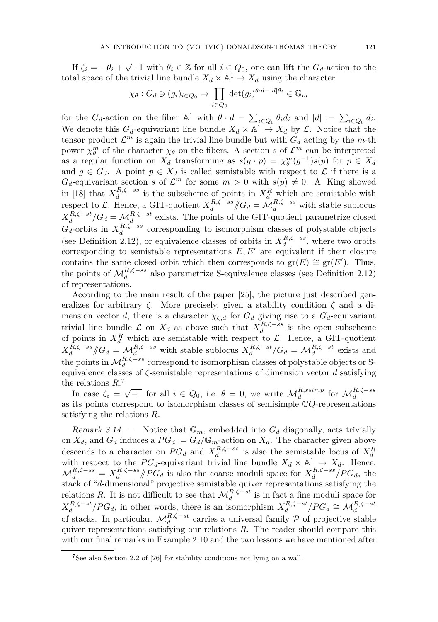If  $\zeta_i = -\theta_i + \sqrt{-1}$  with  $\theta_i \in \mathbb{Z}$  for all  $i \in Q_0$ , one can lift the  $G_d$ -action to the total space of the trivial line bundle  $X_d \times \mathbb{A}^1 \to X_d$  using the character

$$
\chi_{\theta}: G_d \ni (g_i)_{i \in Q_0} \to \prod_{i \in Q_0} \det(g_i)^{\theta \cdot d - |d|\theta_i} \in \mathbb{G}_m
$$

for the  $G_d$ -action on the fiber  $\mathbb{A}^1$  with  $\theta \cdot d = \sum_{i \in Q_0} \theta_i d_i$  and  $|d| := \sum_{i \in Q_0} d_i$ . We denote this  $G_d$ -equivariant line bundle  $X_d \times \mathbb{A}^1 \to X_d$  by  $\mathcal{L}$ . Notice that the tensor product  $\mathcal{L}^m$  is again the trivial line bundle but with  $G_d$  acting by the *m*-th power  $\chi_{\theta}^{m}$  of the character  $\chi_{\theta}$  on the fibers. A section *s* of  $\mathcal{L}^{m}$  can be interpreted as a regular function on  $X_d$  transforming as  $s(g \cdot p) = \chi_{\theta}^{m}(g^{-1})s(p)$  for  $p \in X_d$ and  $g \in G_d$ . A point  $p \in X_d$  is called semistable with respect to  $\mathcal L$  if there is a  $G_d$ -equivariant section *s* of  $\mathcal{L}^m$  for some  $m > 0$  with  $s(p) \neq 0$ . A. King showed in [\[18\]](#page-57-18) that  $X_d^{R,\zeta-ss}$  is the subscheme of points in  $X_d^R$  which are semistable with respect to L. Hence, a GIT-quotient  $X_d^{R,\zeta-ss}/\!\!/G_d = \mathcal{M}_d^{R,\zeta-ss}$  with stable sublocus  $X_d^{R,\zeta-st}/G_d = M_d^{R,\zeta-st}$  exists. The points of the GIT-quotient parametrize closed  $G_d$ -orbits in  $X_d^{R,\zeta-ss}$  corresponding to isomorphism classes of polystable objects (see Definition [2.12\)](#page-0-0), or equivalence classes of orbits in  $X_d^{R,\zeta-ss}$ , where two orbits corresponding to semistable representations  $E, E'$  are equivalent if their closure contains the same closed orbit which then corresponds to  $gr(E) \cong gr(E')$ . Thus, the points of  $\mathcal{M}_d^{R,\zeta-ss}$  also parametrize S-equivalence classes (see Definition [2.12\)](#page-0-0) of representations.

According to the main result of the paper [\[25\]](#page-57-17), the picture just described generalizes for arbitrary *ζ*. More precisely, given a stability condition *ζ* and a dimension vector *d*, there is a character  $\chi_{\zeta,d}$  for  $G_d$  giving rise to a  $G_d$ -equivariant trivial line bundle  $\mathcal{L}$  on  $X_d$  as above such that  $X_d^{R,\zeta-ss}$  is the open subscheme of points in  $X_d^R$  which are semistable with respect to  $\mathcal{L}$ . Hence, a GIT-quotient  $X_d^{R,\zeta-ss}$  *//G*<sub>*d*</sub> =  $\mathcal{M}_d^{R,\zeta-ss}$  with stable sublocus  $X_d^{R,\zeta-st}/G_d = \mathcal{M}_d^{R,\zeta-st}$  exists and the points in  $\mathcal{M}_d^{R,\zeta-ss}$  correspond to isomorphism classes of polystable objects or Sequivalence classes of *ζ*-semistable representations of dimension vector *d* satisfying the relations *R*. 7

In case  $\zeta_i = \sqrt{-1}$  for all  $i \in Q_0$ , i.e.  $\theta = 0$ , we write  $\mathcal{M}_d^{R,ssimp}$  for  $\mathcal{M}_d^{R,\zeta-ss}$ as its points correspond to isomorphism classes of semisimple C*Q*-representations satisfying the relations *R*.

Remark 3.14. — Notice that  $\mathbb{G}_m$ , embedded into  $G_d$  diagonally, acts trivially on  $X_d$ , and  $G_d$  induces a  $PG_d := G_d/\mathbb{G}_m$ -action on  $X_d$ . The character given above descends to a character on  $PG_d$  and  $X_d^{R,\zeta - ss}$  is also the semistable locus of  $X_d^R$ with respect to the  $PG_d$ -equivariant trivial line bundle  $X_d \times \mathbb{A}^1 \to X_d$ . Hence,  $\mathcal{M}_d^{R,\zeta-ss} = X_d^{R,\zeta-ss} / P G_d$  is also the coarse moduli space for  $X_d^{R,\zeta-ss} / P G_d$ , the stack of "*d*-dimensional" projective semistable quiver representations satisfying the relations *R*. It is not difficult to see that  $\mathcal{M}_d^{R,\zeta-st}$  is in fact a fine moduli space for  $X_d^{R,\zeta-st}/PG_d$ , in other words, there is an isomorphism  $X_d^{R,\zeta-st}/PG_d \cong \mathcal{M}_d^{R,\zeta-st}$ <br>of stacks. In particular,  $\mathcal{M}_d^{R,\zeta-st}$  carries a universal family  $\mathcal P$  of projective stable quiver representations satisfying our relations *R*. The reader should compare this with our final remarks in Example [2.10](#page-6-0) and the two lessons we have mentioned after

<sup>7</sup>See also Section 2.2 of [\[26\]](#page-57-13) for stability conditions not lying on a wall.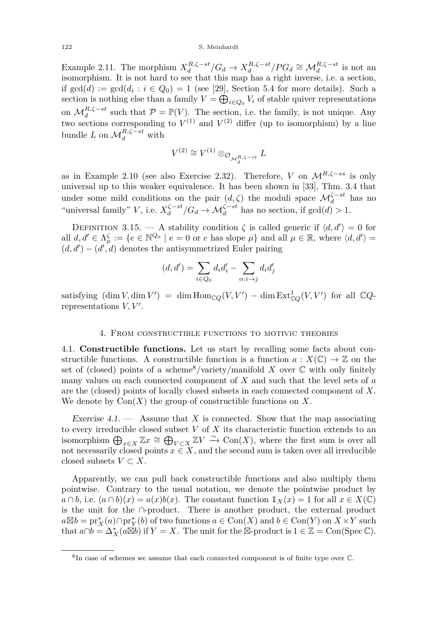Example [2.11.](#page-7-0) The morphism  $X_d^{R,\zeta-st}/G_d \to X_d^{R,\zeta-st}/PG_d \cong \mathcal{M}_d^{R,\zeta-st}$  is not an isomorphism. It is not hard to see that this map has a right inverse, i.e. a section, if  $gcd(d) := gcd(d_i : i \in Q_0) = 1$  (see [\[29\]](#page-57-19), Section 5.4 for more details). Such a section is nothing else than a family  $V = \bigoplus_{i \in Q_0} V_i$  of stable quiver representations on  $\mathcal{M}_d^{R,\zeta-st}$  such that  $\mathcal{P} = \mathbb{P}(V)$ . The section, i.e. the family, is not unique. Any two sections corresponding to  $V^{(1)}$  and  $V^{(2)}$  differ (up to isomorphism) by a line bundle *L* on  $\mathcal{M}_d^{R,\zeta-st}$  with

$$
V^{(2)}\cong V^{(1)}\otimes_{{\mathcal O}_{{\mathcal M}_d^{R,\zeta-st}}}L
$$

as in Example [2.10](#page-6-0) (see also Exercise [2.32\)](#page-15-2). Therefore, *V* on M*R,ζ*−*ss* is only universal up to this weaker equivalence. It has been shown in [\[33\]](#page-57-20), Thm. 3.4 that under some mild conditions on the pair  $(d, \zeta)$  the moduli space  $\mathcal{M}_d^{\zeta - st}$  has no "universal family" *V*, i.e.  $X_d^{\zeta-st}/G_d \to \mathcal{M}_d^{\zeta-st}$  has no section, if  $gcd(d) > 1$ .

<span id="page-22-2"></span>DEFINITION 3.15. — A stability condition  $\zeta$  is called generic if  $\langle d, d' \rangle = 0$  for all  $d, d' \in \Lambda_{\mu}^{\zeta} := \{e \in \mathbb{N}^{Q_0} \mid e = 0 \text{ or } e \text{ has slope } \mu\}$  and all  $\mu \in \mathbb{R}$ , where  $\langle d, d' \rangle =$  $(d, d') - (d', d)$  denotes the antisymmetrized Euler pairing

$$
(d, d') = \sum_{i \in Q_0} d_i d'_i - \sum_{\alpha : i \to j} d_i d'_j
$$

satisfying  $(\dim V, \dim V') = \dim \text{Hom}_{\mathbb{C}Q}(V, V') - \dim \text{Ext}^1_{\mathbb{C}Q}(V, V')$  for all  $\mathbb{C}Q$ representations  $V, V'$ .

#### 4. From constructible functions to motivic theories

<span id="page-22-1"></span><span id="page-22-0"></span>4.1. **Constructible functions.** Let us start by recalling some facts about constructible functions. A constructible function is a function  $a: X(\mathbb{C}) \to \mathbb{Z}$  on the set of (closed) points of a scheme<sup>8</sup>/variety/manifold *X* over  $\mathbb C$  with only finitely many values on each connected component of *X* and such that the level sets of *a* are the (closed) points of locally closed subsets in each connected component of *X*. We denote by  $Con(X)$  the group of constructible functions on X.

Exercise 4.1. — Assume that *X* is connected. Show that the map associating to every irreducible closed subset *V* of *X* its characteristic function extends to an isomorphism  $\bigoplus_{x\in X}\mathbb{Z}x \cong \bigoplus_{V\subset X}\mathbb{Z}V \stackrel{\sim}{\to} \text{Con}(X)$ , where the first sum is over all not necessarily closed points  $x \in X$ , and the second sum is taken over all irreducible closed subsets  $V \subset X$ .

Apparently, we can pull back constructible functions and also multiply them pointwise. Contrary to the usual notation, we denote the pointwise product by *a* ∩ *b*, i.e.  $(a ∩ b)(x) = a(x)b(x)$ . The constant function  $1_X(x) = 1$  for all  $x ∈ X(\mathbb{C})$ is the unit for the ∩-product. There is another product, the external product  $a \boxtimes b = \text{pr}_X^*(a) \cap \text{pr}_Y^*(b)$  of two functions  $a \in \text{Con}(X)$  and  $b \in \text{Con}(Y)$  on  $X \times Y$  such that  $a \cap b = \Delta_X^*(a \boxtimes b)$  if  $Y = X$ . The unit for the  $\boxtimes$ -product is  $1 \in \mathbb{Z} = \text{Con}(\text{Spec } \mathbb{C})$ .

<sup>8</sup> In case of schemes we assume that each connected component is of finite type over C.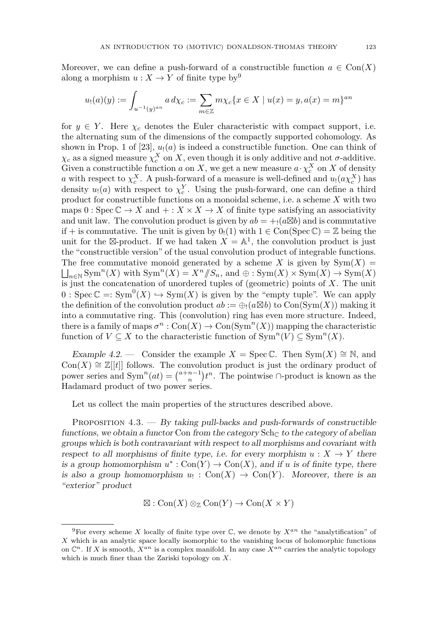Moreover, we can define a push-forward of a constructible function  $a \in \text{Con}(X)$ along a morphism  $u: X \to Y$  of finite type by<sup>9</sup>

$$
u_!(a)(y) := \int_{u^{-1}(y)^{an}} a \, d\chi_c := \sum_{m \in \mathbb{Z}} m \chi_c \{ x \in X \mid u(x) = y, a(x) = m \}^{an}
$$

for  $y \in Y$ . Here  $\chi_c$  denotes the Euler characteristic with compact support, i.e. the alternating sum of the dimensions of the compactly supported cohomology. As shown in Prop. 1 of  $[23]$ ,  $u_!(a)$  is indeed a constructible function. One can think of  $\chi_c$  as a signed measure  $\chi_c^X$  on X, even though it is only additive and not *σ*-additive. Given a constructible function *a* on *X*, we get a new measure  $a \cdot \chi_c^X$  on *X* of density *a* with respect to  $\chi_c^X$ . A push-forward of a measure is well-defined and  $u_!(a\chi_c^X)$  has density  $u_1(a)$  with respect to  $\chi_c^Y$ . Using the push-forward, one can define a third product for constructible functions on a monoidal scheme, i.e. a scheme *X* with two maps  $0: \operatorname{Spec} \mathbb{C} \to X$  and  $+: X \times X \to X$  of finite type satisfying an associativity and unit law. The convolution product is given by  $ab = +_1(a \boxtimes b)$  and is commutative if + is commutative. The unit is given by  $0_1(1)$  with  $1 \in \text{Con}(\text{Spec } \mathbb{C}) = \mathbb{Z}$  being the unit for the  $\boxtimes$ -product. If we had taken  $X = \mathbb{A}^1$ , the convolution product is just the "constructible version" of the usual convolution product of integrable functions. The free commutative monoid generated by a scheme *X* is given by  $Sym(X)$  =  $\bigsqcup_{n\in\mathbb{N}}$  Sym<sup>n</sup>(*X*) with Sym<sup>n</sup>(*X*) = *X*<sup>n</sup> //*S*<sub>n</sub>, and  $\oplus$  : Sym(*X*) × Sym(*X*) → Sym(*X*) is just the concatenation of unordered tuples of (geometric) points of  $X$ . The unit  $0:Spec C =:Sym^0(X) \hookrightarrow Sym(X)$  is given by the "empty tuple". We can apply the definition of the convolution product  $ab := \bigoplus_i (a \boxtimes b)$  to  $Con(\mathrm{Sym}(X))$  making it into a commutative ring. This (convolution) ring has even more structure. Indeed, there is a family of maps  $\sigma^n : \text{Con}(X) \to \text{Con}(\text{Sym}^n(X))$  mapping the characteristic function of  $V \subseteq X$  to the characteristic function of  $\text{Sym}^n(V) \subseteq \text{Sym}^n(X)$ .

Example 4.2. — Consider the example  $X = \text{Spec }\mathbb{C}$ . Then  $\text{Sym}(X) \cong \mathbb{N}$ , and  $Con(X) \cong \mathbb{Z}[[t]]$  follows. The convolution product is just the ordinary product of power series and  $\text{Sym}^n(at) = \binom{a+n-1}{n}t^n$ . The pointwise ∩-product is known as the Hadamard product of two power series.

Let us collect the main properties of the structures described above.

<span id="page-23-0"></span>PROPOSITION  $4.3.$  — By taking pull-backs and push-forwards of constructible functions, we obtain a functor Con from the category  $\text{Sch}_{\mathbb{C}}$  to the category of abelian groups which is both contravariant with respect to all morphisms and covariant with respect to all morphisms of finite type, i.e. for every morphism  $u: X \to Y$  there is a group homomorphism  $u^*: \text{Con}(Y) \to \text{Con}(X)$ , and if *u* is of finite type, there is also a group homomorphism  $u_! : \text{Con}(X) \to \text{Con}(Y)$ . Moreover, there is an "exterior" product

 $\boxtimes$ : Con(*X*)  $\otimes_{\mathbb{Z}}$  Con(*Y*)  $\rightarrow$  Con(*X*  $\times$  *Y*)

<sup>&</sup>lt;sup>9</sup>For every scheme *X* locally of finite type over  $\mathbb{C}$ , we denote by  $X^{an}$  the "analytification" of *X* which is an analytic space locally isomorphic to the vanishing locus of holomorphic functions on  $\mathbb{C}^n$ . If *X* is smooth,  $X^{an}$  is a complex manifold. In any case  $X^{an}$  carries the analytic topology which is much finer than the Zariski topology on *X*.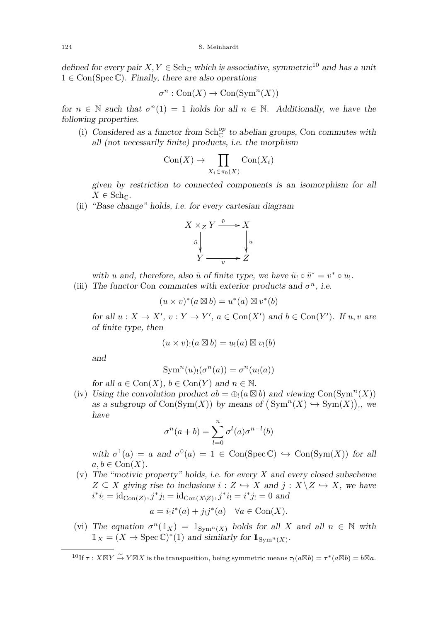defined for every pair  $X, Y \in \text{Sch}_{\mathbb{C}}$  which is associative, symmetric<sup>10</sup> and has a unit  $1 \in \text{Con}(\text{Spec}\,\mathbb{C})$ . Finally, there are also operations

$$
\sigma^n : \mathrm{Con}(X) \to \mathrm{Con}(\mathrm{Sym}^n(X))
$$

for  $n \in \mathbb{N}$  such that  $\sigma^n(1) = 1$  holds for all  $n \in \mathbb{N}$ . Additionally, we have the following properties.

(i) Considered as a functor from  $Sch_{\mathbb{C}}^{op}$  to abelian groups, Con commutes with all (not necessarily finite) products, i.e. the morphism

$$
Con(X) \to \prod_{X_i \in \pi_0(X)} Con(X_i)
$$

given by restriction to connected components is an isomorphism for all  $X \in \mathbf{Sch}_{\mathbb{C}}$ .

(ii) "Base change" holds, i.e. for every cartesian diagram



with *u* and, therefore, also  $\tilde{u}$  of finite type, we have  $\tilde{u}_! \circ \tilde{v}^* = v^* \circ u_!$ .

(iii) The functor Con commutes with exterior products and  $\sigma^n$ , i.e.

$$
(u \times v)^*(a \boxtimes b) = u^*(a) \boxtimes v^*(b)
$$

for all  $u: X \to X'$ ,  $v: Y \to Y'$ ,  $a \in \text{Con}(X')$  and  $b \in \text{Con}(Y')$ . If  $u, v$  are of finite type, then

$$
(u \times v)_!(a \boxtimes b) = u_!(a) \boxtimes v_!(b)
$$

and

$$
\operatorname{Sym}^n(u)_!(\sigma^n(a)) = \sigma^n(u_!(a))
$$

for all  $a \in \text{Con}(X)$ ,  $b \in \text{Con}(Y)$  and  $n \in \mathbb{N}$ .

(iv) Using the convolution product  $ab = \bigoplus_i (a \boxtimes b)$  and viewing Con(Sym<sup>n</sup>(X)) as a subgroup of  $Con(Sym(X))$  by means of  $(Sym^n(X) \hookrightarrow Sym(X))_!$ , we have

$$
\sigma^n(a+b) = \sum_{l=0}^n \sigma^l(a)\sigma^{n-l}(b)
$$

with  $\sigma^1(a) = a$  and  $\sigma^0(a) = 1 \in \text{Con}(\text{Spec}\,\mathbb{C}) \hookrightarrow \text{Con}(\text{Sym}(X))$  for all  $a, b \in \text{Con}(X)$ .

(v) The "motivic property" holds, i.e. for every *X* and every closed subscheme  $Z \subseteq X$  giving rise to inclusions  $i: Z \hookrightarrow X$  and  $j: X \setminus Z \hookrightarrow X$ , we have  $i^*i_! = id_{Con(Z)}, j^*j_! = id_{Con(X \setminus Z)}, j^*i_! = i^*j_! = 0$  and

$$
a = i_!i^*(a) + j_!j^*(a) \quad \forall a \in \text{Con}(X).
$$

(vi) The equation  $\sigma^n(1_X) = 1_{Sym^n(X)}$  holds for all *X* and all  $n \in \mathbb{N}$  with  $\mathbb{1}_X = (X \to \text{Spec} \, \mathbb{C})^*(1)$  and similarly for  $\mathbb{1}_{\text{Sym}^n(X)}$ .

<sup>&</sup>lt;sup>10</sup>If  $\tau$  :  $X \boxtimes Y \overset{\sim}{\to} Y \boxtimes X$  is the transposition, being symmetric means  $\tau_! (a \boxtimes b) = \tau^* (a \boxtimes b) = b \boxtimes a$ .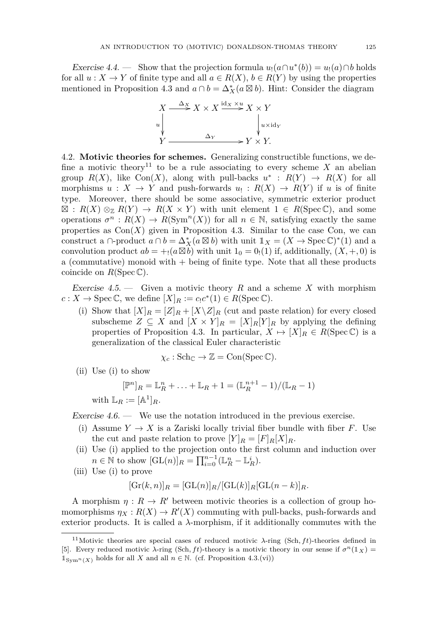Exercise 4.4. — Show that the projection formula  $u_1(a \cap u^*(b)) = u_1(a) \cap b$  holds for all  $u: X \to Y$  of finite type and all  $a \in R(X)$ ,  $b \in R(Y)$  by using the properties mentioned in Proposition [4.3](#page-23-0) and  $a \cap b = \Delta_X^*(a \boxtimes b)$ . Hint: Consider the diagram



<span id="page-25-0"></span>4.2. **Motivic theories for schemes.** Generalizing constructible functions, we define a motivic theory<sup>11</sup> to be a rule associating to every scheme  $X$  an abelian group  $R(X)$ , like Con $(X)$ , along with pull-backs  $u^* : R(Y) \to R(X)$  for all morphisms  $u: X \to Y$  and push-forwards  $u_!: R(X) \to R(Y)$  if *u* is of finite type. Moreover, there should be some associative, symmetric exterior product  $\mathbb{E}: R(X) \otimes_{\mathbb{Z}} R(Y) \to R(X \times Y)$  with unit element  $1 \in R(\text{Spec } \mathbb{C}),$  and some operations  $\sigma^n$ :  $R(X) \to R(\text{Sym}^n(X))$  for all  $n \in \mathbb{N}$ , satisfying exactly the same properties as  $Con(X)$  given in Proposition [4.3.](#page-23-0) Similar to the case Con, we can construct a ∩-product  $a \cap b = \Delta_X^*(a \boxtimes b)$  with unit  $1_X = (X \to \text{Spec } \mathbb{C})^*(1)$  and a convolution product  $ab = +_1(a \boxtimes b)$  with unit  $1_0 = 0_1(1)$  if, additionally,  $(X, +, 0)$  is a (commutative) monoid with  $+$  being of finite type. Note that all these products coincide on  $R(\text{Spec }\mathbb{C}).$ 

<span id="page-25-1"></span>Exercise 4.5. — Given a motivic theory *R* and a scheme *X* with morphism  $c: X \to \operatorname{Spec} \mathbb{C}$ , we define  $[X]_R := c_! c^* (1) \in R(\operatorname{Spec} \mathbb{C})$ .

(i) Show that  $[X]_R = [Z]_R + [X \setminus Z]_R$  (cut and paste relation) for every closed subscheme  $Z \subseteq X$  and  $[X \times Y]_R = [X]_R[Y]_R$  by applying the defining properties of Proposition [4.3.](#page-23-0) In particular,  $X \mapsto [X]_R \in R(\text{Spec } \mathbb{C})$  is a generalization of the classical Euler characteristic

$$
\chi_c : \mathrm{Sch}_{\mathbb{C}} \to \mathbb{Z} = \mathrm{Con}(\mathrm{Spec} \, \mathbb{C}).
$$

(ii) Use (i) to show

$$
[\mathbb{P}^n]_R = \mathbb{L}_R^n + \ldots + \mathbb{L}_R + 1 = (\mathbb{L}_R^{n+1} - 1) / (\mathbb{L}_R - 1)
$$
  
with  $\mathbb{L}_R := [\mathbb{A}^1]_R$ .

<span id="page-25-2"></span>Exercise  $4.6.$  — We use the notation introduced in the previous exercise.

- (i) Assume  $Y \to X$  is a Zariski locally trivial fiber bundle with fiber F. Use the cut and paste relation to prove  $[Y]_R = [F]_R[X]_R$ .
- (ii) Use (i) applied to the projection onto the first column and induction over  $n \in \mathbb{N}$  to show  $[GL(n)]_R = \prod_{i=0}^{n-1} (\mathbb{L}_R^n - \mathbb{L}_R^i).$
- (iii) Use (i) to prove

$$
[\operatorname{Gr}(k,n)]_R = [\operatorname{GL}(n)]_R/[\operatorname{GL}(k)]_R[\operatorname{GL}(n-k)]_R.
$$

A morphism  $\eta: R \to R'$  between motivic theories is a collection of group homomorphisms  $\eta_X: R(X) \to R'(X)$  commuting with pull-backs, push-forwards and exterior products. It is called a  $\lambda$ -morphism, if it additionally commutes with the

<sup>&</sup>lt;sup>11</sup>Motivic theories are special cases of reduced motivic  $\lambda$ -ring (Sch, ft)-theories defined in [\[5\]](#page-56-9). Every reduced motivic  $\lambda$ -ring (Sch, ft)-theory is a motivic theory in our sense if  $\sigma^n(\mathbb{1}_X)$  =  $\mathbb{1}_{\text{Sym}^n(X)}$  holds for all *X* and all  $n \in \mathbb{N}$ . (cf. Proposition [4.3.](#page-23-0)(vi))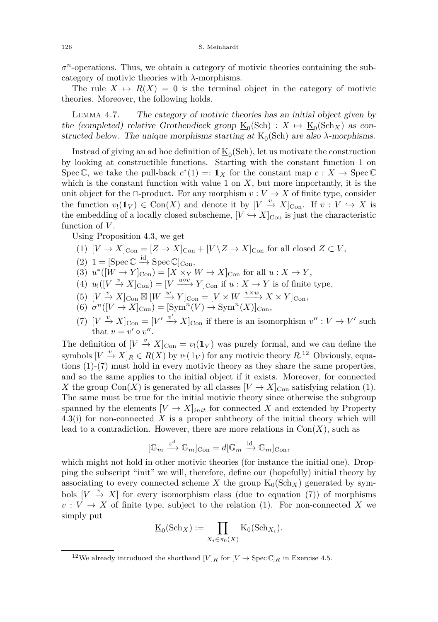$\sigma$ <sup>n</sup>-operations. Thus, we obtain a category of motivic theories containing the subcategory of motivic theories with *λ*-morphisms.

The rule  $X \mapsto R(X) = 0$  is the terminal object in the category of motivic theories. Moreover, the following holds.

<span id="page-26-4"></span>LEMMA  $4.7.$  — The category of motivic theories has an initial object given by the (completed) relative Grothendieck group  $\underline{K}_0(\text{Sch}) : X \mapsto \underline{K}_0(\text{Sch}_X)$  as constructed below. The unique morphisms starting at  $\underline{K}_0(Sch)$  are also  $\lambda$ -morphisms.

Instead of giving an ad hoc definition of  $\underline{\mathrm{K}}_0(\mathrm{Sch})$ , let us motivate the construction by looking at constructible functions. Starting with the constant function 1 on Spec C, we take the pull-back  $c^*(1) =: 1_X$  for the constant map  $c: X \to \text{Spec } \mathbb{C}$ which is the constant function with value 1 on  $X$ , but more importantly, it is the unit object for the ∩-product. For any morphism  $v: V \to X$  of finite type, consider the function  $v_!(\mathbb{I}_V) \in \text{Con}(X)$  and denote it by  $[V \stackrel{v}{\to} X]_{\text{Con}}$ . If  $v: V \hookrightarrow X$  is the embedding of a locally closed subscheme,  $[V \hookrightarrow X]_{\text{Con}}$  is just the characteristic function of *V* .

<span id="page-26-0"></span>Using Proposition [4.3,](#page-23-0) we get

- (1)  $[V \to X]_{\text{Con}} = [Z \to X]_{\text{Con}} + [V \setminus Z \to X]_{\text{Con}}$  for all closed  $Z \subset V$ ,
- <span id="page-26-2"></span>(2)  $1 = \left[\text{Spec} \mathbb{C} \xrightarrow{\text{id}} \text{Spec} \mathbb{C}\right]_{\text{Con}},$
- (3)  $u^*([W \to Y]_{\text{Con}}) = [X \times_Y W \to X]_{\text{Con}}$  for all  $u: X \to Y$ ,
- (4)  $u_!(V \stackrel{v}{\rightarrow} X]_{\text{Con}} = [V \stackrel{u \circ v}{\longrightarrow} Y]_{\text{Con}}$  if  $u : X \to Y$  is of finite type,
- $(V \stackrel{v}{\to} X]_{\text{Con}} \boxtimes [W \stackrel{w}{\to} Y]_{\text{Con}} = [V \times W \stackrel{v \times w}{\longrightarrow} X \times Y]_{\text{Con}}$
- <span id="page-26-3"></span> $(6)$   $\sigma^n([V \to X]_{\text{Con}}) = [\text{Sym}^n(V) \to \text{Sym}^n(X)]_{\text{Con}}$
- <span id="page-26-1"></span>(7)  $[V \stackrel{v}{\to} X]_{\text{Con}} = [V' \stackrel{v'}{\to} X]_{\text{Con}}$  if there is an isomorphism  $v'' : V \to V'$  such that  $v = v' \circ v''$ .

The definition of  $[V \stackrel{v}{\to} X]_{\text{Con}} = v_!(\mathbb{1}_V)$  was purely formal, and we can define the symbols  $[V \stackrel{v}{\to} X]_R \in R(X)$  by  $v_!(1_V)$  for any motivic theory  $R^{12}$  Obviously, equations [\(1\)](#page-26-0)-[\(7\)](#page-26-1) must hold in every motivic theory as they share the same properties, and so the same applies to the initial object if it exists. Moreover, for connected *X* the group Con(*X*) is generated by all classes  $[V \to X]_{\text{Con}}$  satisfying relation [\(1\)](#page-26-0). The same must be true for the initial motivic theory since otherwise the subgroup spanned by the elements  $[V \to X]_{init}$  for connected X and extended by Property [4.3\(](#page-23-0)i) for non-connected *X* is a proper subtheory of the initial theory which will lead to a contradiction. However, there are more relations in  $Con(X)$ , such as

$$
[\mathbb{G}_m \xrightarrow{z^d} \mathbb{G}_m]_{\mathrm{Con}} = d[\mathbb{G}_m \xrightarrow{\mathrm{id}} \mathbb{G}_m]_{\mathrm{Con}},
$$

which might not hold in other motivic theories (for instance the initial one). Dropping the subscript "init" we will, therefore, define our (hopefully) initial theory by associating to every connected scheme *X* the group  $K_0(Sch_X)$  generated by symbols  $[V \stackrel{v}{\to} X]$  for every isomorphism class (due to equation [\(7\)](#page-26-1)) of morphisms  $v: V \to X$  of finite type, subject to the relation [\(1\)](#page-26-0). For non-connected X we simply put

$$
\underline{\mathrm{K}}_0(\mathrm{Sch}_X) := \prod_{X_i \in \pi_0(X)} \mathrm{K}_0(\mathrm{Sch}_{X_i}).
$$

<sup>&</sup>lt;sup>12</sup>We already introduced the shorthand  $[V]_R$  for  $[V \to \text{Spec } \mathbb{C}]_R$  in Exercise [4.5.](#page-25-1)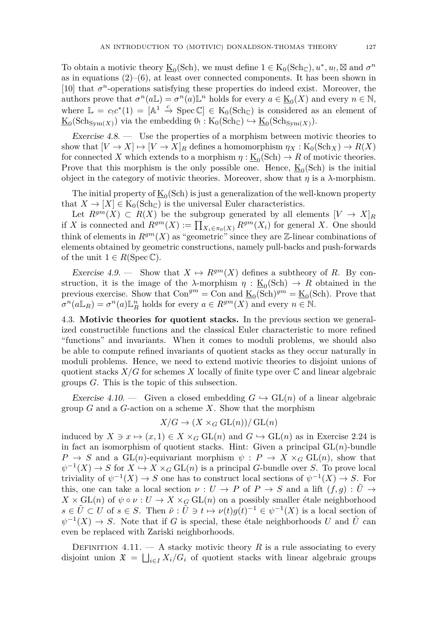To obtain a motivic theory  $\underline{\mathbf{K}}_0(\text{Sch})$ , we must define  $1 \in \mathbf{K}_0(\text{Sch}_{\mathbb{C}}), u^*, u_!, \boxtimes$  and  $\sigma^n$ as in equations  $(2)$ –[\(6\)](#page-26-3), at least over connected components. It has been shown in [\[10\]](#page-56-10) that  $\sigma^n$ -operations satisfying these properties do indeed exist. Moreover, the authors prove that  $\sigma^n(a\mathbb{L}) = \sigma^n(a)\mathbb{L}^n$  holds for every  $a \in \underline{\mathrm{K}}_0(X)$  and every  $n \in \mathbb{N}$ , where  $\mathbb{L} = c_! c^* (1) = [\mathbb{A}^1 \stackrel{c}{\to} \text{Spec } \mathbb{C}] \in K_0(\text{Sch}_{\mathbb{C}})$  is considered as an element of  $\underline{\mathrm{K}}_0(\mathrm{Sch}_{\mathrm{Sym}(X)})$  via the embedding  $0_! : \mathrm{K}_0(\mathrm{Sch}_{\mathbb{C}}) \hookrightarrow \underline{\mathrm{K}}_0(\mathrm{Sch}_{\mathrm{Sym}(X)}).$ 

Exercise 4.8. — Use the properties of a morphism between motivic theories to show that  $[V \to X] \mapsto [V \to X]_R$  defines a homomorphism  $\eta_X : K_0(\text{Sch}_X) \to R(X)$ for connected *X* which extends to a morphism  $\eta : \underline{K}_0(\text{Sch}) \to R$  of motivic theories. Prove that this morphism is the only possible one. Hence,  $\underline{K}_0(Sch)$  is the initial object in the category of motivic theories. Moreover, show that  $\eta$  is a  $\lambda$ -morphism.

The initial property of  $\underline{\mathrm{K}}_0(\mathrm{Sch})$  is just a generalization of the well-known property that  $X \to [X] \in K_0(\text{Sch}_{\mathbb{C}})$  is the universal Euler characteristics.

Let  $R^{gm}(X) \subset R(X)$  be the subgroup generated by all elements  $[V \to X]_R$ if *X* is connected and  $R^{gm}(X) := \prod_{X_i \in \pi_0(X)} R^{gm}(X_i)$  for general *X*. One should think of elements in  $R^{gm}(X)$  as "geometric" since they are  $\mathbb{Z}$ -linear combinations of elements obtained by geometric constructions, namely pull-backs and push-forwards of the unit  $1 \in R(\text{Spec } \mathbb{C}).$ 

<span id="page-27-2"></span>Exercise 4.9. — Show that  $X \mapsto R^{gm}(X)$  defines a subtheory of R. By construction, it is the image of the  $\lambda$ -morphism  $\eta : \underline{K}_0(\text{Sch}) \to R$  obtained in the previous exercise. Show that  $Con^{gm} = Con$  and  $\underline{\mathbf{K}}_0(Sch)^{gm} = \underline{\mathbf{K}}_0(Sch)$ . Prove that  $\sigma^n(a\mathbb{L}_R) = \sigma^n(a)\mathbb{L}_R^n$  holds for every  $a \in R^{gm}(X)$  and every  $n \in \mathbb{N}$ .

<span id="page-27-0"></span>4.3. **Motivic theories for quotient stacks.** In the previous section we generalized constructible functions and the classical Euler characteristic to more refined "functions" and invariants. When it comes to moduli problems, we should also be able to compute refined invariants of quotient stacks as they occur naturally in moduli problems. Hence, we need to extend motivic theories to disjoint unions of quotient stacks  $X/G$  for schemes X locally of finite type over  $\mathbb C$  and linear algebraic groups *G*. This is the topic of this subsection.

<span id="page-27-1"></span>Exercise 4.10. — Given a closed embedding  $G \hookrightarrow GL(n)$  of a linear algebraic group *G* and a *G*-action on a scheme *X*. Show that the morphism

$$
X/G \to (X \times_G GL(n))/GL(n)
$$

induced by  $X \ni x \mapsto (x, 1) \in X \times_G \mathrm{GL}(n)$  and  $G \hookrightarrow \mathrm{GL}(n)$  as in Exercise [2.24](#page-0-0) is in fact an isomorphism of quotient stacks. Hint: Given a principal  $GL(n)$ -bundle  $P \rightarrow S$  and a GL(*n*)-equivariant morphism  $\psi : P \rightarrow X \times_G GL(n)$ , show that  $\psi^{-1}(X) \to S$  for  $X \hookrightarrow X \times_G \mathrm{GL}(n)$  is a principal *G*-bundle over *S*. To prove local triviality of  $\psi^{-1}(X) \to S$  one has to construct local sections of  $\psi^{-1}(X) \to S$ . For this, one can take a local section  $\nu: U \to P$  of  $P \to S$  and a lift  $(f, g): \tilde{U} \to$  $X \times GL(n)$  of  $\psi \circ \nu : U \to X \times_G GL(n)$  on a possibly smaller étale neighborhood  $s \in \tilde{U} \subset U$  of  $s \in S$ . Then  $\tilde{\nu}: \tilde{U} \ni t \mapsto \nu(t)g(t)^{-1} \in \psi^{-1}(X)$  is a local section of  $\psi^{-1}(X) \to S$ . Note that if *G* is special, these étale neighborhoods *U* and  $\tilde{U}$  can even be replaced with Zariski neighborhoods.

DEFINITION  $4.11.$  – A stacky motivic theory R is a rule associating to every disjoint union  $\mathfrak{X} = \bigsqcup_{i \in I} X_i/G_i$  of quotient stacks with linear algebraic groups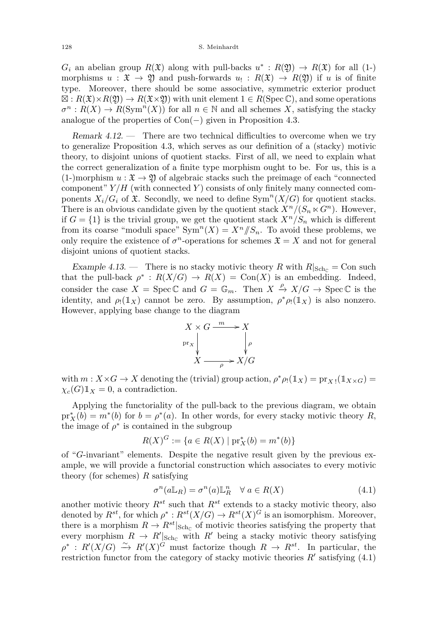#### 128 S. Meinhardt

 $G_i$  an abelian group  $R(\mathfrak{X})$  along with pull-backs  $u^*: R(\mathfrak{Y}) \to R(\mathfrak{X})$  for all (1-) morphisms  $u : \mathfrak{X} \to \mathfrak{Y}$  and push-forwards  $u_! : R(\mathfrak{X}) \to R(\mathfrak{Y})$  if *u* is of finite type. Moreover, there should be some associative, symmetric exterior product  $\mathbb{Z}: R(\mathfrak{X}) \times R(\mathfrak{Y}) \to R(\mathfrak{X} \times \mathfrak{Y})$  with unit element  $1 \in R(\mathrm{Spec} \mathbb{C})$ , and some operations  $\sigma^n$ :  $R(X) \to R(\text{Sym}^n(X))$  for all  $n \in \mathbb{N}$  and all schemes *X*, satisfying the stacky analogue of the properties of  $Con(-)$  given in Proposition [4.3.](#page-23-0)

Remark 4.12. — There are two technical difficulties to overcome when we try to generalize Proposition [4.3,](#page-23-0) which serves as our definition of a (stacky) motivic theory, to disjoint unions of quotient stacks. First of all, we need to explain what the correct generalization of a finite type morphism ought to be. For us, this is a  $(1-)$ morphism  $u : \mathfrak{X} \to \mathfrak{Y}$  of algebraic stacks such the preimage of each "connected" component" *Y /H* (with connected *Y* ) consists of only finitely many connected components  $X_i/G_i$  of  $\mathfrak X$ . Secondly, we need to define  $\text{Sym}^n(X/G)$  for quotient stacks. There is an obvious candidate given by the quotient stack  $X^n/(S_n \ltimes G^n)$ . However, if  $G = \{1\}$  is the trivial group, we get the quotient stack  $X^n/S_n$  which is different from its coarse "moduli space"  $Sym^n(X) = X^n / S_n$ . To avoid these problems, we only require the existence of  $\sigma^n$ -operations for schemes  $\mathfrak{X} = X$  and not for general disjoint unions of quotient stacks.

Example 4.13. — There is no stacky motivic theory *R* with  $R|_{\text{Sch}_{\mathbb{C}}} = \text{Con such}$ that the pull-back  $\rho^*$ :  $R(X/G) \to R(X) = \text{Con}(X)$  is an embedding. Indeed, consider the case  $X = \text{Spec } \mathbb{C}$  and  $G = \mathbb{G}_m$ . Then  $X \stackrel{\rho}{\to} X/G \to \text{Spec } \mathbb{C}$  is the identity, and  $\rho_!(1_X)$  cannot be zero. By assumption,  $\rho^* \rho_!(1_X)$  is also nonzero. However, applying base change to the diagram

$$
X \times G \xrightarrow{m} X
$$
  
pr<sub>x</sub>  $\downarrow \qquad \qquad \downarrow \rho$   

$$
X \xrightarrow{\rho} X/G
$$

with  $m: X \times G \to X$  denoting the (trivial) group action,  $\rho^* \rho_!(1\mathbb{1}_X) = \text{pr}_{X} \cdot (1\mathbb{1}_{X \times G}) =$  $\chi_c(G) \mathbb{1}_X = 0$ , a contradiction.

Applying the functoriality of the pull-back to the previous diagram, we obtain  $pr_X^*(b) = m^*(b)$  for  $b = \rho^*(a)$ . In other words, for every stacky motivic theory *R*, the image of  $\rho^*$  is contained in the subgroup

$$
R(X)^G := \{ a \in R(X) \mid pr_X^*(b) = m^*(b) \}
$$

of "*G*-invariant" elements. Despite the negative result given by the previous example, we will provide a functorial construction which associates to every motivic theory (for schemes) *R* satisfying

<span id="page-28-0"></span>
$$
\sigma^n(a\mathbb{L}_R) = \sigma^n(a)\mathbb{L}_R^n \quad \forall \ a \in R(X)
$$
\n(4.1)

another motivic theory  $R^{st}$  such that  $R^{st}$  extends to a stacky motivic theory, also denoted by  $R^{st}$ , for which  $\rho^*: R^{st}(X/G) \to R^{st}(X)^G$  is an isomorphism. Moreover, there is a morphism  $R \to R^{st}|_{\text{Sch}_\mathbb{C}}$  of motivic theories satisfying the property that every morphism  $R \to R'|_{\text{Sch}_\mathbb{C}}$  with  $R'$  being a stacky motivic theory satisfying  $\rho^*$ :  $R'(X/G) \xrightarrow{\sim} R'(X)^G$  must factorize though  $R \to R^{st}$ . In particular, the restriction functor from the category of stacky motivic theories  $R'$  satisfying  $(4.1)$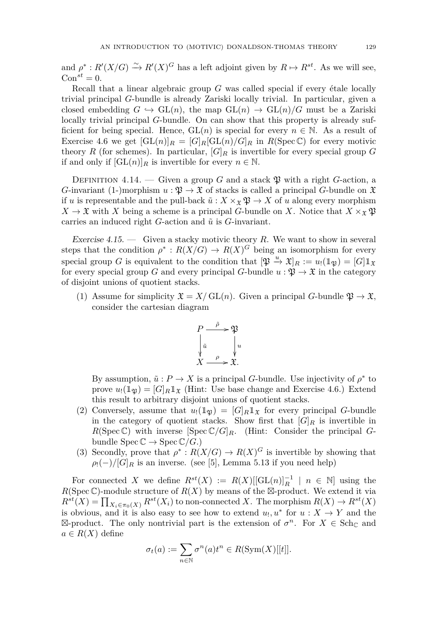and  $\rho^* : R'(X/G) \xrightarrow{\sim} R'(X)^G$  has a left adjoint given by  $R \mapsto R^{st}$ . As we will see,  $Con^{st} = 0.$ 

Recall that a linear algebraic group *G* was called special if every étale locally trivial principal *G*-bundle is already Zariski locally trivial. In particular, given a closed embedding  $G \hookrightarrow GL(n)$ , the map  $GL(n) \rightarrow GL(n)/G$  must be a Zariski locally trivial principal *G*-bundle. On can show that this property is already sufficient for being special. Hence,  $GL(n)$  is special for every  $n \in \mathbb{N}$ . As a result of Exercise [4.6](#page-25-2) we get  $[\text{GL}(n)]_R = [G]_R[\text{GL}(n)/G]_R$  in  $R(\text{Spec }\mathbb{C})$  for every motivic theory *R* (for schemes). In particular,  $|G|_R$  is invertible for every special group *G* if and only if  $[\mathrm{GL}(n)]_R$  is invertible for every  $n \in \mathbb{N}$ .

DEFINITION 4.14. — Given a group G and a stack  $\mathfrak{B}$  with a right G-action, a *G*-invariant (1-)morphism  $u : \mathfrak{P} \to \mathfrak{X}$  of stacks is called a principal *G*-bundle on  $\mathfrak{X}$ if *u* is representable and the pull-back  $\tilde{u}: X \times_{\mathfrak{X}} \mathfrak{P} \to X$  of *u* along every morphism  $X \to \mathfrak{X}$  with *X* being a scheme is a principal *G*-bundle on *X*. Notice that  $X \times_{\mathfrak{X}} \mathfrak{P}$ carries an induced right *G*-action and  $\tilde{u}$  is *G*-invariant.

Exercise 4.15. — Given a stacky motivic theory *R*. We want to show in several steps that the condition  $\rho^* : R(X/G) \to R(X)^G$  being an isomorphism for every special group *G* is equivalent to the condition that  $[\mathfrak{P} \stackrel{u}{\to} \mathfrak{X}]_R := u_! (\mathbb{1}_{\mathfrak{P}}) = [G] \mathbb{1}_{\mathfrak{X}}$ for every special group *G* and every principal *G*-bundle  $u : \mathfrak{P} \to \mathfrak{X}$  in the category of disjoint unions of quotient stacks.

(1) Assume for simplicity  $\mathfrak{X} = X/\operatorname{GL}(n)$ . Given a principal *G*-bundle  $\mathfrak{P} \to \mathfrak{X}$ , consider the cartesian diagram



By assumption,  $\tilde{u}: P \to X$  is a principal *G*-bundle. Use injectivity of  $\rho^*$  to prove  $u_1(\mathbb{1}_\mathfrak{B}) = [G]_R \mathbb{1}_{\mathfrak{X}}$  (Hint: Use base change and Exercise [4.6.](#page-25-2)) Extend this result to arbitrary disjoint unions of quotient stacks.

- (2) Conversely, assume that  $u_!(1\mathfrak{g}) = [G]_R 1\mathfrak{g}$  for every principal *G*-bundle in the category of quotient stacks. Show first that  $[G]_R$  is invertible in  $R(\text{Spec }\mathbb{C})$  with inverse  $[\text{Spec }\mathbb{C}/G]_R$ . (Hint: Consider the principal *G*bundle  $\text{Spec} \mathbb{C} \to \text{Spec} \mathbb{C}/G$ .)
- (3) Secondly, prove that  $\rho^*: R(X/G) \to R(X)^G$  is invertible by showing that  $\rho_1(-)/[G]_R$  is an inverse. (see [\[5\]](#page-56-9), Lemma 5.13 if you need help)

For connected *X* we define  $R^{st}(X) := R(X)[[\text{GL}(n)]_R^{-1} | n \in \mathbb{N}]$  using the  $R(\text{Spec }\mathbb{C})$ -module structure of  $R(X)$  by means of the  $\mathbb{Z}$ -product. We extend it via  $R^{st}(X) = \prod_{X_i \in \pi_0(X)} R^{st}(X_i)$  to non-connected *X*. The morphism  $R(X) \to R^{st}(X)$ is obvious, and it is also easy to see how to extend  $u_1, u^*$  for  $u: X \to Y$  and the  $\boxtimes$ -product. The only nontrivial part is the extension of  $\sigma^n$ . For  $X \in \text{Sch}_{\mathbb{C}}$  and  $a \in R(X)$  define

$$
\sigma_t(a) := \sum_{n \in \mathbb{N}} \sigma^n(a) t^n \in R(\text{Sym}(X)[[t]].
$$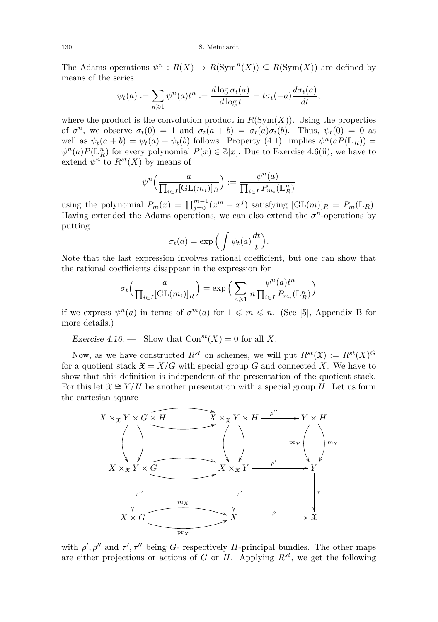#### 130 S. Meinhardt

The Adams operations  $\psi^n : R(X) \to R(\text{Sym}^n(X)) \subseteq R(\text{Sym}(X))$  are defined by means of the series

$$
\psi_t(a) := \sum_{n \geqslant 1} \psi^n(a) t^n := \frac{d \log \sigma_t(a)}{d \log t} = t \sigma_t(-a) \frac{d \sigma_t(a)}{dt},
$$

where the product is the convolution product in  $R(Sym(X))$ . Using the properties of  $\sigma^n$ , we observe  $\sigma_t(0) = 1$  and  $\sigma_t(a + b) = \sigma_t(a)\sigma_t(b)$ . Thus,  $\psi_t(0) = 0$  as well as  $\psi_t(a+b) = \psi_t(a) + \psi_t(b)$  follows. Property [\(4.1\)](#page-28-0) implies  $\psi^n(aP(\mathbb{L}_R))$  =  $\psi^{n}(a)P(\mathbb{L}_R^n)$  for every polynomial  $P(x) \in \mathbb{Z}[x]$ . Due to Exercise [4.6\(](#page-25-2)ii), we have to extend  $\psi^n$  to  $R^{st}(X)$  by means of

$$
\psi^n\left(\frac{a}{\prod_{i\in I}[\operatorname{GL}(m_i)]_R}\right):=\frac{\psi^n(a)}{\prod_{i\in I}P_{m_i}(\mathbb{L}_R^n)}
$$

using the polynomial  $P_m(x) = \prod_{j=0}^{m-1} (x^m - x^j)$  satisfying  $[\text{GL}(m)]_R = P_m(\mathbb{L}_R)$ . Having extended the Adams operations, we can also extend the  $\sigma^n$ -operations by putting

$$
\sigma_t(a) = \exp\Big(\int \psi_t(a)\frac{dt}{t}\Big).
$$

Note that the last expression involves rational coefficient, but one can show that the rational coefficients disappear in the expression for

$$
\sigma_t\left(\frac{a}{\prod_{i\in I}[\text{GL}(m_i)]_R}\right) = \exp\left(\sum_{n\geq 1} \frac{\psi^n(a)t^n}{n\prod_{i\in I} P_{m_i}(\mathbb{L}_R^n)}\right)
$$

if we express  $\psi^{n}(a)$  in terms of  $\sigma^{m}(a)$  for  $1 \leqslant m \leqslant n$ . (See [\[5\]](#page-56-9), Appendix B for more details.)

Exercise 4.16. — Show that  $Con^{st}(X) = 0$  for all X.

Now, as we have constructed  $R^{st}$  on schemes, we will put  $R^{st}(\mathfrak{X}) := R^{st}(X)^G$ for a quotient stack  $\mathfrak{X} = X/G$  with special group G and connected X. We have to show that this definition is independent of the presentation of the quotient stack. For this let  $\mathfrak{X} \cong Y/H$  be another presentation with a special group *H*. Let us form the cartesian square



with  $\rho'$ ,  $\rho''$  and  $\tau'$ ,  $\tau''$  being *G*- respectively *H*-principal bundles. The other maps are either projections or actions of *G* or *H*. Applying  $R^{st}$ , we get the following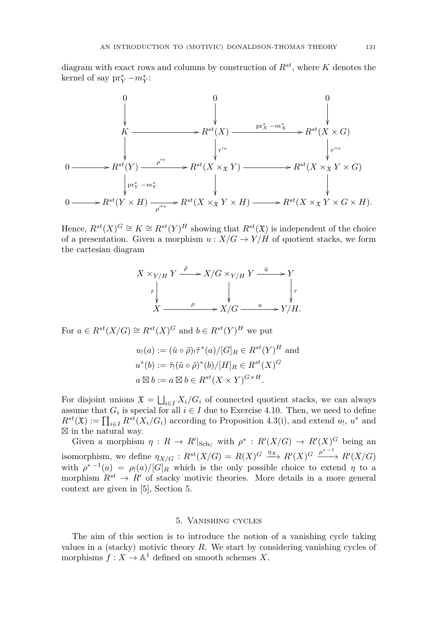diagram with exact rows and columns by construction of *Rst*, where *K* denotes the kernel of say  $\text{pr}_Y^* - m_Y^*$ :



Hence,  $R^{st}(X)^G \cong K \cong R^{st}(Y)^H$  showing that  $R^{st}(\mathfrak{X})$  is independent of the choice of a presentation. Given a morphism  $u : X/G \to Y/H$  of quotient stacks, we form the cartesian diagram

$$
X \times_{Y/H} Y \xrightarrow{\tilde{\rho}} X/G \times_{Y/H} Y \xrightarrow{\tilde{u}} Y
$$

$$
\tilde{\tau} \downarrow \qquad \qquad \downarrow \qquad \qquad \downarrow \tau
$$

$$
X \xrightarrow{\rho} X/G \xrightarrow{u} Y/H.
$$

For  $a \in R^{st}(X/G) \cong R^{st}(X)^G$  and  $b \in R^{st}(Y)^H$  we put

$$
u_!(a) := (\tilde{u} \circ \tilde{\rho})_! \tilde{\tau}^*(a) / [G]_R \in R^{st}(Y)^H \text{ and}
$$
  

$$
u^*(b) := \tilde{\tau}_! (\tilde{u} \circ \tilde{\rho})^*(b) / [H]_R \in R^{st}(X)^G
$$
  

$$
a \boxtimes b := a \boxtimes b \in R^{st}(X \times Y)^{G \times H}.
$$

For disjoint unions  $\mathfrak{X} = \bigsqcup_{i \in I} X_i/G_i$  of connected quotient stacks, we can always assume that  $G_i$  is special for all  $i \in I$  due to Exercise [4.10.](#page-27-1) Then, we need to define  $R^{st}(\mathfrak{X}) := \prod_{i \in I} R^{st}(X_i/G_i)$  according to Proposition [4.3\(](#page-23-0)i), and extend *u*<sub>1</sub>, *u*<sup>\*</sup> and  $\boxtimes$  in the natural way.

Given a morphism  $\eta: R \to R' |_{Sch_C}$  with  $\rho^*: R'(X/G) \to R'(X)^G$  being an isomorphism, we define  $\eta_{X/G}: R^{st}(X/G) = R(X)^G \xrightarrow{\eta_X} R'(X)^G \xrightarrow{\rho^{*-1}} R'(X/G)$ with  $\rho^{*-1}(a) = \rho_!(a)/[G]_R$  which is the only possible choice to extend  $\eta$  to a morphism  $R^{st} \to R'$  of stacky motivic theories. More details in a more general context are given in [\[5\]](#page-56-9), Section 5.

#### 5. Vanishing cycles

<span id="page-31-0"></span>The aim of this section is to introduce the notion of a vanishing cycle taking values in a (stacky) motivic theory *R*. We start by considering vanishing cycles of morphisms  $f: X \to \mathbb{A}^1$  defined on smooth schemes X.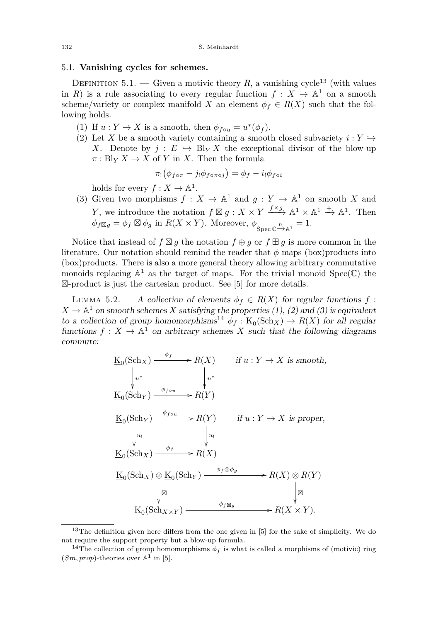#### <span id="page-32-0"></span>5.1. **Vanishing cycles for schemes.**

DEFINITION 5.1. — Given a motivic theory R, a vanishing cycle<sup>13</sup> (with values in *R*) is a rule associating to every regular function  $f: X \to \mathbb{A}^1$  on a smooth scheme/variety or complex manifold *X* an element  $\phi_f \in R(X)$  such that the following holds.

- (1) If  $u: Y \to X$  is a smooth, then  $\phi_{f \circ u} = u^*(\phi_f)$ .
- (2) Let *X* be a smooth variety containing a smooth closed subvariety  $i: Y \hookrightarrow$ *X*. Denote by  $j: E \hookrightarrow B\vert_Y X$  the exceptional divisor of the blow-up  $\pi: \text{Bl}_Y X \to X$  of *Y* in *X*. Then the formula

$$
\pi_! \big(\phi_{f \circ \pi} - j_! \phi_{f \circ \pi \circ j}\big) = \phi_f - i_! \phi_{f \circ i}
$$

holds for every  $f: X \to \mathbb{A}^1$ .

(3) Given two morphisms  $f: X \to \mathbb{A}^1$  and  $g: Y \to \mathbb{A}^1$  on smooth X and *Y*, we introduce the notation  $f \boxtimes g : X \times Y \xrightarrow{f \times g} \mathbb{A}^1 \times \mathbb{A}^1 \xrightarrow{+} \mathbb{A}^1$ . Then  $\phi_f \boxtimes_g = \phi_f \boxtimes \phi_g$  in  $R(X \times Y)$ . Moreover,  $\phi_{\text{Spec } \mathbb{C} \xrightarrow{\circ} \mathbb{A}^1} = 1$ .

Notice that instead of  $f \boxtimes g$  the notation  $f \oplus g$  or  $f \boxplus g$  is more common in the literature. Our notation should remind the reader that  $\phi$  maps (box)products into (box)products. There is also a more general theory allowing arbitrary commutative monoids replacing  $\mathbb{A}^1$  as the target of maps. For the trivial monoid  $Spec(\mathbb{C})$  the --product is just the cartesian product. See [\[5\]](#page-56-9) for more details.

<span id="page-32-1"></span>LEMMA 5.2. — A collection of elements  $\phi_f \in R(X)$  for regular functions  $f$ :  $X \to \mathbb{A}^1$  on smooth schemes *X* satisfying the properties (1), (2) and (3) is equivalent to a collection of group homomorphisms<sup>14</sup>  $\phi_f : \underline{\mathrm{K}}_0(\mathrm{Sch}_X) \to R(X)$  for all regular functions  $f: X \to \mathbb{A}^1$  on arbitrary schemes X such that the following diagrams commute:

$$
\underline{K}_{0}(\text{Sch}_{X}) \xrightarrow{\phi_{f}} R(X) \quad \text{if } u: Y \to X \text{ is smooth,}
$$
\n
$$
\downarrow u^* \qquad \qquad \downarrow u^*
$$
\n
$$
\underline{K}_{0}(\text{Sch}_{Y}) \xrightarrow{\phi_{f \circ u}} R(Y)
$$
\n
$$
\underline{K}_{0}(\text{Sch}_{Y}) \xrightarrow{\phi_{f \circ u}} R(Y) \quad \text{if } u: Y \to X \text{ is proper,}
$$
\n
$$
\downarrow u_! \qquad \qquad \downarrow u_!
$$
\n
$$
\underline{K}_{0}(\text{Sch}_{X}) \xrightarrow{\phi_{f}} R(X)
$$
\n
$$
\underline{K}_{0}(\text{Sch}_{X}) \otimes \underline{K}_{0}(\text{Sch}_{Y}) \xrightarrow{\phi_{f} \otimes \phi_{g}} R(X) \otimes R(Y)
$$
\n
$$
\downarrow \otimes \qquad \qquad \downarrow u_! \qquad \qquad \downarrow u_! \qquad \qquad \downarrow u_! \qquad \qquad \downarrow u_! \qquad \qquad \downarrow u_! \qquad \qquad \downarrow u_! \qquad \qquad \downarrow u_! \qquad \qquad \downarrow u_! \qquad \qquad \downarrow u_! \qquad \qquad \downarrow u_! \qquad \qquad \downarrow u_! \qquad \qquad \downarrow u_! \qquad \qquad \downarrow u_! \qquad \qquad \downarrow u_! \qquad \qquad \downarrow u_! \qquad \qquad \downarrow u_! \qquad \qquad \downarrow u_! \qquad \qquad \downarrow u_! \qquad \qquad \downarrow u_! \qquad \qquad \downarrow u_! \qquad \qquad \downarrow u_! \qquad \qquad \downarrow u_! \qquad \qquad \downarrow u_! \qquad \qquad \downarrow u_! \qquad \qquad \downarrow u_! \qquad \qquad \downarrow u_! \qquad \qquad \downarrow u_! \qquad \qquad \downarrow u_! \qquad \qquad \downarrow u_! \qquad \qquad \downarrow u_! \qquad \qquad \downarrow u_! \qquad \qquad \downarrow u_! \qquad \qquad \downarrow u_! \qquad \qquad \downarrow u_! \qquad \qquad \downarrow u_! \qquad \qquad \downarrow u_! \qquad \qquad \downarrow u_! \qquad \qquad \downarrow u_! \qquad \
$$

<sup>&</sup>lt;sup>13</sup>The definition given here differs from the one given in [\[5\]](#page-56-9) for the sake of simplicity. We do not require the support property but a blow-up formula.

<sup>&</sup>lt;sup>14</sup>The collection of group homomorphisms  $\phi_f$  is what is called a morphisms of (motivic) ring  $(Sm, prop)$ -theories over  $\mathbb{A}^1$  in [\[5\]](#page-56-9).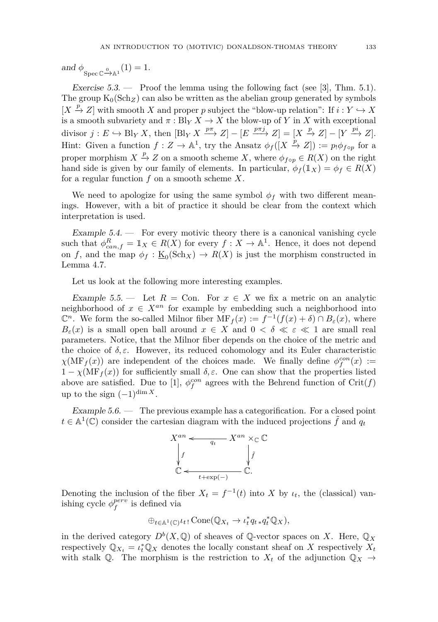and  $\phi_{\text{Spec }\mathbb{C} \xrightarrow{\scriptscriptstyle 0} \mathbb{A}^1}(1) = 1.$ 

Exercise  $5.3.$  — Proof the lemma using the following fact (see [\[3\]](#page-56-11), Thm.  $5.1$ ). The group  $K_0(Sch_Z)$  can also be written as the abelian group generated by symbols  $[X \stackrel{p}{\to} Z]$  with smooth *X* and proper *p* subject the "blow-up relation": If  $i: Y \hookrightarrow X$ is a smooth subvariety and  $\pi$ : Bl<sub>*Y*</sub>  $X \to X$  the blow-up of *Y* in *X* with exceptional divisor  $j: E \hookrightarrow \text{Bl}_Y X$ , then  $[\text{Bl}_Y X \xrightarrow{p\pi} Z] - [E \xrightarrow{p\pi j} Z] = [X \xrightarrow{p} Z] - [Y \xrightarrow{pi} Z]$ . Hint: Given a function  $f: Z \to \mathbb{A}^1$ , try the Ansatz  $\phi_f([X \xrightarrow{p} Z]) := p_1 \phi_{f \circ p}$  for a proper morphism  $X \stackrel{p}{\to} Z$  on a smooth scheme *X*, where  $\phi_{f \circ p} \in R(X)$  on the right hand side is given by our family of elements. In particular,  $\phi_f(\mathbb{1}_X) = \phi_f \in R(X)$ for a regular function *f* on a smooth scheme *X*.

We need to apologize for using the same symbol  $\phi_f$  with two different meanings. However, with a bit of practice it should be clear from the context which interpretation is used.

Example  $5.4.$  — For every motivic theory there is a canonical vanishing cycle such that  $\phi_{can,f}^R = \mathbb{1}_X \in R(X)$  for every  $f: X \to \mathbb{A}^1$ . Hence, it does not depend on *f*, and the map  $\phi_f : \underline{\mathbf{K}}_0(\text{Sch}_X) \to R(X)$  is just the morphism constructed in Lemma [4.7.](#page-26-4)

Let us look at the following more interesting examples.

Example 5.5. — Let  $R = \text{Con.}$  For  $x \in X$  we fix a metric on an analytic neighborhood of  $x \in X^{an}$  for example by embedding such a neighborhood into  $\mathbb{C}^n$ . We form the so-called Milnor fiber  $\text{MF}_f(x) := f^{-1}(f(x) + \delta) \cap B_{\varepsilon}(x)$ , where  $B_{\varepsilon}(x)$  is a small open ball around  $x \in X$  and  $0 < \delta \ll \varepsilon \ll 1$  are small real parameters. Notice, that the Milnor fiber depends on the choice of the metric and the choice of  $\delta, \varepsilon$ . However, its reduced cohomology and its Euler characteristic  $\chi(MF_f(x))$  are independent of the choices made. We finally define  $\phi_f^{con}(x)$  :=  $1 - \chi(\text{MF}_f(x))$  for sufficiently small  $\delta, \varepsilon$ . One can show that the properties listed above are satisfied. Due to [\[1\]](#page-56-2),  $\phi_f^{con}$  agrees with the Behrend function of  $\text{Crit}(f)$ up to the sign  $(-1)^{\dim X}$ .

Example 5.6. — The previous example has a categorification. For a closed point  $t \in \mathbb{A}^1(\mathbb{C})$  consider the cartesian diagram with the induced projections  $\tilde{f}$  and  $q_t$ 



Denoting the inclusion of the fiber  $X_t = f^{-1}(t)$  into *X* by  $\iota_t$ , the (classical) vanishing cycle  $\phi_f^{perv}$  is defined via

$$
\oplus_{t \in \mathbb{A}^1(\mathbb{C})} \iota_t \colon \text{Cone}(\mathbb{Q}_{X_t} \to \iota_t^* q_t_* q_t^* \mathbb{Q}_X),
$$

in the derived category  $D^b(X, \mathbb{Q})$  of sheaves of  $\mathbb{Q}$ -vector spaces on *X*. Here,  $\mathbb{Q}_X$ respectively  $\mathbb{Q}_{X_t} = \iota_t^* \mathbb{Q}_X$  denotes the locally constant sheaf on *X* respectively  $X_t$ with stalk Q. The morphism is the restriction to  $X_t$  of the adjunction  $\mathbb{Q}_X \to$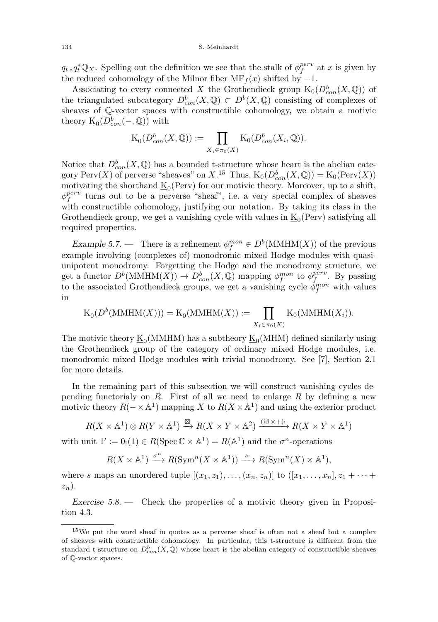$q_t * q_t^* \mathbb{Q}_X$ . Spelling out the definition we see that the stalk of  $\phi_f^{perv}$  at *x* is given by the reduced cohomology of the Milnor fiber  $\text{MF}_f(x)$  shifted by  $-1$ .

Associating to every connected *X* the Grothendieck group  $K_0(D_{con}^b(X, \mathbb{Q}))$  of the triangulated subcategory  $D^b_{con}(X, \mathbb{Q}) \subset D^b(X, \mathbb{Q})$  consisting of complexes of sheaves of Q-vector spaces with constructible cohomology, we obtain a motivic theory  $\underline{\mathrm{K}}_0(D^b_{con}(-,\mathbb{Q}))$  with

$$
\underline{\mathrm{K}}_0(D^b_{con}(X,\mathbb{Q})) := \prod_{X_i \in \pi_0(X)} \mathrm{K}_0(D^b_{con}(X_i,\mathbb{Q})).
$$

Notice that  $D_{con}^b(X, \mathbb{Q})$  has a bounded t-structure whose heart is the abelian category  $\text{Perv}(X)$  of perverse "sheaves" on  $X$ .<sup>15</sup> Thus,  $\text{K}_0(D^b_{con}(X, \mathbb{Q})) = \text{K}_0(\text{Perv}(X))$ motivating the shorthand  $\underline{K}_0(\text{Perv})$  for our motivic theory. Moreover, up to a shift,  $\phi_f^{perv}$  turns out to be a perverse "sheaf", i.e. a very special complex of sheaves with constructible cohomology, justifying our notation. By taking its class in the Grothendieck group, we get a vanishing cycle with values in  $\underline{\mathrm{K}}_0(\text{Perv})$  satisfying all required properties.

Example 5.7. — There is a refinement  $\phi_f^{mon} \in D^b(\text{MMHM}(X))$  of the previous example involving (complexes of) monodromic mixed Hodge modules with quasiunipotent monodromy. Forgetting the Hodge and the monodromy structure, we get a functor  $D^b(\text{MMHM}(X)) \to D^b_{con}(X, \mathbb{Q})$  mapping  $\phi_f^{mon}$  to  $\phi_f^{perv}$ . By passing to the associated Grothendieck groups, we get a vanishing cycle  $\phi_f^{mon}$  with values in

$$
\underline{\mathrm{K}}_0(D^b(\mathrm{MMHM}(X))) = \underline{\mathrm{K}}_0(\mathrm{MMHM}(X)) := \prod_{X_i \in \pi_0(X)} \mathrm{K}_0(\mathrm{MMHM}(X_i)).
$$

The motivic theory  $\underline{\mathrm{K}}_0(\mathrm{MMHM})$  has a subtheory  $\underline{\mathrm{K}}_0(\mathrm{MHM})$  defined similarly using the Grothendieck group of the category of ordinary mixed Hodge modules, i.e. monodromic mixed Hodge modules with trivial monodromy. See [\[7\]](#page-56-8), Section 2.1 for more details.

In the remaining part of this subsection we will construct vanishing cycles depending functorialy on *R*. First of all we need to enlarge *R* by defining a new motivic theory  $R(- \times \mathbb{A}^1)$  mapping *X* to  $R(X \times \mathbb{A}^1)$  and using the exterior product

$$
R(X \times \mathbb{A}^1) \otimes R(Y \times \mathbb{A}^1) \xrightarrow{\boxtimes} R(X \times Y \times \mathbb{A}^2) \xrightarrow{\text{(id } \times +)!} R(X \times Y \times \mathbb{A}^1)
$$

with unit  $1' := 0_!(1) \in R(\text{Spec } \mathbb{C} \times \mathbb{A}^1) = R(\mathbb{A}^1)$  and the  $\sigma^n$ -operations

$$
R(X \times \mathbb{A}^1) \xrightarrow{\sigma^n} R(\text{Sym}^n(X \times \mathbb{A}^1)) \xrightarrow{s_!} R(\text{Sym}^n(X) \times \mathbb{A}^1),
$$

where *s* maps an unordered tuple  $[(x_1, z_1), \ldots, (x_n, z_n)]$  to  $([x_1, \ldots, x_n], z_1 + \cdots +$ *zn*).

Exercise  $5.8.$  — Check the properties of a motivic theory given in Proposition [4.3.](#page-23-0)

<sup>&</sup>lt;sup>15</sup>We put the word sheaf in quotes as a perverse sheaf is often not a sheaf but a complex of sheaves with constructible cohomology. In particular, this t-structure is different from the standard t-structure on  $D^b_{con}(X, \mathbb{Q})$  whose heart is the abelian category of constructible sheaves of Q-vector spaces.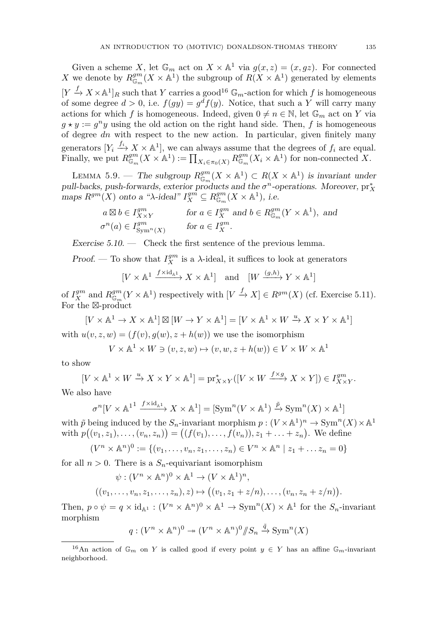Given a scheme *X*, let  $\mathbb{G}_m$  act on  $X \times \mathbb{A}^1$  via  $g(x, z) = (x, gz)$ . For connected *X* we denote by  $R_{\mathbb{G}_m}^{gm}(X \times \mathbb{A}^1)$  the subgroup of  $R(X \times \mathbb{A}^1)$  generated by elements  $[Y \xrightarrow{f} X \times \mathbb{A}^1]_R$  such that *Y* carries a good<sup>16</sup>  $\mathbb{G}_m$ -action for which *f* is homogeneous of some degree  $d > 0$ , i.e.  $f(gy) = g^d f(y)$ . Notice, that such a Y will carry many actions for which *f* is homogeneous. Indeed, given  $0 \neq n \in \mathbb{N}$ , let  $\mathbb{G}_m$  act on *Y* via  $g \star y := g^n y$  using the old action on the right hand side. Then, *f* is homogeneous of degree *dn* with respect to the new action. In particular, given finitely many generators  $[Y_i \xrightarrow{f_i} X \times \mathbb{A}^1]$ , we can always assume that the degrees of  $f_i$  are equal. Finally, we put  $R_{\mathbb{G}_m}^{gm}(X \times \mathbb{A}^1) := \prod_{X_i \in \pi_0(X)} R_{\mathbb{G}_m}^{gm}(X_i \times \mathbb{A}^1)$  for non-connected X.

<span id="page-35-0"></span>LEMMA 5.9. — The subgroup  $R_{\mathbb{G}_m}^{gm}(X \times \mathbb{A}^1) \subset R(X \times \mathbb{A}^1)$  is invariant under pull-backs, push-forwards, exterior products and the  $\sigma^n$ -operations. Moreover,  $pr_X^*$ maps  $R^{gm}(X)$  onto a " $\lambda$ -ideal"  $I_X^{gm} \subseteq R_{\mathbb{G}_m}^{gm}(X \times \mathbb{A}^1)$ , i.e.

$$
a \boxtimes b \in I^{gm}_{X \times Y} \qquad \text{for } a \in I^{gm}_{X} \text{ and } b \in R^{gm}_{\mathbb{G}_m}(Y \times \mathbb{A}^1), \text{ and}
$$

$$
\sigma^{n}(a) \in I^{gm}_{\text{Sym}^{n}(X)} \qquad \text{for } a \in I^{gm}_{X}.
$$

Exercise  $5.10.$  — Check the first sentence of the previous lemma.

*Proof.* — To show that  $I_X^{gm}$  is a  $\lambda$ -ideal, it suffices to look at generators

$$
[V \times \mathbb{A}^1 \xrightarrow{f \times \mathrm{id}_{\mathbb{A}^1}} X \times \mathbb{A}^1] \quad \text{and} \quad [W \xrightarrow{(g,h)} Y \times \mathbb{A}^1]
$$

of  $I_X^{gm}$  and  $R_{\mathbb{G}_m}^{gm}(Y \times \mathbb{A}^1)$  respectively with  $[V \xrightarrow{f} X] \in R^{gm}(X)$  (cf. Exercise [5.11\)](#page-36-0). For the  $\mathbb{Z}$ -product

 $[V \times \mathbb{A}^1 \to X \times \mathbb{A}^1] \boxtimes [W \to Y \times \mathbb{A}^1] = [V \times \mathbb{A}^1 \times W \xrightarrow{u} X \times Y \times \mathbb{A}^1]$ with  $u(v, z, w) = (f(v), g(w), z + h(w))$  we use the isomorphism

$$
V \times \mathbb{A}^1 \times W \ni (v, z, w) \mapsto (v, w, z + h(w)) \in V \times W \times \mathbb{A}^1
$$

to show

$$
[V \times \mathbb{A}^1 \times W \xrightarrow{u} X \times Y \times \mathbb{A}^1] = \text{pr}_{X \times Y}^*([V \times W \xrightarrow{f \times g} X \times Y]) \in I_{X \times Y}^{gm}.
$$

We also have

$$
\sigma^{n}[V \times \mathbb{A}^{11} \xrightarrow{f \times id_{\mathbb{A}^{1}}} X \times \mathbb{A}^{1}] = [\text{Sym}^{n}(V \times \mathbb{A}^{1}) \xrightarrow{\tilde{p}} \text{Sym}^{n}(X) \times \mathbb{A}^{1}]
$$

with  $\tilde{p}$  being induced by the  $S_n$ -invariant morphism  $p: (V \times \mathbb{A}^1)^n \to \text{Sym}^n(X) \times \mathbb{A}^1$ with  $p((v_1, z_1), \ldots, (v_n, z_n)) = ((f(v_1), \ldots, f(v_n)), z_1 + \ldots + z_n).$  We define

$$
(V^n \times \mathbb{A}^n)^0 := \{ (v_1, \dots, v_n, z_1, \dots, z_n) \in V^n \times \mathbb{A}^n \mid z_1 + \dots z_n = 0 \}
$$

for all  $n > 0$ . There is a  $S_n$ -equivariant isomorphism

$$
\psi: (V^n \times \mathbb{A}^n)^0 \times \mathbb{A}^1 \to (V \times \mathbb{A}^1)^n,
$$

$$
((v_1,\ldots,v_n,z_1,\ldots,z_n),z)\mapsto ((v_1,z_1+z/n),\ldots,(v_n,z_n+z/n)).
$$

Then,  $p \circ \psi = q \times \mathrm{id}_{\mathbb{A}^1} : (V^n \times \mathbb{A}^n)^0 \times \mathbb{A}^1 \to \mathrm{Sym}^n(X) \times \mathbb{A}^1$  for the  $S_n$ -invariant morphism

$$
q: (V^n \times \mathbb{A}^n)^0 \twoheadrightarrow (V^n \times \mathbb{A}^n)^0/\hspace{-3pt}/ S_n \xrightarrow{\tilde{q}} \text{Sym}^n(X)
$$

<sup>&</sup>lt;sup>16</sup>An action of  $\mathbb{G}_m$  on *Y* is called good if every point  $y \in Y$  has an affine  $\mathbb{G}_m$ -invariant neighborhood.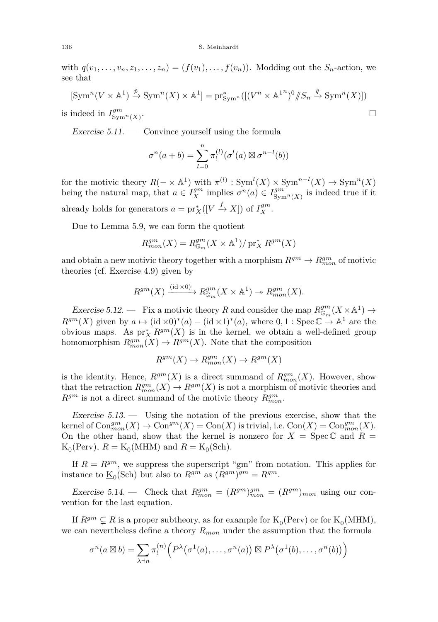#### 136 S. Meinhardt

with  $q(v_1, \ldots, v_n, z_1, \ldots, z_n) = (f(v_1), \ldots, f(v_n))$ . Modding out the  $S_n$ -action, we see that

$$
[\operatorname{Sym}^n(V \times \mathbb{A}^1) \xrightarrow{\tilde{p}} \operatorname{Sym}^n(X) \times \mathbb{A}^1] = \operatorname{pr}_{\operatorname{Sym}^n}^*([(V^n \times \mathbb{A}^{1n})^0/\!\!/S_n \xrightarrow{\tilde{q}} \operatorname{Sym}^n(X)])
$$
  
is indeed in  $I_{\operatorname{Sym}^n(X)}^{gm}$ .

<span id="page-36-0"></span>Exercise  $5.11.$  — Convince yourself using the formula

$$
\sigma^{n}(a+b) = \sum_{l=0}^{n} \pi_{l}^{(l)}(\sigma^{l}(a) \boxtimes \sigma^{n-l}(b))
$$

for the motivic theory  $R(- \times \mathbb{A}^1)$  with  $\pi^{(l)}$ :  $\text{Sym}^l(X) \times \text{Sym}^{n-l}(X) \to \text{Sym}^n(X)$ being the natural map, that  $a \in I_X^{gm}$  implies  $\sigma^n(a) \in I_{\text{Sym}^n(X)}^{gm}$  is indeed true if it already holds for generators  $a = \text{pr}_X^*([V \xrightarrow{f} X])$  of  $I_X^{gm}$ .

Due to Lemma [5.9,](#page-35-0) we can form the quotient

$$
R_{mon}^{gm}(X) = R_{\mathbb{G}_m}^{gm}(X \times \mathbb{A}^1) / pr_X^* R^{gm}(X)
$$

and obtain a new motivic theory together with a morphism  $R^{gm} \to R^{gm}_{mon}$  of motivic theories (cf. Exercise [4.9\)](#page-27-2) given by

$$
R^{gm}(X) \xrightarrow{\text{(id } \times 0)_{!}} R^{gm}_{\mathbb{G}_m}(X \times \mathbb{A}^1) \to R^{gm}_{mon}(X).
$$

Exercise 5.12. – Fix a motivic theory *R* and consider the map  $R_{\mathbb{G}_m}^{gm}(X \times \mathbb{A}^1) \to$  $R^{gm}(X)$  given by  $a \mapsto (\mathrm{id} \times 0)^*(a) - (\mathrm{id} \times 1)^*(a)$ , where  $0, 1 : \mathrm{Spec} \, \mathbb{C} \to \mathbb{A}^1$  are the obvious maps. As  $pr_X^* R^{gm}(X)$  is in the kernel, we obtain a well-defined group homomorphism  $R_{mon}^{gm}(X) \to R^{gm}(X)$ . Note that the composition

$$
R^{gm}(X) \to R^{gm}_{mon}(X) \to R^{gm}(X)
$$

is the identity. Hence,  $R^{gm}(X)$  is a direct summand of  $R^{gm}_{mon}(X)$ . However, show that the retraction  $R_{mon}^{gm}(X) \to R^{gm}(X)$  is not a morphism of motivic theories and  $R^{gm}$  is not a direct summand of the motivic theory  $R^{gm}_{mon}$ .

Exercise  $5.13.$  — Using the notation of the previous exercise, show that the  $\text{kernel of } \text{Con}_{mon}^{gm}(X) \to \text{Con}^{gm}(X) = \text{Con}(X)$  is trivial, i.e.  $\text{Con}(X) = \text{Con}_{mon}^{gm}(X)$ . On the other hand, show that the kernel is nonzero for  $X = \text{Spec } \mathbb{C}$  and  $R =$  $\underline{\mathrm{K}}_0(\mathrm{Perv}), R = \underline{\mathrm{K}}_0(\mathrm{MHM})$  and  $R = \underline{\mathrm{K}}_0(\mathrm{Sch}).$ 

If  $R = R^{gm}$ , we suppress the superscript "gm" from notation. This applies for instance to  $\underline{\mathrm{K}}_0(\text{Sch})$  but also to  $R^{gm}$  as  $(R^{gm})^{gm} = R^{gm}$ .

Exercise 5.14. — Check that  $R_{mon}^{gm} = (R^{gm})_{mon}^{gm} = (R^{gm})_{mon}$  using our convention for the last equation.

If  $R^{gm} \subsetneq R$  is a proper subtheory, as for example for  $\underline{\mathrm{K}}_0(\text{Perv})$  or for  $\underline{\mathrm{K}}_0(\text{MHM})$ , we can nevertheless define a theory *Rmon* under the assumption that the formula

$$
\sigma^n(a\boxtimes b)=\sum_{\lambda\vdash n}\pi_!^{(n)}\Bigl(P^\lambda\bigl(\sigma^1(a),\ldots,\sigma^n(a)\bigr)\boxtimes P^\lambda\bigl(\sigma^1(b),\ldots,\sigma^n(b)\bigr)\Bigr)
$$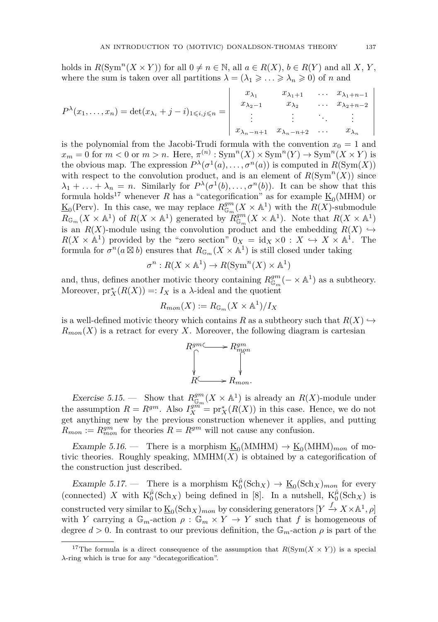holds in  $R(\text{Sym}^n(X \times Y))$  for all  $0 \neq n \in \mathbb{N}$ , all  $a \in R(X)$ ,  $b \in R(Y)$  and all X, Y, where the sum is taken over all partitions  $\lambda = (\lambda_1 \geq \ldots \geq \lambda_n \geq 0)$  of *n* and

$$
P^{\lambda}(x_1, ..., x_n) = \det(x_{\lambda_i} + j - i)_{1 \le i, j \le n} = \begin{vmatrix} x_{\lambda_1} & x_{\lambda_1+1} & \dots & x_{\lambda_1+n-1} \\ x_{\lambda_2-1} & x_{\lambda_2} & \dots & x_{\lambda_2+n-2} \\ \vdots & \vdots & \ddots & \vdots \\ x_{\lambda_n-n+1} & x_{\lambda_n-n+2} & \dots & x_{\lambda_n} \end{vmatrix}
$$

is the polynomial from the Jacobi-Trudi formula with the convention  $x_0 = 1$  and  $x_m = 0$  for  $m < 0$  or  $m > n$ . Here,  $\pi^{(n)}$ :  $\text{Sym}^n(X) \times \text{Sym}^n(Y) \to \text{Sym}^n(X \times Y)$  is the obvious map. The expression  $P^{\lambda}(\sigma^1(a), \ldots, \sigma^n(a))$  is computed in  $R(\text{Sym}(X))$ with respect to the convolution product, and is an element of  $R(\text{Sym}^n(X))$  since  $\lambda_1 + \ldots + \lambda_n = n$ . Similarly for  $P^{\lambda}(\sigma^1(b), \ldots, \sigma^n(b))$ . It can be show that this formula holds<sup>17</sup> whenever *R* has a "categorification" as for example  $\underline{\mathbf{K}}_0(\text{MHM})$  or  $\underline{\mathrm{K}}_0$ (Perv). In this case, we may replace  $R_{\mathbb{G}_m}^{gm}(X \times \mathbb{A}^1)$  with the  $R(X)$ -submodule  $R_{\mathbb{G}_m}(X \times \mathbb{A}^1)$  of  $R(X \times \mathbb{A}^1)$  generated by  $R_{\mathbb{G}_m}^{gm}(X \times \mathbb{A}^1)$ . Note that  $R(X \times \mathbb{A}^1)$ is an  $R(X)$ -module using the convolution product and the embedding  $R(X) \hookrightarrow$  $R(X \times \mathbb{A}^1)$  provided by the "zero section"  $0_X = id_X \times 0 : X \hookrightarrow X \times \mathbb{A}^1$ . The formula for  $\sigma^n(a\boxtimes b)$  ensures that  $R_{\mathbb{G}_m}(X\times \mathbb{A}^1)$  is still closed under taking

$$
\sigma^n: R(X \times \mathbb{A}^1) \to R(\text{Sym}^n(X) \times \mathbb{A}^1)
$$

and, thus, defines another motivic theory containing  $R_{\mathbb{G}_m}^{gm}(- \times \mathbb{A}^1)$  as a subtheory. Moreover,  $pr_X^*(R(X)) =: I_X$  is a  $\lambda$ -ideal and the quotient

$$
R_{mon}(X) := R_{\mathbb{G}_m}(X \times \mathbb{A}^1) / I_X
$$

is a well-defined motivic theory which contains *R* as a subtheory such that  $R(X) \hookrightarrow$  $R_{mon}(X)$  is a retract for every X. Moreover, the following diagram is cartesian



Exercise 5.15. – Show that  $R_{\mathbb{G}_m}^{gm}(X \times \mathbb{A}^1)$  is already an  $R(X)$ -module under the assumption  $R = R^{gm}$ . Also  $I_X^{gm^m} = \text{pr}_X^*(R(X))$  in this case. Hence, we do not get anything new by the previous construction whenever it applies, and putting  $R_{mon} := R_{mon}^{gm}$  for theories  $R = R^{gm}$  will not cause any confusion.

Example 5.16. – There is a morphism  $\underline{\mathrm{K}}_0(\mathrm{MMHM}) \to \underline{\mathrm{K}}_0(\mathrm{MHM})_{mon}$  of motivic theories. Roughly speaking,  $MMHM(X)$  is obtained by a categorification of the construction just described.

Example 5.17. – There is a morphism  $K_0^{\hat{\mu}}(\text{Sch}_X) \to \underline{K}_0(\text{Sch}_X)_{mon}$  for every (connected) X with  $K_0^{\hat{\mu}}(Sch_X)$  being defined in [\[8\]](#page-56-12). In a nutshell,  $K_0^{\hat{\mu}}(Sch_X)$  is constructed very similar to  $\underline{\mathrm{K}}_0(\mathrm{Sch}_X)_{mon}$  by considering generators  $[Y \xrightarrow{f} X \times \mathbb{A}^1, \rho]$ with *Y* carrying a  $\mathbb{G}_m$ -action  $\rho : \mathbb{G}_m \times Y \to Y$  such that *f* is homogeneous of degree  $d > 0$ . In contrast to our previous definition, the  $\mathbb{G}_m$ -action  $\rho$  is part of the

 $\overline{\phantom{a}}$  $\overline{\phantom{a}}$  $\overline{\phantom{a}}$  $\overline{\phantom{a}}$  $\overline{\phantom{a}}$  $\overline{\phantom{a}}$  $\overline{\phantom{a}}$  $\overline{\phantom{a}}$  $\overline{\phantom{a}}$ 

<sup>&</sup>lt;sup>17</sup>The formula is a direct consequence of the assumption that  $R(Sym(X \times Y))$  is a special *λ*-ring which is true for any "decategorification".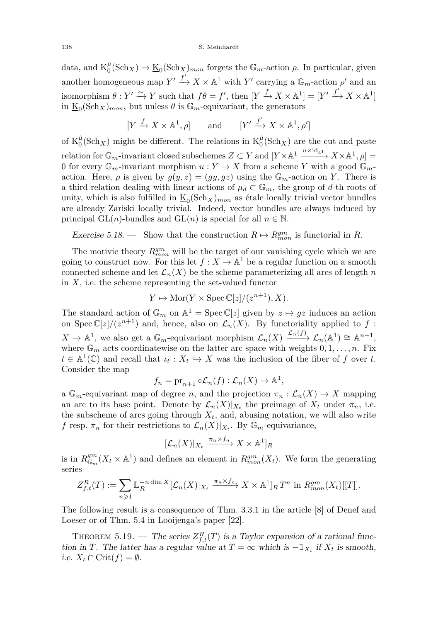data, and  $K_0^{\hat{\mu}}(\text{Sch}_X) \to \underline{\mathrm{K}}_0(\text{Sch}_X)_{mon}$  forgets the  $\mathbb{G}_m$ -action  $\rho$ . In particular, given another homogeneous map  $Y' \xrightarrow{f'} X \times \mathbb{A}^1$  with  $Y'$  carrying a  $\mathbb{G}_m$ -action  $\rho'$  and an isomorphism  $\theta: Y' \xrightarrow{\sim} Y$  such that  $f\theta = f'$ , then  $[Y \xrightarrow{f} X \times \mathbb{A}^1] = [Y' \xrightarrow{f'} X \times \mathbb{A}^1]$ in  $\underline{\mathrm{K}}_0(\mathrm{Sch}_X)_{mon}$ , but unless  $\theta$  is  $\mathbb{G}_m$ -equivariant, the generators

$$
[Y \xrightarrow{f} X \times \mathbb{A}^1, \rho] \qquad \text{and} \qquad [Y' \xrightarrow{f'} X \times \mathbb{A}^1, \rho']
$$

of  $K_0^{\hat{\mu}}(Sch_X)$  might be different. The relations in  $K_0^{\hat{\mu}}(Sch_X)$  are the cut and paste  $r$ elation for  $\mathbb{G}_m$ -invariant closed subschemes  $Z \subset Y$  and  $[Y \times \mathbb{A}^1 \xrightarrow{u \times \mathrm{id}_{\mathbb{A}^1}} X \times \mathbb{A}^1, \rho] =$ 0 for every  $\mathbb{G}_m$ -invariant morphism  $u: Y \to X$  from a scheme *Y* with a good  $\mathbb{G}_m$ action. Here,  $\rho$  is given by  $g(y, z) = (gy, gz)$  using the  $\mathbb{G}_m$ -action on *Y*. There is a third relation dealing with linear actions of  $\mu_d \subset \mathbb{G}_m$ , the group of *d*-th roots of unity, which is also fulfilled in  $\underline{\mathrm{K}}_0(\mathrm{Sch}_X)_{mon}$  as étale locally trivial vector bundles are already Zariski locally trivial. Indeed, vector bundles are always induced by principal  $GL(n)$ -bundles and  $GL(n)$  is special for all  $n \in \mathbb{N}$ .

<span id="page-38-0"></span>Exercise 5.18. — Show that the construction  $R \mapsto R^{gm}_{mon}$  is functorial in R.

The motivic theory  $R_{mon}^{gm}$  will be the target of our vanishing cycle which we are going to construct now. For this let  $f: X \to \mathbb{A}^1$  be a regular function on a smooth connected scheme and let  $\mathcal{L}_n(X)$  be the scheme parameterizing all arcs of length *n* in  $X$ , i.e. the scheme representing the set-valued functor

$$
Y \mapsto \text{Mor}(Y \times \text{Spec } \mathbb{C}[z]/(z^{n+1}), X).
$$

The standard action of  $\mathbb{G}_m$  on  $\mathbb{A}^1 = \text{Spec } \mathbb{C}[z]$  given by  $z \mapsto gz$  induces an action on Spec  $\mathbb{C}[z]/(z^{n+1})$  and, hence, also on  $\mathcal{L}_n(X)$ . By functoriality applied to f:  $X \to \mathbb{A}^1$ , we also get a  $\mathbb{G}_m$ -equivariant morphism  $\mathcal{L}_n(X) \xrightarrow{\mathcal{L}_n(f)} \mathcal{L}_n(\mathbb{A}^1) \cong \mathbb{A}^{n+1}$ , where  $\mathbb{G}_m$  acts coordinatewise on the latter arc space with weights  $0, 1, \ldots, n$ . Fix  $t \in \mathbb{A}^1(\mathbb{C})$  and recall that  $\iota_t : X_t \hookrightarrow X$  was the inclusion of the fiber of *f* over *t*. Consider the map

$$
f_n = \mathrm{pr}_{n+1} \circ \mathcal{L}_n(f) : \mathcal{L}_n(X) \to \mathbb{A}^1,
$$

a  $\mathbb{G}_m$ -equivariant map of degree *n*, and the projection  $\pi_n : \mathcal{L}_n(X) \to X$  mapping an arc to its base point. Denote by  $\mathcal{L}_n(X)|_{X_t}$  the preimage of  $X_t$  under  $\pi_n$ , i.e. the subscheme of arcs going through  $X_t$ , and, abusing notation, we will also write *f* resp.  $\pi_n$  for their restrictions to  $\mathcal{L}_n(X)|_{X_t}$ . By  $\mathbb{G}_m$ -equivariance,

$$
[\mathcal{L}_n(X)|_{X_t} \xrightarrow{\pi_n \times f_n} X \times \mathbb{A}^1]_R
$$

is in  $R_{\mathbb{G}_m}^{gm}(X_t \times \mathbb{A}^1)$  and defines an element in  $R_{mon}^{gm}(X_t)$ . We form the generating series

$$
Z_{f,t}^R(T) := \sum_{n\geq 1} \mathbb{L}_R^{-n \dim X} [\mathcal{L}_n(X)|_{X_t} \xrightarrow{\pi_n \times f_n} X \times \mathbb{A}^1]_R T^n \text{ in } R_{mon}^{gm}(X_t)[[T]].
$$

The following result is a consequence of Thm. 3.3.1 in the article [\[8\]](#page-56-12) of Denef and Loeser or of Thm. 5.4 in Looijenga's paper [\[22\]](#page-57-22).

THEOREM 5.19. — The series  $Z_{f,t}^R(T)$  is a Taylor expansion of a rational function in *T*. The latter has a regular value at  $T = \infty$  which is  $-\mathbb{1}_{X_t}$  if  $X_t$  is smooth, *i.e.*  $X_t \cap \text{Crit}(f) = \emptyset$ .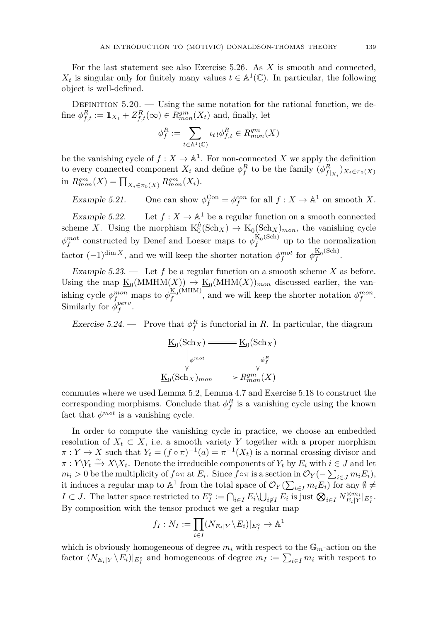For the last statement see also Exercise [5.26.](#page-40-0) As *X* is smooth and connected,  $X_t$  is singular only for finitely many values  $t \in \mathbb{A}^1(\mathbb{C})$ . In particular, the following object is well-defined.

DEFINITION  $5.20.$  — Using the same notation for the rational function, we define  $\phi_{f,t}^R := \mathbb{1}_{X_t} + Z_{f,t}^R(\infty) \in R_{mon}^{gm}(X_t)$  and, finally, let

$$
\phi_f^R := \sum_{t \in \mathbb{A}^1(\mathbb{C})} \iota_t \phi_{f,t}^R \in R_{mon}^{gm}(X)
$$

be the vanishing cycle of  $f: X \to \mathbb{A}^1$ . For non-connected X we apply the definition to every connected component  $X_i$  and define  $\phi_f^R$  to be the family  $(\phi_{f|_{X_i}}^R)_{X_i \in \pi_0(X)}$ in  $R_{mon}^{gm}(X) = \prod_{X_i \in \pi_0(X)} R_{mon}^{gm}(X_i)$ .

Example 5.21. — One can show  $\phi_f^{\text{Con}} = \phi_f^{\text{con}}$  for all  $f : X \to \mathbb{A}^1$  on smooth X.

Example 5.22. — Let  $f: X \to \mathbb{A}^1$  be a regular function on a smooth connected scheme *X*. Using the morphism  $K_0^{\hat{\mu}}(\text{Sch}_X) \to \underline{\mathbf{K}}_0(\text{Sch}_X)_{mon}$ , the vanishing cycle  $\phi_f^{mot}$  constructed by Denef and Loeser maps to  $\phi_f^{\text{K}_0(\text{Sch})}$  $\frac{R_0(S_0)}{f}$  up to the normalization factor  $(-1)^{\dim X}$ , and we will keep the shorter notation  $\phi_f^{mot}$  for  $\phi_f^{\underline{\mathrm{K}}_0(\text{Sch})}$  $\frac{R_0(3\text{cm})}{f}$ .

Example 5.23. — Let *f* be a regular function on a smooth scheme *X* as before. Using the map  $\underline{K}_0(MMHM(X)) \to \underline{K}_0(MHM(X))_{mon}$  discussed earlier, the vanishing cycle  $\phi_f^{mon}$  maps to  $\phi_f^{\underline{K}_0(MHM)}$  $\frac{K_0(NHM)}{f}$ , and we will keep the shorter notation  $\phi_f^{mon}$ . Similarly for  $\phi_f^{perv}$ .

<span id="page-39-0"></span>Exercise 5.24. — Prove that  $\phi_f^R$  is functorial in *R*. In particular, the diagram

$$
\underline{\underline{K}}_0(\text{Sch}_X) \xrightarrow{\text{Ext}_0(\text{Sch}_X)} \underline{\underline{\underline{\phi}}_p^{mot}} \qquad \qquad \underline{\underline{\phi}}_f^R
$$
\n
$$
\underline{\underline{K}}_0(\text{Sch}_X)_{mon} \xrightarrow{\text{Ext}_m^m^2}(X)
$$

commutes where we used Lemma [5.2,](#page-32-1) Lemma [4.7](#page-26-4) and Exercise [5.18](#page-38-0) to construct the corresponding morphisms. Conclude that  $\phi_f^R$  is a vanishing cycle using the known fact that  $\phi^{mot}$  is a vanishing cycle.

In order to compute the vanishing cycle in practice, we choose an embedded resolution of  $X_t \subset X$ , i.e. a smooth variety *Y* together with a proper morphism  $\pi: Y \to X$  such that  $Y_t = (f \circ \pi)^{-1}(a) = \pi^{-1}(X_t)$  is a normal crossing divisor and  $\pi: Y\Y_t \xrightarrow{\sim} X\X_t$ . Denote the irreducible components of  $Y_t$  by  $E_i$  with  $i \in J$  and let  $m_i > 0$  be the multiplicity of  $f \circ \pi$  at  $E_i$ . Since  $f \circ \pi$  is a section in  $\mathcal{O}_Y(-\sum_{i \in J} m_i E_i)$ , it induces a regular map to  $\mathbb{A}^1$  from the total space of  $\mathcal{O}_Y(\sum_{i\in I} m_i E_i)$  for any  $\emptyset \neq$  $I \subset J$ . The latter space restricted to  $E_I^{\circ} := \bigcap_{i \in I} E_i \backslash \bigcup_{i \notin I} E_i$  is just  $\bigotimes_{i \in I} N_{E_i|Y}^{\otimes m_i}|_{E_I^{\circ}}$ . By composition with the tensor product we get a regular map

$$
f_I: N_I := \prod_{i \in I} (N_{E_i|Y} \backslash E_i)|_{E_I^{\circ}} \to \mathbb{A}^1
$$

which is obviously homogeneous of degree  $m_i$  with respect to the  $\mathbb{G}_m$ -action on the factor  $(N_{E_i|Y} \setminus E_i)|_{E_I^{\circ}}$  and homogeneous of degree  $m_I := \sum_{i \in I} m_i$  with respect to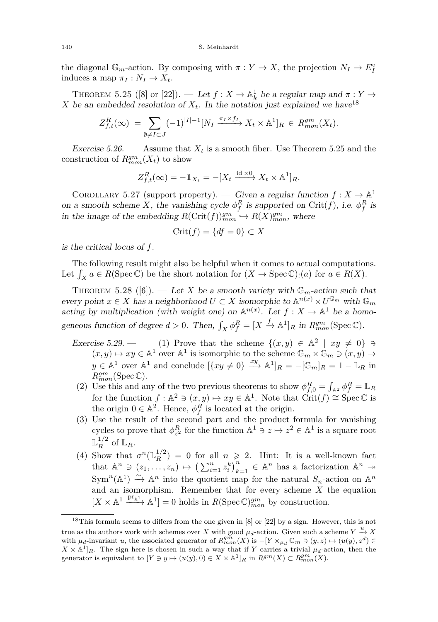the diagonal  $\mathbb{G}_m$ -action. By composing with  $\pi: Y \to X$ , the projection  $N_I \to E_I^{\circ}$ induces a map  $\pi_I : N_I \to X_t$ .

<span id="page-40-1"></span>THEOREM 5.25 ([\[8\]](#page-56-12) or [\[22\]](#page-57-22)). — Let  $f: X \to \mathbb{A}^1_k$  be a regular map and  $\pi: Y \to$ *X* be an embedded resolution of  $X_t$ . In the notation just explained we have  $18$ 

$$
Z_{f,t}^R(\infty) = \sum_{\emptyset \neq I \subset J} (-1)^{|I|-1} [N_I \xrightarrow{\pi_I \times f_I} X_t \times \mathbb{A}^1]_R \in R_{mon}^{gm}(X_t).
$$

<span id="page-40-0"></span>Exercise 5.26. — Assume that  $X_t$  is a smooth fiber. Use Theorem [5.25](#page-40-1) and the construction of  $R_{mon}^{gm}(X_t)$  to show

$$
Z_{f,t}^R(\infty) = -\mathbb{1}_{X_t} = -[X_t \xrightarrow{\text{id} \times 0} X_t \times \mathbb{A}^1]_R.
$$

<span id="page-40-2"></span>COROLLARY 5.27 (support property). — Given a regular function  $f: X \to \mathbb{A}^1$ on a smooth scheme *X*, the vanishing cycle  $\phi_f^R$  is supported on Crit(f), i.e.  $\phi_f^R$  is in the image of the embedding  $R(\text{Crit}(f))_{mon}^{gm} \hookrightarrow R(X)_{mon}^{gm}$ , where

$$
Crit(f) = \{ df = 0 \} \subset X
$$

is the critical locus of *f*.

The following result might also be helpful when it comes to actual computations. Let  $\int_X a \in R(\text{Spec } \mathbb{C})$  be the short notation for  $(X \to \text{Spec } \mathbb{C})_!(a)$  for  $a \in R(X)$ .

<span id="page-40-3"></span>THEOREM 5.28 ([\[6\]](#page-56-6)). — Let *X* be a smooth variety with  $\mathbb{G}_m$ -action such that every point  $x \in X$  has a neighborhood  $U \subset X$  isomorphic to  $\mathbb{A}^{n(x)} \times U^{\mathbb{G}_m}$  with  $\mathbb{G}_m$ acting by multiplication (with weight one) on  $\mathbb{A}^{n(x)}$ . Let  $f: X \to \mathbb{A}^1$  be a homogeneous function of degree  $d > 0$ . Then,  $\int_X \phi_f^R = [X \xrightarrow{f} \mathbb{A}^1]_R$  in  $R_{mon}^{gm}(\text{Spec } \mathbb{C})$ .

- Exercise 5.29. (1) Prove that the scheme  $\{(x,y) \in \mathbb{A}^2 \mid xy \neq 0\} \ni$  $(x, y) \mapsto xy \in \mathbb{A}^1$  over  $\mathbb{A}^1$  is isomorphic to the scheme  $\mathbb{G}_m \times \mathbb{G}_m \ni (x, y) \to$  $y \in \mathbb{A}^1$  over  $\mathbb{A}^1$  and conclude  $[\{xy \neq 0\} \xrightarrow{xy} \mathbb{A}^1]_R = -[\mathbb{G}_m]_R = 1 - \mathbb{L}_R$  in *Rgm mon*(Spec C).
- (2) Use this and any of the two previous theorems to show  $\phi_{f,0}^R = \int_{\mathbb{A}^2} \phi_f^R = \mathbb{L}_R$ for the function  $f : \mathbb{A}^2 \ni (x, y) \mapsto xy \in \mathbb{A}^1$ . Note that  $\overrightarrow{\mathrm{Crit}}(f) \cong \mathrm{Spec} \, \mathbb{C}$  is the origin  $0 \in \mathbb{A}^2$ . Hence,  $\phi_f^R$  is located at the origin.
- (3) Use the result of the second part and the product formula for vanishing cycles to prove that  $\phi_{z^2}^R$  for the function  $\mathbb{A}^1 \ni z \mapsto z^2 \in \mathbb{A}^1$  is a square root  $\mathbb{L}_R^{1/2}$  of  $\mathbb{L}_R$ .
- (4) Show that  $\sigma^n(\mathbb{L}_R^{1/2}) = 0$  for all  $n \geq 2$ . Hint: It is a well-known fact that  $\mathbb{A}^n \ni (z_1, \ldots, z_n) \mapsto (\sum_{i=1}^n z_i^k)_{k=1}^n \in \mathbb{A}^n$  has a factorization  $\mathbb{A}^n \rightarrow$  $\text{Sym}^n(\mathbb{A}^1) \xrightarrow{\sim} \mathbb{A}^n$  into the quotient map for the natural  $S_n$ -action on  $\mathbb{A}^n$ and an isomorphism. Remember that for every scheme *X* the equation  $[X \times \mathbb{A}^1 \xrightarrow{\mathrm{pr}_{\mathbb{A}^1}} \mathbb{A}^1] = 0$  holds in  $R(\mathrm{Spec} \mathbb{C})_{mon}^{gm}$  by construction.

<sup>18</sup>This formula seems to differs from the one given in [\[8\]](#page-56-12) or [\[22\]](#page-57-22) by a sign. However, this is not true as the authors work with schemes over *X* with good  $\mu_d$ -action. Given such a scheme  $Y \xrightarrow{u} X$ with  $\mu_d$ -invariant *u*, the associated generator of  $R_{mon}^{gm}(X)$  is  $-[Y \times_{\mu_d} \mathbb{G}_m \ni (y, z) \mapsto (u(y), z^d) \in$  $X \times \mathbb{A}^1$ <sub>*R*</sub>. The sign here is chosen in such a way that if *Y* carries a trivial  $\mu_d$ -action, then the generator is equivalent to  $[Y \ni y \mapsto (u(y), 0) \in X \times \mathbb{A}^1]_R$  in  $R^{gm}(X) \subset R^{gm}_{mon}(X)$ .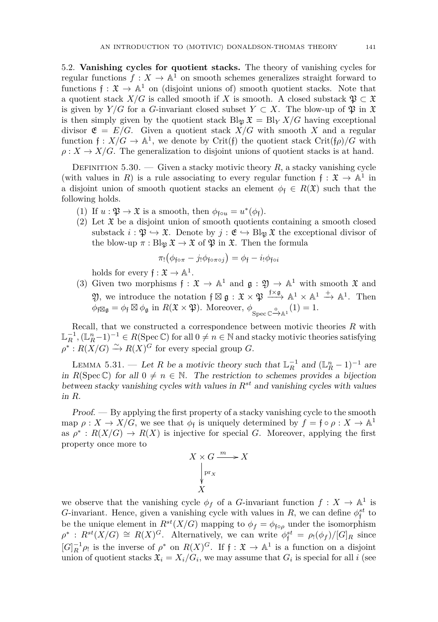<span id="page-41-0"></span>5.2. **Vanishing cycles for quotient stacks.** The theory of vanishing cycles for regular functions  $f: X \to \mathbb{A}^1$  on smooth schemes generalizes straight forward to functions  $\mathfrak{f} : \mathfrak{X} \to \mathbb{A}^1$  on (disjoint unions of) smooth quotient stacks. Note that a quotient stack  $X/G$  is called smooth if *X* is smooth. A closed substack  $\mathfrak{P} \subset \mathfrak{X}$ is given by *Y*/*G* for a *G*-invariant closed subset  $Y \subset X$ . The blow-up of  $\mathfrak{P}$  in  $\mathfrak{X}$ is then simply given by the quotient stack  $Bl_{\mathfrak{P}} \mathfrak{X} = Bl_{Y} X/G$  having exceptional divisor  $\mathfrak{E} = E/G$ . Given a quotient stack  $X/G$  with smooth X and a regular function  $f: X/G \to \mathbb{A}^1$ , we denote by Crit(f) the quotient stack Crit( $f\rho$ )/*G* with  $\rho: X \to X/G$ . The generalization to disjoint unions of quotient stacks is at hand.

DEFINITION 5.30. — Given a stacky motivic theory  $R$ , a stacky vanishing cycle (with values in *R*) is a rule associating to every regular function  $f: \mathfrak{X} \to \mathbb{A}^1$  in a disjoint union of smooth quotient stacks an element  $\phi_f \in R(\mathfrak{X})$  such that the following holds.

- (1) If  $u : \mathfrak{P} \to \mathfrak{X}$  is a smooth, then  $\phi_{\mathfrak{f} \circ u} = u^*(\phi_{\mathfrak{f}})$ .
- (2) Let  $\mathfrak X$  be a disjoint union of smooth quotients containing a smooth closed substack  $i : \mathfrak{P} \hookrightarrow \mathfrak{X}$ . Denote by  $j : \mathfrak{E} \hookrightarrow \text{Bl}_{\mathfrak{P}} \mathfrak{X}$  the exceptional divisor of the blow-up  $\pi : Bl_{\mathfrak{B}} \mathfrak{X} \to \mathfrak{X}$  of  $\mathfrak{P}$  in  $\mathfrak{X}$ . Then the formula

$$
\pi_! (\phi_{\mathfrak{f}\circ\pi} - j_! \phi_{\mathfrak{f}\circ\pi\circ j}) = \phi_{\mathfrak{f}} - i_! \phi_{\mathfrak{f}\circ i}
$$

holds for every  $f: \mathfrak{X} \to \mathbb{A}^1$ .

(3) Given two morphisms  $f: \mathfrak{X} \to \mathbb{A}^1$  and  $\mathfrak{g}: \mathfrak{Y} \to \mathbb{A}^1$  with smooth  $\mathfrak{X}$  and 2), we introduce the notation  $f \boxtimes g : \mathfrak{X} \times \mathfrak{P} \xrightarrow{f \times g} \mathbb{A}^1 \times \mathbb{A}^1 \xrightarrow{+} \mathbb{A}^1$ . Then  $\phi_{\mathfrak{f}} \boxtimes_{\mathfrak{g}} = \phi_{\mathfrak{f}} \boxtimes \phi_{\mathfrak{g}} \text{ in } R(\mathfrak{X} \times \mathfrak{P}). \text{ Moreover, } \phi_{\text{Spec } \mathbb{C} \xrightarrow{\scriptstyle 0} \mathbb{A}^1}(1) = 1.$ 

Recall, that we constructed a correspondence between motivic theories *R* with  $\mathbb{L}_R^{-1}$ ,  $(\mathbb{L}_R^n - 1)^{-1} \in R(\mathop{\mathrm{Spec}} \mathbb{C})$  for all  $0 \neq n \in \mathbb{N}$  and stacky motivic theories satisfying  $\rho^*$ :  $R(X/G) \xrightarrow{\sim} R(X)^G$  for every special group *G*.

<span id="page-41-1"></span>LEMMA 5.31. — Let *R* be a motivic theory such that  $\mathbb{L}_R^{-1}$  and  $(\mathbb{L}_R^n - 1)^{-1}$  are in  $R(\text{Spec }\mathbb{C})$  for all  $0 \neq n \in \mathbb{N}$ . The restriction to schemes provides a bijection between stacky vanishing cycles with values in *Rst* and vanishing cycles with values in *R*.

Proof. — By applying the first property of a stacky vanishing cycle to the smooth map  $\rho: X \to X/G$ , we see that  $\phi_f$  is uniquely determined by  $f = f \circ \rho: X \to \mathbb{A}^1$ as  $\rho^*$ :  $R(X/G) \to R(X)$  is injective for special *G*. Moreover, applying the first property once more to

$$
X \times G \xrightarrow{m} X
$$
  
\n
$$
\downarrow_{\text{pr}_X}^{\text{pr}_X}
$$
  
\nX

we observe that the vanishing cycle  $\phi_f$  of a *G*-invariant function  $f: X \to \mathbb{A}^1$  is *G*-invariant. Hence, given a vanishing cycle with values in *R*, we can define  $\phi_{\mathfrak{f}}^{st}$  to be the unique element in  $R^{st}(X/G)$  mapping to  $\phi_f = \phi_{f \circ \rho}$  under the isomorphism  $\rho^*$ :  $R^{st}(X/G) \cong R(X)^G$ . Alternatively, we can write  $\phi_f^{st} = \rho_1(\phi_f)/[G]_R$  since  $[G]_R^{-1}\rho_!$  is the inverse of  $\rho^*$  on  $R(X)^G$ . If  $f: \mathfrak{X} \to \mathbb{A}^1$  is a function on a disjoint union of quotient stacks  $\mathfrak{X}_i = X_i/G_i$ , we may assume that  $G_i$  is special for all *i* (see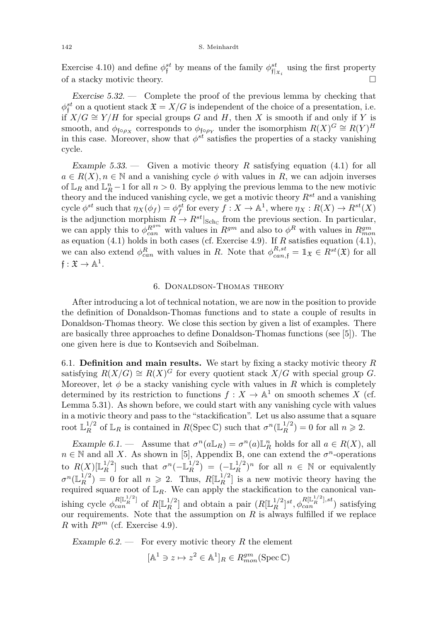Exercise [4.10\)](#page-27-1) and define  $\phi_j^{st}$  by means of the family  $\phi_{\mathfrak{f}|_{\mathfrak{X}_i}}^{st}$  using the first property of a stacky motivic theory.  $\Box$ 

Exercise  $5.32.$  — Complete the proof of the previous lemma by checking that  $\phi_{\mathfrak{f}}^{st}$  on a quotient stack  $\mathfrak{X} = X/G$  is independent of the choice of a presentation, i.e. if  $X/G \cong Y/H$  for special groups *G* and *H*, then *X* is smooth if and only if *Y* is smooth, and  $\phi_{\text{f} \circ \rho_X}$  corresponds to  $\phi_{\text{f} \circ \rho_Y}$  under the isomorphism  $R(X)^G \cong R(Y)^H$ in this case. Moreover, show that  $\phi^{st}$  satisfies the properties of a stacky vanishing cycle.

Example 5.33. — Given a motivic theory R satisfying equation  $(4.1)$  for all  $a \in R(X), n \in \mathbb{N}$  and a vanishing cycle  $\phi$  with values in *R*, we can adjoin inverses of  $\mathbb{L}_R$  and  $\mathbb{L}_R^n - 1$  for all  $n > 0$ . By applying the previous lemma to the new motivic theory and the induced vanishing cycle, we get a motivic theory *Rst* and a vanishing cycle  $\phi^{st}$  such that  $\eta_X(\phi_f) = \phi^{st}_f$  for every  $f: X \to \mathbb{A}^1$ , where  $\eta_X: R(X) \to R^{st}(X)$ is the adjunction morphism  $R \to R^{st}|_{Sch_C}$  from the previous section. In particular, we can apply this to  $\phi_{can}^{R^{gm}}$  with values in  $R^{gm}$  and also to  $\phi^R$  with values in  $R^{gm}_{mon}$ as equation [\(4.1\)](#page-28-0) holds in both cases (cf. Exercise [4.9\)](#page-27-2). If *R* satisfies equation [\(4.1\)](#page-28-0), we can also extend  $\phi_{can}^R$  with values in *R*. Note that  $\phi_{can,f}^{R,st} = \mathbb{1}_{\mathfrak{X}} \in R^{st}(\mathfrak{X})$  for all  $f: \mathfrak{X} \to \mathbb{A}^1.$ 

#### 6. Donaldson-Thomas theory

<span id="page-42-0"></span>After introducing a lot of technical notation, we are now in the position to provide the definition of Donaldson-Thomas functions and to state a couple of results in Donaldson-Thomas theory. We close this section by given a list of examples. There are basically three approaches to define Donaldson-Thomas functions (see [\[5\]](#page-56-9)). The one given here is due to Kontsevich and Soibelman.

<span id="page-42-1"></span>6.1. **Definition and main results.** We start by fixing a stacky motivic theory *R* satisfying  $R(X/G) \cong R(X)^G$  for every quotient stack  $X/G$  with special group G. Moreover, let  $\phi$  be a stacky vanishing cycle with values in R which is completely determined by its restriction to functions  $f: X \to \mathbb{A}^1$  on smooth schemes X (cf. Lemma [5.31\)](#page-41-1). As shown before, we could start with any vanishing cycle with values in a motivic theory and pass to the "stackification". Let us also assume that a square root  $\mathbb{L}_R^{1/2}$  of  $\mathbb{L}_R$  is contained in  $R(\text{Spec }\mathbb{C})$  such that  $\sigma^n(\mathbb{L}_R^{1/2}) = 0$  for all  $n \geq 2$ .

Example 6.1. — Assume that  $\sigma^n(a\mathbb{L}_R) = \sigma^n(a)\mathbb{L}_R^n$  holds for all  $a \in R(X)$ , all  $n \in \mathbb{N}$  and all *X*. As shown in [\[5\]](#page-56-9), Appendix B, one can extend the  $\sigma^n$ -operations to  $R(X)[\mathbb{L}_{R}^{1/2}]$  such that  $\sigma^{n}(-\mathbb{L}_{R}^{1/2}) = (-\mathbb{L}_{R}^{1/2})^{n}$  for all  $n \in \mathbb{N}$  or equivalently  $\sigma^{n}(\mathbb{L}_R^{1/2}) = 0$  for all  $n \geq 2$ . Thus,  $R[\mathbb{L}_R^{1/2}]$  is a new motivic theory having the required square root of  $\mathbb{L}_R$ . We can apply the stackification to the canonical vanishing cycle  $\phi_{can}^{R[\mathbb{L}_R^{1/2}]}$  of  $R[\mathbb{L}_R^{1/2}]$  and obtain a pair  $(R[\mathbb{L}_R^{1/2}]^{st}, \phi_{can}^{R[\mathbb{L}_R^{1/2}], st})$  satisfying our requirements. Note that the assumption on  $R$  is always fulfilled if we replace *R* with  $R^{gm}$  (cf. Exercise [4.9\)](#page-27-2).

Example  $6.2$ . — For every motivic theory R the element

$$
[\mathbb{A}^1 \ni z \mapsto z^2 \in \mathbb{A}^1]_R \in R_{mon}^{gm}(\text{Spec } \mathbb{C})
$$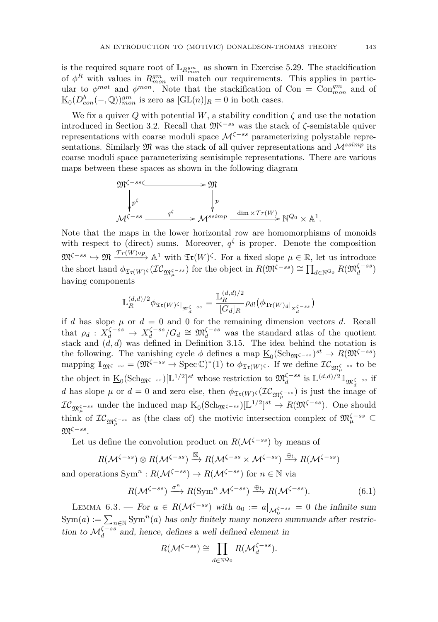is the required square root of  $\mathbb{L}_{R_{mon}^{gm}}$  as shown in Exercise [5.29.](#page-0-0) The stackification of  $\phi^R$  with values in  $R^{gm}_{mon}$  will match our requirements. This applies in particular to  $\phi^{mot}$  and  $\phi^{mon}$ . Note that the stackification of Con =  $Con_{mon}^{gm}$  and of  $\underline{\mathrm{K}}_0(D^b_{con}(-,\mathbb{Q}))^{gm}_{mon}$  is zero as  $[\mathrm{GL}(n)]_R=0$  in both cases.

We fix a quiver *Q* with potential *W*, a stability condition  $\zeta$  and use the notation introduced in Section [3.2.](#page-17-0) Recall that M*ζ*−*ss* was the stack of *ζ*-semistable quiver representations with coarse moduli space M*<sup>ζ</sup>*−*ss* parameterizing polystable representations. Similarly  $\mathfrak{M}$  was the stack of all quiver representations and  $\mathcal{M}^{ssimp}$  its coarse moduli space parameterizing semisimple representations. There are various maps between these spaces as shown in the following diagram



Note that the maps in the lower horizontal row are homomorphisms of monoids with respect to (direct) sums. Moreover,  $q^{\zeta}$  is proper. Denote the composition  $\mathfrak{M}^{\zeta-ss} \hookrightarrow \mathfrak{M} \xrightarrow{\mathcal{T}r(W)\circ p} \mathbb{A}^1$  with  $\mathfrak{T}r(W)$ <sup> $\zeta$ </sup>. For a fixed slope  $\mu \in \mathbb{R}$ , let us introduce  $\mathcal{L}_{\text{int}(W)}(X \mathcal{L}_{\mathfrak{M}_{\mu}^{\zeta - ss}})$  for the object in  $R(\mathfrak{M}^{\zeta - ss}) \cong \prod_{d \in \mathbb{N}^{Q_0}} R(\mathfrak{M}_d^{\zeta - ss})$ having components

$$
\mathbb{L}_{R}^{(d,d)/2} \phi_{\mathfrak{Tr}(W)^{\zeta}|_{\mathfrak{M}_{d}^{\zeta-ss}}} = \frac{\mathbb{L}_{R}^{(d,d)/2}}{[G_{d}]_{R}} \rho_{d!} (\phi_{\text{Tr}(W)_{d}|_{X_{d}^{\zeta-ss}}})
$$

if *d* has slope  $\mu$  or  $d = 0$  and 0 for the remaining dimension vectors *d*. Recall that  $\rho_d$  :  $X_d^{\zeta - ss} \to X_d^{\zeta - ss} / G_d \cong \mathfrak{M}_d^{\zeta - ss}$  was the standard atlas of the quotient stack and  $(d, d)$  was defined in Definition [3.15.](#page-22-2) The idea behind the notation is the following. The vanishing cycle  $\phi$  defines a map  $\underline{\mathrm{K}}_0(\mathrm{Sch}_{\mathfrak{M}^{\zeta-ss}})^{st} \to R(\mathfrak{M}^{\zeta-ss})$  $\mathbb{Z}_{\mathfrak{M}} \subset \mathfrak{M}^{\mathfrak{G}-ss} = (\mathfrak{M}^{\mathfrak{G}-ss} \to \text{Spec } \mathbb{C})^*(1)$  to  $\phi_{\mathfrak{Tr}(W)^{\mathfrak{G}}}$ . If we define  $\mathcal{IC}_{\mathfrak{M}^{\mathfrak{G}-ss}_{\mu}}$  to be the object in  $\underline{\mathrm{K}}_0(\mathrm{Sch}_{\mathfrak{M}^{\zeta-ss}})[\mathbb{L}^{1/2}]^{st}$  whose restriction to  $\mathfrak{M}_d^{\zeta-ss}$  is  $\mathbb{L}^{(d,d)/2} \mathbb{1}_{\mathfrak{M}_d^{\zeta-ss}}$  if *d* has slope  $\mu$  or  $d = 0$  and zero else, then  $\phi_{\mathfrak{Tr}(W)}(I\mathcal{C}_{\mathfrak{M}^{\zeta-\textit{ss}}_{\mu}})$  is just the image of  $IC_{\mathfrak{M}^{\zeta - ss}_{\mu}}$  under the induced map  $\underline{\mathrm{K}}_0(\mathrm{Sch}_{\mathfrak{M}^{\zeta - ss}})[\mathbb{L}^{1/2}]^{st} \to R(\mathfrak{M}^{\zeta - ss})$ . One should think of  $\mathcal{IC}_{\mathfrak{M}^{\zeta-ss}_\mu}$  as (the class of) the motivic intersection complex of  $\mathfrak{M}^{\zeta-ss}_\mu \subseteq$ M*<sup>ζ</sup>*−*ss* .

Let us define the convolution product on  $R(\mathcal{M}^{\zeta-ss})$  by means of

$$
R(\mathcal{M}^{\zeta-ss}) \otimes R(\mathcal{M}^{\zeta-ss}) \xrightarrow{\boxtimes} R(\mathcal{M}^{\zeta-ss} \times \mathcal{M}^{\zeta-ss}) \xrightarrow{\oplus_!} R(\mathcal{M}^{\zeta-ss})
$$
 and operations  $\text{Sym}^n : R(\mathcal{M}^{\zeta-ss}) \to R(\mathcal{M}^{\zeta-ss})$  for  $n \in \mathbb{N}$  via

<span id="page-43-0"></span>
$$
R(\mathcal{M}^{\zeta-ss}) \xrightarrow{\sigma^n} R(\operatorname{Sym}^n \mathcal{M}^{\zeta-ss}) \xrightarrow{\oplus_!} R(\mathcal{M}^{\zeta-ss}).
$$
 (6.1)

LEMMA 6.3. — For  $a \in R(\mathcal{M}^{\zeta-ss})$  with  $a_0 := a|_{\mathcal{M}^{\zeta-ss}_0} = 0$  the infinite sum  $\text{Sym}(a) := \sum_{n \in \mathbb{N}} \text{Sym}^n(a)$  has only finitely many nonzero summands after restriction to  $\mathcal{M}_d^{\zeta - ss}$  and, hence, defines a well defined element in

$$
R(\mathcal{M}^{\zeta-ss}) \cong \prod_{d \in \mathbb{N}^{Q_0}} R(\mathcal{M}_d^{\zeta-ss}).
$$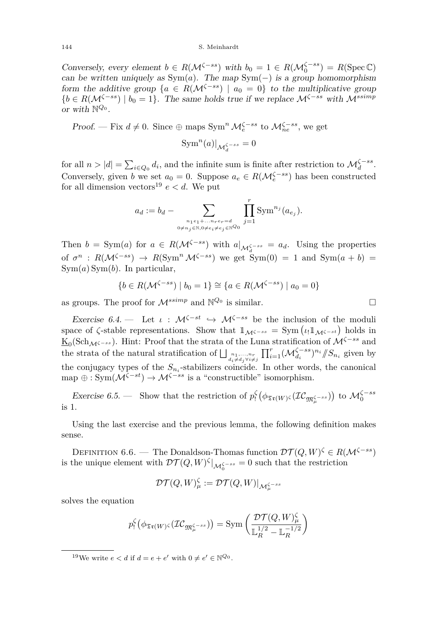Conversely, every element  $b \in R(\mathcal{M}^{\zeta-ss})$  with  $b_0 = 1 \in R(\mathcal{M}_0^{\zeta-ss}) = R(\text{Spec }\mathbb{C})$ can be written uniquely as  $Sym(a)$ . The map  $Sym(-)$  is a group homomorphism form the additive group  $\{a \in R(\mathcal{M}^{\zeta-ss}) \mid a_0 = 0\}$  to the multiplicative group  ${b \in R(\mathcal{M}^{\zeta - ss}) \mid b_0 = 1}.$  The same holds true if we replace  $\mathcal{M}^{\zeta - ss}$  with  $\mathcal{M}^{ssimp}$ or with N *Q*<sup>0</sup> .

Proof. — Fix  $d \neq 0$ . Since ⊕ maps Sym<sup>n</sup>  $\mathcal{M}_{e}^{\zeta - ss}$  to  $\mathcal{M}_{ne}^{\zeta - ss}$ , we get

$$
\text{Sym}^n(a)|_{\mathcal{M}_d^{\zeta-ss}}=0
$$

for all  $n > |d| = \sum_{i \in Q_0} d_i$ , and the infinite sum is finite after restriction to  $\mathcal{M}_d^{\zeta - ss}$ . Conversely, given *b* we set  $a_0 = 0$ . Suppose  $a_e \in R(\mathcal{M}_e^{\zeta - ss})$  has been constructed for all dimension vectors<sup>19</sup>  $e < d$ . We put

$$
a_d := b_d - \sum_{\substack{n_1e_1 + \dots + n_re_r = d \\ 0 \neq n_j \in \mathbb{N}, 0 \neq e_i \neq e_j \in \mathbb{N}^Q}} \prod_{j=1}^r \text{Sym}^{n_j}(a_{e_j}).
$$

Then  $b = \text{Sym}(a)$  for  $a \in R(\mathcal{M}^{\zeta-ss})$  with  $a|_{\mathcal{M}^{\zeta-ss}_d} = a_d$ . Using the properties of  $\sigma^n$ :  $R(\mathcal{M}^{\zeta - ss}) \rightarrow R(\text{Sym}^n \mathcal{M}^{\zeta - ss})$  we get  $\text{Sym}(0) = 1$  and  $\text{Sym}(a + b) =$ Sym(*a*) Sym(*b*). In particular,

$$
\{b \in R(\mathcal{M}^{\zeta-ss}) \mid b_0 = 1\} \cong \{a \in R(\mathcal{M}^{\zeta-ss}) \mid a_0 = 0\}
$$

as groups. The proof for  $\mathcal{M}^{ssimp}$  and  $\mathbb{N}^{Q_0}$  is similar.

<span id="page-44-0"></span>Exercise 6.4. — Let  $\iota$  :  $\mathcal{M}^{\zeta-st} \hookrightarrow \mathcal{M}^{\zeta-ss}$  be the inclusion of the moduli space of  $\zeta$ -stable representations. Show that  $\mathbb{I}_{\mathcal{M}^{\zeta - ss}} = \text{Sym}(\iota_! \mathbb{I}_{\mathcal{M}^{\zeta - st}})$  holds in K0 (SchM*ζ*−*ss* ). Hint: Proof that the strata of the Luna stratification of M*ζ*−*ss* and the strata of the natural stratification of  $\bigsqcup_{d_i \neq d_j \forall i \neq j} \prod_{i=1}^r (\mathcal{M}_{d_i}^{\zeta-ss})^{n_i} / \! / S_{n_i}$  given by the conjugacy types of the  $S_{n_i}$ -stabilizers coincide. In other words, the canonical map  $\oplus$  : Sym( $\mathcal{M}^{\zeta-st}$ )  $\to \mathcal{M}^{\zeta-ss}$  is a "constructible" isomorphism.

Exercise 6.5. — Show that the restriction of  $p_!^{\zeta}(\phi_{\mathfrak{Tr}(W)}\zeta(\mathcal{IC}_{\mathfrak{M}^{\zeta-\{ss\}}_{\mu}}))$  to  $\mathcal{M}^{\zeta-\{ss\}}_0$ is 1.

Using the last exercise and the previous lemma, the following definition makes sense.

DEFINITION 6.6. — The Donaldson-Thomas function  $\mathcal{DT}(Q, W)^\zeta \in R(\mathcal{M}^{\zeta-ss})$ is the unique element with  $\mathcal{DT}(Q, W)^{\zeta}|_{\mathcal{M}_0^{\zeta-ss}} = 0$  such that the restriction

$$
\mathcal{DT}(Q,W)^\zeta_\mu:=\mathcal{DT}(Q,W)|_{\mathcal{M}^{\zeta-ss}_\mu}
$$

solves the equation

$$
p_!^\zeta\big(\phi_{\mathfrak{Tr}(W)^\zeta}(\mathcal{IC}_{\mathfrak{M}^{\zeta-ss}_\mu})\big)=\text{Sym}\left(\frac{\mathcal{DT}(Q,W)^{\zeta}_\mu}{\mathbb{L}_R^{1/2}-\mathbb{L}_R^{-1/2}}\right)
$$

<sup>&</sup>lt;sup>19</sup>We write  $e < d$  if  $d = e + e'$  with  $0 \neq e' \in \mathbb{N}^{\mathbb{Q}_0}$ .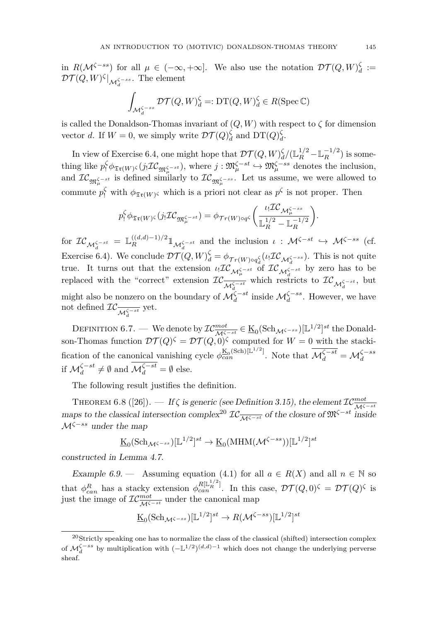in  $R(\mathcal{M}^{\zeta - ss})$  for all  $\mu \in (-\infty, +\infty]$ . We also use the notation  $\mathcal{DT}(Q, W)_{d}^{\zeta} :=$  $\mathcal{DT}(Q,W)^{\zeta}|_{\mathcal{M}_d^{\zeta-ss}}$ . The element

$$
\int_{\mathcal{M}_d^{\zeta-ss}} \mathcal{DT}(Q,W)_d^{\zeta} =: \mathrm{DT}(Q,W)_d^{\zeta} \in R(\mathrm{Spec}\,\mathbb{C})
$$

is called the Donaldson-Thomas invariant of  $(Q, W)$  with respect to  $\zeta$  for dimension vector *d*. If  $W = 0$ , we simply write  $\mathcal{DT}(Q)_{d}^{\zeta}$  and  $DT(Q)_{d}^{\zeta}$ .

In view of Exercise [6.4,](#page-44-0) one might hope that  $\mathcal{DT}(Q, W)_{d}^{\zeta}/(\mathbb{L}_{R}^{1/2} - \mathbb{L}_{R}^{-1/2})$  is some- $\text{t}$ hing like  $p_!^{\zeta} \phi_{\mathfrak{T} \mathfrak{r}(W)} \varsigma (j_! \mathcal{IC}_{\mathfrak{M}^{\zeta - st}_{\mu}})$ , where  $j : \mathfrak{M}^{\zeta - st}_{\mu} \hookrightarrow \mathfrak{M}^{\zeta - ss}_{\mu}$  denotes the inclusion, and  $\mathcal{IC}_{\mathfrak{M}^{\zeta - st}_\mu}$  is defined similarly to  $\mathcal{IC}_{\mathfrak{M}^{\zeta - ss}_\mu}$ . Let us assume, we were allowed to commute  $p_1^{\zeta}$  with  $\phi_{\mathfrak{Tr}(W)}$  which is a priori not clear as  $p^{\zeta}$  is not proper. Then

$$
p_!^{\zeta} \phi_{\mathfrak{T}(\boldsymbol{W})^{\zeta}}(j_! \mathcal{IC}_{\mathfrak{M}_{\mu}^{\zeta - st}}) = \phi_{\mathcal{T}(\boldsymbol{W}) \circ q^{\zeta}} \bigg( \frac{\iota_! \mathcal{IC}_{\mathcal{M}_{\mu}^{\zeta - ss}}}{\mathbb{L}_R^{1/2} - \mathbb{L}_R^{-1/2}} \bigg).
$$

 $\int_{\mathcal{M}_d}^{\mathcal{M}_d} f(x) dx = \mathbb{L}_R^{(d,d)-1)/2} \mathbb{1}_{\mathcal{M}_d^{\mathcal{M}_d} \to t}$  and the inclusion  $\iota : \mathcal{M}^{\mathcal{M}_d} \to \mathcal{M}^{\mathcal{M}_d} \to t$  (cf. Exercise [6.4\)](#page-44-0). We conclude  $\mathcal{DT}(Q, W)_{d}^{\zeta} = \phi_{\mathcal{T}r(W)\circ q_{d}^{\zeta}}(\iota_! \mathcal{IC}_{\mathcal{M}_{d}^{\zeta-s}})$ . This is not quite *d*true. It turns out that the extension  $\iota_! \mathcal{IC}_{\mathcal{M}_\mu^{\zeta-st}} \circ f \mathcal{IC}_{\mathcal{M}_d^{\zeta-st}}$  by zero has to be replaced with the "correct" extension  $IC_{\overline{\mathcal{M}_d^{\zeta-st}}}$  which restricts to  $IC_{\mathcal{M}_d^{\zeta-st}}$ , but *d*might also be nonzero on the boundary of  $\mathcal{M}_d^{\zeta - st}$  inside  $\mathcal{M}_d^{\zeta - ss}$ . However, we have not defined  $\mathcal{IC}_{\overline{\mathcal{M}_d^{\zeta-st}}}$  yet.

DEFINITION 6.7. — We denote by  $\mathcal{IC}_{\mathcal{M}^{\zeta-st}}^{mot} \in \underline{\mathrm{K}}_0(\mathrm{Sch}_{\mathcal{M}^{\zeta-ss}})[\mathbb{L}^{1/2}]^{st}$  the Donaldson-Thomas function  $DT(Q)^{\zeta} = DT(Q, 0)^{\zeta}$  computed for  $W = 0$  with the stackification of the canonical vanishing cycle  $\phi_{can}^{K_0(\text{Sch})[\mathbb{L}^{1/2}]}$ . Note that  $\overline{\mathcal{M}_d^{\zeta-st}} = \mathcal{M}_d^{\zeta-ss}$ if  $\mathcal{M}_d^{\zeta - st} \neq \emptyset$  and  $\mathcal{M}_d^{\zeta - st} = \emptyset$  else.

The following result justifies the definition.

<span id="page-45-0"></span>THEOREM 6.8 ([\[26\]](#page-57-13)). — If  $\zeta$  is generic (see Definition [3.15\)](#page-22-2), the element  $\mathcal{IC}^{mot}_{\overline{\mathcal{M}^{\zeta-st}}}$ maps to the classical intersection complex<sup>20</sup>  $\mathcal{IC}_{\overline{M\zeta - st}}$  of the closure of  $\mathfrak{M}^{\zeta - st}$  inside M*<sup>ζ</sup>*−*ss* under the map

$$
\underline{\mathrm{K}}_0(\mathrm{Sch}_{\mathcal{M}^{\zeta-ss}})[\mathbb{L}^{1/2}]^{st} \to \underline{\mathrm{K}}_0(\mathrm{MHM}(\mathcal{M}^{\zeta-ss}))[\mathbb{L}^{1/2}]^{st}
$$

constructed in Lemma [4.7.](#page-26-4)

Example 6.9. — Assuming equation [\(4.1\)](#page-28-0) for all  $a \in R(X)$  and all  $n \in \mathbb{N}$  so that  $\phi_{can}^R$  has a stacky extension  $\phi_{can}^{R[\mathbb{L}^{1/2}_1]}$ . In this case,  $\mathcal{DT}(Q,0)^\zeta = \mathcal{DT}(Q)^\zeta$  is just the image of  $\mathcal{IC}_{\overline{\mathcal{M}^{\zeta-st}}}^{\text{mot}}$  under the canonical map

$$
\underline{\mathrm{K}}_0(\mathrm{Sch}_{\mathcal{M}^{\zeta-ss}})[\mathbb{L}^{1/2}]^{st} \to R(\mathcal{M}^{\zeta-ss})[\mathbb{L}^{1/2}]^{st}
$$

<sup>20</sup>Strictly speaking one has to normalize the class of the classical (shifted) intersection complex of  $\mathcal{M}_d^{\zeta - ss}$  by multiplication with  $(-L^{1/2})^{(d,d)-1}$  which does not change the underlying perverse sheaf.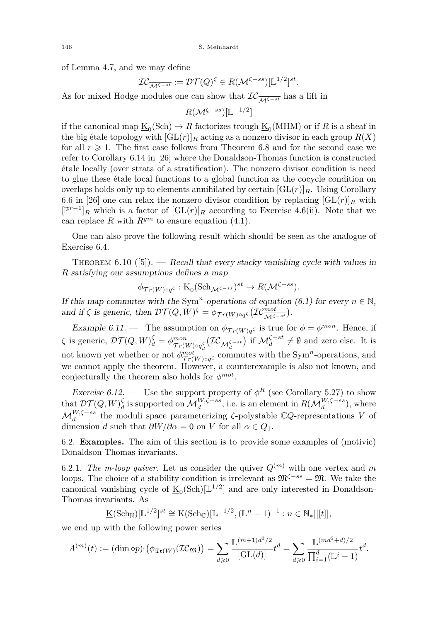of Lemma [4.7,](#page-26-4) and we may define

$$
\mathcal{IC}_{\overline{\mathcal{M}^{\zeta-st}}} := \mathcal{DT}(Q)^{\zeta} \in R(\mathcal{M}^{\zeta-ss})[\mathbb{L}^{1/2}]^{st}.
$$

As for mixed Hodge modules one can show that  $IC_{\overline{\mathcal{M}^{\zeta - st}}}$  has a lift in

$$
R(\mathcal{M}^{\zeta-ss})[\mathbb{L}^{-1/2}]
$$

if the canonical map  $\underline{\mathrm{K}}_0(\mathrm{Sch}) \to R$  factorizes trough  $\underline{\mathrm{K}}_0(\mathrm{MHM})$  or if  $R$  is a sheaf in the big étale topology with  $[\text{GL}(r)]_R$  acting as a nonzero divisor in each group  $R(X)$ for all  $r \geq 1$ . The first case follows from Theorem [6.8](#page-45-0) and for the second case we refer to Corollary 6.14 in [\[26\]](#page-57-13) where the Donaldson-Thomas function is constructed étale locally (over strata of a stratification). The nonzero divisor condition is need to glue these étale local functions to a global function as the cocycle condition on overlaps holds only up to elements annihilated by certain  $[\text{GL}(r)]_R$ . Using Corollary 6.6 in [\[26\]](#page-57-13) one can relax the nonzero divisor condition by replacing  $[\text{GL}(r)]_R$  with [P *r*−1 ]*<sup>R</sup>* which is a factor of [GL(*r*)]*<sup>R</sup>* according to Exercise [4.6\(](#page-25-2)ii). Note that we can replace *R* with  $R^{gm}$  to ensure equation [\(4.1\)](#page-28-0).

One can also prove the following result which should be seen as the analogue of Exercise [6.4.](#page-44-0)

<span id="page-46-1"></span>THEOREM  $6.10$  ([\[5\]](#page-56-9)). — Recall that every stacky vanishing cycle with values in *R* satisfying our assumptions defines a map

$$
\phi_{\mathcal{T}r(W)\circ q^{\zeta}} : \underline{\mathrm{K}}_0(\mathrm{Sch}_{\mathcal{M}^{\zeta-ss}})^{st} \to R(\mathcal{M}^{\zeta-ss}).
$$

If this map commutes with the Sym<sup>n</sup>-operations of equation [\(6.1\)](#page-43-0) for every  $n \in \mathbb{N}$ , and if  $\zeta$  is generic, then  $\mathcal{DT}(Q, W)^\zeta = \phi_{\mathcal{Tr}(W)\circ q^\zeta}(\mathcal{IC}_{\mathcal{M}^{\zeta-st}}^{\mathcal{mot}}).$ 

Example 6.11. — The assumption on  $\phi_{\mathcal{Tr}(W)q}$  is true for  $\phi = \phi^{mon}$ . Hence, if  $\zeta$  is generic,  $\mathcal{DT}(Q,W)_{d}^{\zeta} = \phi_{\mathcal{T}_{T}(Q)}^{mon}$  $\frac{m \circ n}{\pi r(W) \circ q_d^{\zeta}} (\mathcal{IC}_{\mathcal{M}_d^{\zeta - st}})$  if  $\mathcal{M}_d^{\zeta - st} \neq \emptyset$  and zero else. It is not known yet whether or not  $\phi_{Tr(W) \circ q}^{mot}$  commutes with the Sym<sup>n</sup>-operations, and we cannot apply the theorem. However, a counterexample is also not known, and conjecturally the theorem also holds for  $\phi^{mot}$ .

Exercise 6.12. — Use the support property of  $\phi^R$  (see Corollary [5.27\)](#page-40-2) to show that  $\mathcal{DT}(Q, W)$ <sup> $\zeta$ </sup> is supported on  $\mathcal{M}_d^{W, \zeta-ss}$ , i.e. is an element in  $R(\mathcal{M}_d^{W, \zeta-ss})$ , where  $\mathcal{M}_d^{W,\zeta-ss}$  the moduli space parameterizing  $\zeta$ -polystable  $\mathbb{C}Q$ -representations *V* of dimension *d* such that  $\partial W/\partial \alpha = 0$  on *V* for all  $\alpha \in Q_1$ .

<span id="page-46-0"></span>6.2. **Examples.** The aim of this section is to provide some examples of (motivic) Donaldson-Thomas invariants.

6.2.1. *The m-loop quiver.* Let us consider the quiver  $Q^{(m)}$  with one vertex and m loops. The choice of a stability condition is irrelevant as  $\mathfrak{M}^{\zeta-ss} = \mathfrak{M}$ . We take the canonical vanishing cycle of  $\underline{\mathbf{K}}_0(\text{Sch})[\mathbb{L}^{1/2}]$  and are only interested in Donaldson-Thomas invariants. As

$$
\underline{\mathrm{K}}(\mathrm{Sch}_{\mathbb{N}})[\mathbb{L}^{1/2}]^{st} \cong \mathrm{K}(\mathrm{Sch}_{\mathbb{C}})[\mathbb{L}^{-1/2}, (\mathbb{L}^{n}-1)^{-1} : n \in \mathbb{N}_{*}][[t]],
$$

we end up with the following power series

$$
A^{(m)}(t) := (\dim \circ p) \cdot (\phi_{\mathfrak{Tr}(W)}(\mathcal{IC}_{\mathfrak{M}})) = \sum_{d \geq 0} \frac{\mathbb{L}^{(m+1)d^2/2}}{[\mathrm{GL}(d)]} t^d = \sum_{d \geq 0} \frac{\mathbb{L}^{(md^2+d)/2}}{\prod_{i=1}^d (\mathbb{L}^i - 1)} t^d.
$$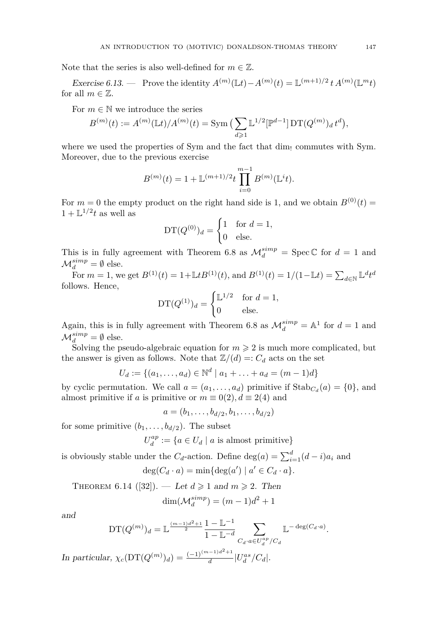Note that the series is also well-defined for  $m \in \mathbb{Z}$ .

Exercise 6.13. — Prove the identity  $A^{(m)}(\mathbb{L}t) - A^{(m)}(t) = \mathbb{L}^{(m+1)/2} t A^{(m)}(\mathbb{L}^m t)$ for all  $m \in \mathbb{Z}$ .

For  $m \in \mathbb{N}$  we introduce the series

$$
B^{(m)}(t) := A^{(m)}(\mathbb{L}t)/A^{(m)}(t) = \text{Sym}\left(\sum_{d\geq 1} \mathbb{L}^{1/2}[\mathbb{P}^{d-1}] \mathop{\rm DT}\nolimits(Q^{(m)})_d t^d\right),
$$

where we used the properties of Sym and the fact that  $\dim_{\mathfrak{l}}$  commutes with Sym. Moreover, due to the previous exercise

$$
B^{(m)}(t) = 1 + \mathbb{L}^{(m+1)/2} t \prod_{i=0}^{m-1} B^{(m)}(\mathbb{L}^i t).
$$

For  $m = 0$  the empty product on the right hand side is 1, and we obtain  $B^{(0)}(t) =$  $1 + \mathbb{L}^{1/2}t$  as well as

$$
DT(Q^{(0)})_d = \begin{cases} 1 & \text{for } d = 1, \\ 0 & \text{else.} \end{cases}
$$

This is in fully agreement with Theorem [6.8](#page-45-0) as  $\mathcal{M}_d^{simp} = \text{Spec } \mathbb{C}$  for  $d = 1$  and  $\mathcal{M}_d^{simp} = \emptyset$  else.

For  $m = 1$ , we get  $B^{(1)}(t) = 1 + \mathbb{L}tB^{(1)}(t)$ , and  $B^{(1)}(t) = 1/(1 - \mathbb{L}t) = \sum_{d \in \mathbb{N}} \mathbb{L}^d t^d$ follows. Hence,

$$
DT(Q^{(1)})_d = \begin{cases} \mathbb{L}^{1/2} & \text{for } d = 1, \\ 0 & \text{else.} \end{cases}
$$

Again, this is in fully agreement with Theorem [6.8](#page-45-0) as  $\mathcal{M}_d^{simp} = \mathbb{A}^1$  for  $d = 1$  and  $\mathcal{M}_d^{simp} = \emptyset$  else.

Solving the pseudo-algebraic equation for  $m \geq 2$  is much more complicated, but the answer is given as follows. Note that  $\mathbb{Z}/(d) =: C_d$  acts on the set

$$
U_d := \{(a_1, \ldots, a_d) \in \mathbb{N}^d \mid a_1 + \ldots + a_d = (m-1)d\}
$$

by cyclic permutation. We call  $a = (a_1, \ldots, a_d)$  primitive if  $\text{Stab}_{C_d}(a) = \{0\}$ , and almost primitive if *a* is primitive or  $m \equiv 0(2)$ ,  $d \equiv 2(4)$  and

$$
a = (b_1, \ldots, b_{d/2}, b_1, \ldots, b_{d/2})
$$

for some primitive  $(b_1, \ldots, b_{d/2})$ . The subset

 $U_d^{ap} := \{ a \in U_d \mid a \text{ is almost primitive} \}$ 

is obviously stable under the  $C_d$ -action. Define  $\deg(a) = \sum_{i=1}^d (d-i)a_i$  and

$$
\deg(C_d \cdot a) = \min\{\deg(a') \mid a' \in C_d \cdot a\}.
$$

THEOREM 6.14 ([\[32\]](#page-57-11)). — Let  $d \ge 1$  and  $m \ge 2$ . Then

$$
\dim(\mathcal{M}_d^{simp}) = (m-1)d^2 + 1
$$

and

$$
\mathrm{DT}(Q^{(m)})_d = \mathbb{L}^{\frac{(m-1)d^2+1}{2}} \frac{1 - \mathbb{L}^{-1}}{1 - \mathbb{L}^{-d}} \sum_{C_d \cdot a \in U_d^{ap}/C_d} \mathbb{L}^{-\deg(C_d \cdot a)}.
$$

In particular,  $\chi_c(DT(Q^{(m)})_d) = \frac{(-1)^{(m-1)d^2+1}}{d}$  $\frac{d}{d}$   $|U_d^{as}/C_d|$ .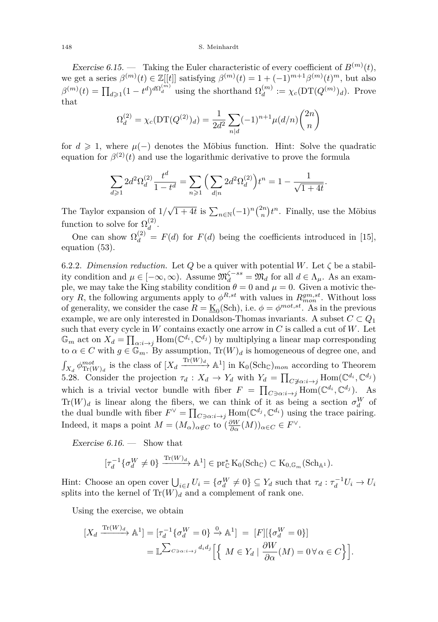#### 148 S. Meinhardt

Exercise 6.15. — Taking the Euler characteristic of every coefficient of  $B^{(m)}(t)$ , we get a series  $\beta^{(m)}(t) \in \mathbb{Z}[[t]]$  satisfying  $\beta^{(m)}(t) = 1 + (-1)^{m+1} \beta^{(m)}(t)^m$ , but also  $\beta^{(m)}(t) = \prod_{d \geq 1} (1 - t^d)^{d\Omega_d^{(m)}}$  using the shorthand  $\Omega_d^{(m)}$  $\chi_d^{(m)} := \chi_c(\mathrm{DT}(Q^{(m)})_d)$ . Prove that

$$
\Omega_d^{(2)} = \chi_c(\mathcal{DT}(Q^{(2)})_d) = \frac{1}{2d^2} \sum_{n|d} (-1)^{n+1} \mu(d/n) \binom{2n}{n}
$$

for  $d \geq 1$ , where  $\mu(-)$  denotes the Möbius function. Hint: Solve the quadratic equation for  $\beta^{(2)}(t)$  and use the logarithmic derivative to prove the formula

$$
\sum_{d\geqslant 1} 2d^2 \Omega_d^{(2)} \frac{t^d}{1-t^d} = \sum_{n\geqslant 1} \Big( \sum_{d|n} 2d^2 \Omega_d^{(2)} \Big) t^n = 1 - \frac{1}{\sqrt{1+4t}}
$$

*.*

The Taylor expansion of  $1/\sqrt{1+4t}$  is  $\sum_{n\in\mathbb{N}}(-1)^n\binom{2n}{n}t^n$ . Finally, use the Möbius function to solve for  $\Omega_d^{(2)}$  $\frac{(2)}{d}$ .

One can show  $\Omega_d^{(2)} = F(d)$  for  $F(d)$  being the coefficients introduced in [\[15\]](#page-57-3), equation (53).

6.2.2. *Dimension reduction*. Let *Q* be a quiver with potential *W*. Let  $\zeta$  be a stability condition and  $\mu \in [-\infty, \infty)$ . Assume  $\mathfrak{M}_d^{\zeta-ss} = \mathfrak{M}_d$  for all  $d \in \Lambda_\mu$ . As an example, we may take the King stability condition  $\theta = 0$  and  $\mu = 0$ . Given a motivic theory *R*, the following arguments apply to  $\phi^{R,st}$  with values in  $R_{mon}^{gm,st}$ . Without loss of generality, we consider the case  $R = \underline{\mathrm{K}}_0(\mathrm{Sch})$ , i.e.  $\phi = \phi^{mot, st}$ . As in the previous example, we are only interested in Donaldson-Thomas invariants. A subset  $C \subset Q_1$ such that every cycle in *W* contains exactly one arrow in *C* is called a cut of *W*. Let  $\mathbb{G}_m$  act on  $X_d = \prod_{\alpha:i \to j} \text{Hom}(\mathbb{C}^{d_i}, \mathbb{C}^{d_j})$  by multiplying a linear map corresponding to  $\alpha \in C$  with  $g \in \mathbb{G}_m$ . By assumption,  $\text{Tr}(W)_d$  is homogeneous of degree one, and  $\int_{X_d} \phi_{\text{Tr}(W)_d}^{mot}$  is the class of  $[X_d \xrightarrow{\text{Tr}(W)_d} \mathbb{A}^1]$  in  $K_0(\text{Sch}_\mathbb{C})_{mon}$  according to Theorem [5.28.](#page-40-3) Consider the projection  $\tau_d: X_d \to Y_d$  with  $Y_d = \prod_{C \not\ni \alpha: i \to j} \text{Hom}(\mathbb{C}^{d_i}, \mathbb{C}^{d_j})$ which is a trivial vector bundle with fiber  $F = \prod_{C \ni \alpha: i \to j} \text{Hom}(\mathbb{C}^{d_i}, \mathbb{C}^{d_j})$ . As  $Tr(W)_d$  is linear along the fibers, we can think of it as being a section  $\sigma_d^W$  of the dual bundle with fiber  $F^{\vee} = \prod_{C \ni \alpha: i \to j} \text{Hom}(\mathbb{C}^{d_j}, \mathbb{C}^{d_i})$  using the trace pairing. Indeed, it maps a point  $M = (M_\alpha)_{\alpha \notin C}$  to  $(\frac{\partial W}{\partial \alpha}(M))_{\alpha \in C} \in F^{\vee}$ .

Exercise  $6.16.$  — Show that

$$
[\tau_d^{-1}\{\sigma_d^W \neq 0\} \xrightarrow{\mathrm{Tr}(W)_d} \mathbb{A}^1] \in \mathrm{pr}_{\mathbb{C}}^* \mathrm{K}_0(\mathrm{Sch}_{\mathbb{C}}) \subset \mathrm{K}_{0,\mathbb{G}_m}(\mathrm{Sch}_{\mathbb{A}^1}).
$$

Hint: Choose an open cover  $\bigcup_{i \in I} U_i = \{\sigma_d^W \neq 0\} \subseteq Y_d$  such that  $\tau_d : \tau_d^{-1} U_i \to U_i$ splits into the kernel of  $\text{Tr}(W)_d$  and a complement of rank one.

Using the exercise, we obtain

$$
\begin{aligned} \left[X_d \xrightarrow{\text{Tr}(W)_d} \mathbb{A}^1\right] &= \left[\tau_d^{-1} \{\sigma_d^W = 0\} \xrightarrow{\mathbf{0}} \mathbb{A}^1\right] \ = \ [F] \left[\{\sigma_d^W = 0\}\right] \\ &= \mathbb{L}^{\sum_{C \ni \alpha: i \to j} d_i d_j} \left[ \left\{ \ M \in Y_d \mid \frac{\partial W}{\partial \alpha}(M) = 0 \,\forall \,\alpha \in C \right\} \right]. \end{aligned}
$$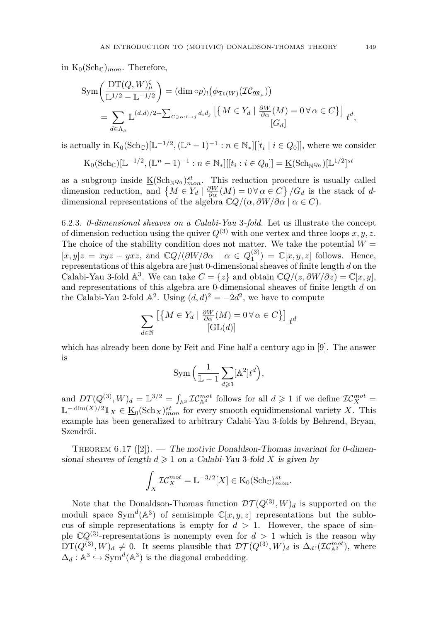in  $K_0(\text{Sch}_\mathbb{C})_{mon}$ . Therefore,

$$
\text{Sym}\left(\frac{\text{DT}(Q,W)_{\mu}^{\zeta}}{\mathbb{L}^{1/2} - \mathbb{L}^{-1/2}}\right) = (\dim \text{op})_{!}(\phi_{\mathfrak{Tr}(W)}(\mathcal{IC}_{\mathfrak{M}_{\mu}}))
$$
\n
$$
= \sum_{d \in \Lambda_{\mu}} \mathbb{L}^{(d,d)/2+} \sum_{C \ni \alpha: i \to j} d_i d_j \underbrace{\left[\left\{M \in Y_d \mid \frac{\partial W}{\partial \alpha}(M) = 0 \,\forall \,\alpha \in C\right\}\right]}_{[G_d]} t^d,
$$

is actually in  $K_0(\text{Sch}_{\mathbb{C}})[\mathbb{L}^{-1/2}, (\mathbb{L}^n - 1)^{-1} : n \in \mathbb{N}_*][[t_i \mid i \in Q_0]],$  where we consider

$$
K_0(\mathrm{Sch}_{\mathbb{C}})[\mathbb{L}^{-1/2}, (\mathbb{L}^n - 1)^{-1} : n \in \mathbb{N}_*][[t_i : i \in Q_0]] = \underline{K}(\mathrm{Sch}_{\mathbb{N}^{Q_0}})[\mathbb{L}^{1/2}]^{st}
$$

as a subgroup inside  $\underline{\mathrm{K}}(\mathrm{Sch}_{\mathbb{N}^{Q_0}})_{mon}^{st}$ . This reduction procedure is usually called dimension reduction, and  $\{M \in Y_d \mid \frac{\partial W}{\partial \alpha}(M) = 0 \,\forall \alpha \in C\} / G_d$  is the stack of *d*dimensional representations of the algebra  $\mathbb{C}Q/(\alpha, \partial W/\partial \alpha \mid \alpha \in C)$ .

6.2.3. *0-dimensional sheaves on a Calabi-Yau* 3*-fold.* Let us illustrate the concept of dimension reduction using the quiver  $Q^{(3)}$  with one vertex and three loops  $x, y, z$ . The choice of the stability condition does not matter. We take the potential  $W =$  $[x, y]z = xyz - yxz$ , and  $\mathbb{C}Q/(\partial W/\partial \alpha \mid \alpha \in Q_1^{(3)}) = \mathbb{C}[x, y, z]$  follows. Hence, representations of this algebra are just 0-dimensional sheaves of finite length *d* on the Calabi-Yau 3-fold  $\mathbb{A}^3$ . We can take  $C = \{z\}$  and obtain  $\mathbb{C}Q/(z, \partial W/\partial z) = \mathbb{C}[x, y]$ , and representations of this algebra are 0-dimensional sheaves of finite length *d* on the Calabi-Yau 2-fold  $\mathbb{A}^2$ . Using  $(d, d)^2 = -2d^2$ , we have to compute

$$
\sum_{d \in \mathbb{N}} \frac{\left[ \left\{ M \in Y_d \mid \frac{\partial W}{\partial \alpha}(M) = 0 \, \forall \, \alpha \in C \right\} \right]}{\left[ \text{GL}(d) \right]} \, t^d
$$

which has already been done by Feit and Fine half a century ago in [\[9\]](#page-56-13). The answer is

$$
\operatorname{Sym}\Big(\frac{1}{\mathbb{L}-1}\sum_{d\geqslant 1} [\mathbb{A}^2]t^d\Big),\,
$$

and  $DT(Q^{(3)}, W)_d = \mathbb{L}^{3/2} = \int_{\mathbb{A}^3} \mathcal{IC}_{\mathbb{A}^3}^{mot}$  follows for all  $d \geq 1$  if we define  $\mathcal{IC}_X^{mot} =$  $\mathbb{L}$ <sup>−</sup> dim(*X*)/2 $\mathbb{1}_X$  ∈ <u>K</u><sub>0</sub>(Sch<sub>*X*</sub>)<sup>*st*</sup><sub>*mon*</sub> for every smooth equidimensional variety *X*. This example has been generalized to arbitrary Calabi-Yau 3-folds by Behrend, Bryan, Szendrői.

<span id="page-49-0"></span>THEOREM 6.17 ([\[2\]](#page-56-5)). — The motivic Donaldson-Thomas invariant for 0-dimensional sheaves of length  $d \geq 1$  on a Calabi-Yau 3-fold X is given by

$$
\int_X \mathcal{I}\mathcal{C}_X^{mot} = \mathbb{L}^{-3/2}[X] \in \mathcal{K}_0(\mathbf{Sch}_{\mathbb{C}})^{st}_{mon}.
$$

Note that the Donaldson-Thomas function  $\mathcal{DT}(Q^{(3)}, W)_{d}$  is supported on the moduli space  $Sym^d(A^3)$  of semisimple  $\mathbb{C}[x, y, z]$  representations but the sublocus of simple representations is empty for  $d > 1$ . However, the space of simple  $\mathbb{C}Q^{(3)}$ -representations is nonempty even for  $d > 1$  which is the reason why  $DT(Q^{(3)}, W)_d \neq 0$ . It seems plausible that  $DT(Q^{(3)}, W)_d$  is  $\Delta_{d} \cdot (TC_{\mathbb{A}^3}^{mot})$ , where  $\Delta_d : \mathbb{A}^3 \hookrightarrow \text{Sym}^d(\mathbb{A}^3)$  is the diagonal embedding.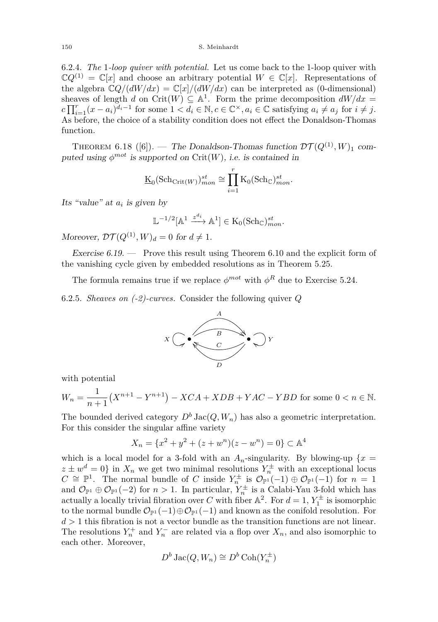#### 150 S. Meinhardt

6.2.4. *The* 1*-loop quiver with potential.* Let us come back to the 1-loop quiver with  $\mathbb{C}Q^{(1)} = \mathbb{C}[x]$  and choose an arbitrary potential  $W \in \mathbb{C}[x]$ . Representations of the algebra  $\mathbb{C}Q/(dW/dx) = \mathbb{C}[x]/(dW/dx)$  can be interpreted as (0-dimensional) sheaves of length *d* on Crit(*W*)  $\subseteq$  A<sup>1</sup>. Form the prime decomposition  $dW/dx =$  $c \prod_{i=1}^{r} (x - a_i)^{d_i - 1}$  for some  $1 < d_i \in \mathbb{N}, c \in \mathbb{C}^\times, a_i \in \mathbb{C}$  satisfying  $a_i \neq a_j$  for  $i \neq j$ . As before, the choice of a stability condition does not effect the Donaldson-Thomas function.

THEOREM 6.18 ([\[6\]](#page-56-6)). — The Donaldson-Thomas function  $\mathcal{DT}(Q^{(1)}, W)_1$  computed using  $\phi^{mot}$  is supported on Crit $(W)$ , i.e. is contained in

$$
\underline{\mathrm{K}}_0(\mathrm{Sch}_{\mathrm{Crit}(W)})^{st}_{mon}\cong \prod_{i=1}^r \mathrm{K}_0(\mathrm{Sch}_{\mathbb{C}})^{st}_{mon}.
$$

Its "value" at *a<sup>i</sup>* is given by

$$
\mathbb{L}^{-1/2}[\mathbb{A}^1 \xrightarrow{z^{d_i}} \mathbb{A}^1] \in \mathcal{K}_0(\mathbf{Sch}_{\mathbb{C}})^{st}_{mon}.
$$

Moreover,  $\mathcal{DT}(Q^{(1)}, W)_d = 0$  for  $d \neq 1$ .

Exercise 6.19. — Prove this result using Theorem [6.10](#page-46-1) and the explicit form of the vanishing cycle given by embedded resolutions as in Theorem [5.25.](#page-40-1)

The formula remains true if we replace  $\phi^{mot}$  with  $\phi^R$  due to Exercise [5.24.](#page-39-0)

6.2.5. *Sheaves on (-2)-curves.* Consider the following quiver *Q*



with potential

$$
W_n = \frac{1}{n+1} (X^{n+1} - Y^{n+1}) - XCA + XDB + YAC - YBD
$$
 for some  $0 < n \in \mathbb{N}$ .

The bounded derived category  $D^b$  Jac( $Q, W_n$ ) has also a geometric interpretation. For this consider the singular affine variety

$$
X_n = \{x^2 + y^2 + (z + w^n)(z - w^n) = 0\} \subset \mathbb{A}^4
$$

which is a local model for a 3-fold with an  $A_n$ -singularity. By blowing-up  $\{x =$  $z \pm w^d = 0$  in  $X_n$  we get two minimal resolutions  $Y_n^{\pm}$  with an exceptional locus  $C \cong \mathbb{P}^1$ . The normal bundle of *C* inside  $Y_n^{\pm}$  is  $\mathcal{O}_{\mathbb{P}^1}(-1) \oplus \mathcal{O}_{\mathbb{P}^1}(-1)$  for  $n = 1$ and  $\mathcal{O}_{\mathbb{P}^1} \oplus \mathcal{O}_{\mathbb{P}^1}(-2)$  for  $n > 1$ . In particular,  $Y_n^{\pm}$  is a Calabi-Yau 3-fold which has actually a locally trivial fibration over *C* with fiber  $\mathbb{A}^2$ . For  $d = 1$ ,  $Y_1^{\pm}$  is isomorphic to the normal bundle  $\mathcal{O}_{\mathbb{P}^1}(-1)\oplus\mathcal{O}_{\mathbb{P}^1}(-1)$  and known as the conifold resolution. For *d >* 1 this fibration is not a vector bundle as the transition functions are not linear. The resolutions  $Y_n^+$  and  $Y_n^-$  are related via a flop over  $X_n$ , and also isomorphic to each other. Moreover,

$$
D^b\operatorname{Jac}(Q, W_n) \cong D^b\operatorname{Coh}(Y_n^{\pm})
$$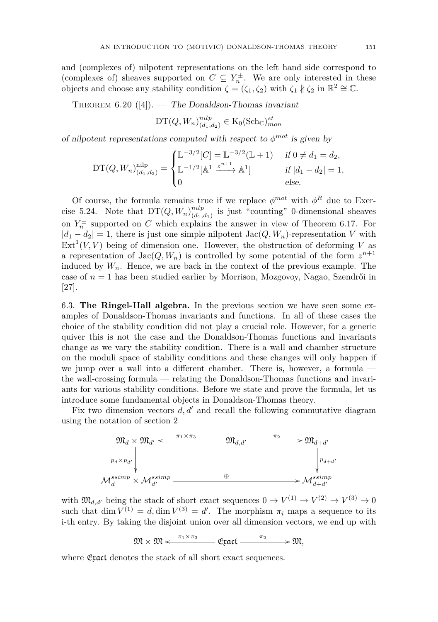and (complexes of) nilpotent representations on the left hand side correspond to (complexes of) sheaves supported on  $C \subseteq Y_n^{\pm}$ . We are only interested in these objects and choose any stability condition  $\zeta = (\zeta_1, \zeta_2)$  with  $\zeta_1 \nparallel \zeta_2$  in  $\mathbb{R}^2 \cong \mathbb{C}$ .

THEOREM  $6.20$  ([\[4\]](#page-56-7)). — The Donaldson-Thomas invariant

$$
\mathrm{DT}(Q, W_n)_{(d_1, d_2)}^{nilp} \in \mathrm{K}_0(\mathrm{Sch}_{\mathbb{C}})_{mon}^{st}
$$

of nilpotent representations computed with respect to  $\phi^{mot}$  is given by

$$
DT(Q, W_n)_{(d_1, d_2)}^{\text{nilp}} = \begin{cases} \mathbb{L}^{-3/2}[C] = \mathbb{L}^{-3/2}(\mathbb{L} + 1) & \text{if } 0 \neq d_1 = d_2, \\ \mathbb{L}^{-1/2}[\mathbb{A}^1 \xrightarrow{z^{n+1}} \mathbb{A}^1] & \text{if } |d_1 - d_2| = 1, \\ 0 & \text{else.} \end{cases}
$$

Of course, the formula remains true if we replace  $\phi^{mot}$  with  $\phi^R$  due to Exer-cise [5.24.](#page-39-0) Note that  $DT(Q, W_n)_{(d_1, n]}^{nilp}$  $\binom{nup}{(d_1,d_1)}$  is just "counting" 0-dimensional sheaves on  $Y_n^{\pm}$  supported on *C* which explains the answer in view of Theorem [6.17.](#page-49-0) For  $|d_1 - d_2| = 1$ , there is just one simple nilpotent  $Jac(Q, W_n)$ -representation *V* with  $\text{Ext}^1(V, V)$  being of dimension one. However, the obstruction of deforming V as a representation of  $Jac(Q, W_n)$  is controlled by some potential of the form  $z^{n+1}$ induced by  $W_n$ . Hence, we are back in the context of the previous example. The case of  $n = 1$  has been studied earlier by Morrison, Mozgovoy, Nagao, Szendrői in [\[27\]](#page-57-12).

<span id="page-51-0"></span>6.3. **The Ringel-Hall algebra.** In the previous section we have seen some examples of Donaldson-Thomas invariants and functions. In all of these cases the choice of the stability condition did not play a crucial role. However, for a generic quiver this is not the case and the Donaldson-Thomas functions and invariants change as we vary the stability condition. There is a wall and chamber structure on the moduli space of stability conditions and these changes will only happen if we jump over a wall into a different chamber. There is, however, a formula the wall-crossing formula — relating the Donaldson-Thomas functions and invariants for various stability conditions. Before we state and prove the formula, let us introduce some fundamental objects in Donaldson-Thomas theory.

Fix two dimension vectors  $d, d'$  and recall the following commutative diagram using the notation of section 2



with  $\mathfrak{M}_{d,d'}$  being the stack of short exact sequences  $0 \to V^{(1)} \to V^{(2)} \to V^{(3)} \to 0$ such that dim  $V^{(1)} = d$ , dim  $V^{(3)} = d'$ . The morphism  $\pi_i$  maps a sequence to its i-th entry. By taking the disjoint union over all dimension vectors, we end up with

$$
\mathfrak{M}\times \mathfrak{M} \xleftarrow{\pi_1\times \pi_3} \mathfrak{Exact} \xrightarrow{\pi_2} \mathfrak{M},
$$

where  $\mathfrak{Exact}$  denotes the stack of all short exact sequences.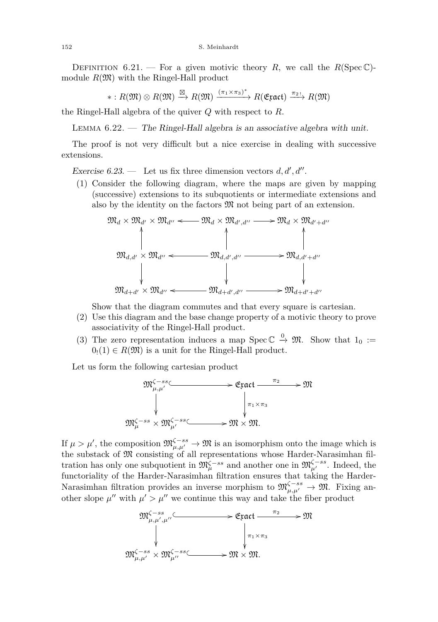DEFINITION 6.21. — For a given motivic theory R, we call the  $R(Spec \mathbb{C})$ module  $R(\mathfrak{M})$  with the Ringel-Hall product

 $\ast: R(\mathfrak{M})\otimes R(\mathfrak{M}) \stackrel{\boxtimes}{\longrightarrow} R(\mathfrak{M}) \xrightarrow{(\pi_1\times\pi_3)^*} R(\mathfrak{Exact}) \xrightarrow{\pi_2}{R(\mathfrak{M})}$ 

the Ringel-Hall algebra of the quiver *Q* with respect to *R*.

LEMMA  $6.22.$  — The Ringel-Hall algebra is an associative algebra with unit.

The proof is not very difficult but a nice exercise in dealing with successive extensions.

Exercise  $6.23$ . — Let us fix three dimension vectors  $d, d', d''$ .

(1) Consider the following diagram, where the maps are given by mapping (successive) extensions to its subquotients or intermediate extensions and also by the identity on the factors  $\mathfrak{M}$  not being part of an extension.



Show that the diagram commutes and that every square is cartesian.

- (2) Use this diagram and the base change property of a motivic theory to prove associativity of the Ringel-Hall product.
- (3) The zero representation induces a map Spec  $\mathbb{C} \stackrel{0}{\rightarrow} \mathfrak{M}$ . Show that  $1_0 :=$  $0(1) \in R(\mathfrak{M})$  is a unit for the Ringel-Hall product.

Let us form the following cartesian production-



If  $\mu > \mu'$ , the composition  $\mathfrak{M}^{\zeta - ss}_{\mu,\mu'} \to \mathfrak{M}$  is an isomorphism onto the image which is the substack of  $\mathfrak{M}$  consisting of all representations whose Harder-Narasimhan filtration has only one subquotient in  $\mathfrak{M}^{\zeta - ss}_{\mu}$  and another one in  $\mathfrak{M}^{\zeta - ss}_{\mu'}$ . Indeed, the functoriality of the Harder-Narasimhan filtration ensures that taking the Harder-Narasimhan filtration provides an inverse morphism to  $\mathfrak{M}^{\zeta - ss}_{\mu,\mu'} \to \mathfrak{M}$ . Fixing another slope  $\mu''$  with  $\mu' > \mu''$  we continue this way and take the fiber product

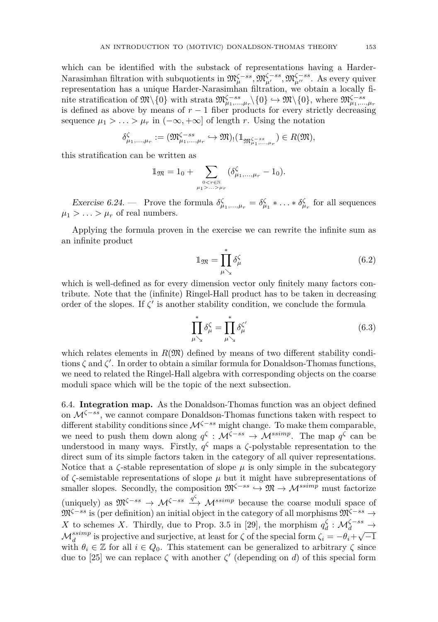which can be identified with the substack of representations having a Harder-Narasimhan filtration with subquotients in  $\mathfrak{M}_{\mu}^{\zeta-ss}, \mathfrak{M}_{\mu'}^{\zeta-ss}, \mathfrak{M}_{\mu''}^{\zeta-ss}$ . As every quiver representation has a unique Harder-Narasimhan filtration, we obtain a locally finite stratification of  $\mathfrak{M}\backslash\{0\}$  with strata  $\mathfrak{M}\backslash\{0\} \hookrightarrow \mathfrak{M}\backslash\{0\}$ , where  $\mathfrak{M}\backslash\{0\}$ ,  $\mathfrak{M}\backslash\{0\}$ ,  $\mathfrak{M}\backslash\{0\}$ ,  $\mathfrak{M}\backslash\{0\}$ ,  $\mathfrak{M}\backslash\{0\}$ ,  $\mathfrak{M}\backslash\{0\}$ ,  $\mathfrak{M}\backslash\{0\}$ ,  $\$ is defined as above by means of  $r - 1$  fiber products for every strictly decreasing sequence  $\mu_1 > \ldots > \mu_r$  in  $(-\infty, +\infty]$  of length *r*. Using the notation

$$
\delta^\zeta_{\mu_1,\ldots,\mu_r}:=(\mathfrak{M}^{\zeta-ss}_{\mu_1,\ldots,\mu_r}\hookrightarrow \mathfrak{M})_!(\mathbbm{1}_{\mathfrak{M}^{\zeta-ss}_{\mu_1,\ldots,\mu_r}})\in R(\mathfrak{M}),
$$

this stratification can be written as

$$
\mathbb{1}_{\mathfrak{M}} = 1_0 + \sum_{0 < r \in \mathbb{N} \atop \mu_1 > ... > \mu_r} (\delta_{\mu_1,...,\mu_r}^{\zeta} - 1_0).
$$

Exercise 6.24. — Prove the formula  $\delta^{\zeta}_{\mu_1,\dots,\mu_r} = \delta^{\zeta}_{\mu_1} * \dots * \delta^{\zeta}_{\mu_r}$  for all sequences  $\mu_1 > \ldots > \mu_r$  of real numbers.

Applying the formula proven in the exercise we can rewrite the infinite sum as an infinite product

<span id="page-53-1"></span>
$$
\mathbb{1}_{\mathfrak{M}} = \prod_{\mu \searrow}^* \delta_{\mu}^{\zeta} \tag{6.2}
$$

which is well-defined as for every dimension vector only finitely many factors contribute. Note that the (infinite) Ringel-Hall product has to be taken in decreasing order of the slopes. If  $\zeta'$  is another stability condition, we conclude the formula

<span id="page-53-2"></span>
$$
\prod_{\mu \searrow}^* \delta_{\mu}^{\zeta} = \prod_{\mu \searrow}^* \delta_{\mu}^{\zeta'} \tag{6.3}
$$

which relates elements in  $R(\mathfrak{M})$  defined by means of two different stability conditions  $\zeta$  and  $\zeta'$ . In order to obtain a similar formula for Donaldson-Thomas functions, we need to related the Ringel-Hall algebra with corresponding objects on the coarse moduli space which will be the topic of the next subsection.

<span id="page-53-0"></span>6.4. **Integration map.** As the Donaldson-Thomas function was an object defined on M*<sup>ζ</sup>*−*ss*, we cannot compare Donaldson-Thomas functions taken with respect to different stability conditions since M*<sup>ζ</sup>*−*ss* might change. To make them comparable, we need to push them down along  $q^{\zeta}$  :  $\mathcal{M}^{\zeta-ss} \to \mathcal{M}^{ssimp}$ . The map  $q^{\zeta}$  can be understood in many ways. Firstly,  $q^{\zeta}$  maps a  $\zeta$ -polystable representation to the direct sum of its simple factors taken in the category of all quiver representations. Notice that a  $\zeta$ -stable representation of slope  $\mu$  is only simple in the subcategory of  $\zeta$ -semistable representations of slope  $\mu$  but it might have subrepresentations of smaller slopes. Secondly, the composition  $\mathfrak{M}^{\zeta-ss} \to \mathfrak{M} \to \mathcal{M}^{ssimp}$  must factorize (uniquely) as  $\mathfrak{M}^{\zeta-ss} \to \mathcal{M}^{\zeta-ss} \xrightarrow{q^{\zeta}} \mathcal{M}^{ssimp}$  because the coarse moduli space of M*<sup>ζ</sup>*−*ss* is (per definition) an initial object in the category of all morphisms M*<sup>ζ</sup>*−*ss* → *X* to schemes *X*. Thirdly, due to Prop. 3.5 in [\[29\]](#page-57-19), the morphism  $q_d^{\zeta}$  :  $\mathcal{M}_d^{\zeta-ss} \to$  $\mathcal{M}_d^{ssimp}$  is projective and surjective, at least for  $\zeta$  of the special form  $\zeta_i = -\theta_i + \sqrt{-1}$ with  $\theta_i \in \mathbb{Z}$  for all  $i \in Q_0$ . This statement can be generalized to arbitrary  $\zeta$  since due to [\[25\]](#page-57-17) we can replace  $\zeta$  with another  $\zeta'$  (depending on *d*) of this special form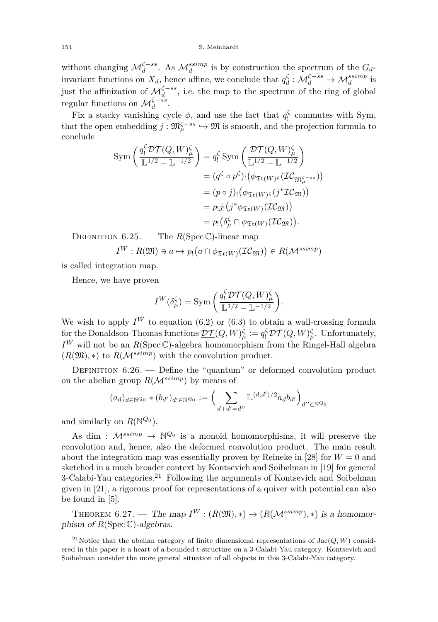without changing  $\mathcal{M}_d^{\zeta-ss}$ . As  $\mathcal{M}_d^{ssimp}$  is by construction the spectrum of the  $G_d$ invariant functions on  $X_d$ , hence affine, we conclude that  $q_d^{\zeta} : \mathcal{M}_d^{\zeta - ss} \to \mathcal{M}_d^{ssimp}$  is just the affinization of  $\mathcal{M}_d^{\zeta - ss}$ , i.e. the map to the spectrum of the ring of global regular functions on  $\mathcal{M}_d^{\zeta-ss}$ .

Fix a stacky vanishing cycle  $\phi$ , and use the fact that  $q_i^{\zeta}$  commutes with Sym, that the open embedding  $j : \mathfrak{M}^{\zeta-ss}_{\mu} \hookrightarrow \mathfrak{M}$  is smooth, and the projection formula to conclude

$$
\text{Sym}\left(\frac{q_!^{\zeta}\mathcal{DT}(Q,W)_\mu^{\zeta}}{\mathbb{L}^{1/2}-\mathbb{L}^{-1/2}}\right) = q_!^{\zeta} \text{Sym}\left(\frac{\mathcal{DT}(Q,W)_\mu^{\zeta}}{\mathbb{L}^{1/2}-\mathbb{L}^{-1/2}}\right)
$$

$$
= (q^{\zeta} \circ p^{\zeta})_! (\phi_{\mathfrak{Tr}(W)^{\zeta}}(\mathcal{IC}_{\mathfrak{M}_\mu^{\zeta-ss}}))
$$

$$
= (p \circ j)_! (\phi_{\mathfrak{Tr}(W)^{\zeta}}(j^*\mathcal{IC}_{\mathfrak{M}}))
$$

$$
= p_!j_! (j^*\phi_{\mathfrak{Tr}(W)}(\mathcal{IC}_{\mathfrak{M}}))
$$

$$
= p_! (\delta_\mu^{\zeta} \cap \phi_{\mathfrak{Tr}(W)}(\mathcal{IC}_{\mathfrak{M}})).
$$

DEFINITION  $6.25.$  — The  $R(\text{Spec }\mathbb{C})$ -linear map

$$
I^W: R(\mathfrak{M}) \ni a \mapsto p_! (a \cap \phi_{\mathfrak{Tr}(W)}(\mathcal{IC}_{\mathfrak{M}})) \in R(\mathcal{M}^{ssimp})
$$

is called integration map.

Hence, we have proven

$$
I^W(\delta_\mu^\zeta) = \text{Sym}\left(\frac{q_!^\zeta \mathcal{D}\mathcal{T}(Q,W)_\mu^\zeta}{\mathbb{L}^{1/2} - \mathbb{L}^{-1/2}}\right).
$$

We wish to apply  $I^W$  to equation [\(6.2\)](#page-53-1) or [\(6.3\)](#page-53-2) to obtain a wall-crossing formula for the Donaldson-Thomas functions  $\underline{\mathcal{DT}}(Q,W)^{\zeta}_{\mu} := q_!^{\zeta} \mathcal{DT}(Q,W)^{\zeta}_{\mu}$ . Unfortunately,  $I^W$  will not be an  $R(Spec \mathbb{C})$ -algebra homomorphism from the Ringel-Hall algebra  $(R(\mathfrak{M}),*)$  to  $R(\mathcal{M}^{ssimp})$  with the convolution product.

DEFINITION  $6.26.$  — Define the "quantum" or deformed convolution product on the abelian group  $R(M^{ssimp})$  by means of

$$
(a_d)_{d \in \mathbb{N}^{Q_0}} * (b_{d'})_{d' \in \mathbb{N}^{Q_0}} := \left(\sum_{d+d'=d''} \mathbb{L}^{\langle d,d' \rangle/2} a_d b_{d'}\right)_{d'' \in \mathbb{N}^{Q_0}}
$$

and similarly on  $R(\mathbb{N}^{Q_0})$ .

As dim :  $\mathcal{M}^{ssimp} \to \mathbb{N}^{\mathcal{Q}_0}$  is a monoid homomorphisms, it will preserve the convolution and, hence, also the deformed convolution product. The main result about the integration map was essentially proven by Reineke in [\[28\]](#page-57-23) for  $W = 0$  and sketched in a much broader context by Kontsevich and Soibelman in [\[19\]](#page-57-6) for general 3-Calabi-Yau categories.<sup>21</sup> Following the arguments of Kontsevich and Soibelman given in [\[21\]](#page-57-7), a rigorous proof for representations of a quiver with potential can also be found in [\[5\]](#page-56-9).

<span id="page-54-0"></span>THEOREM 6.27. — The map  $I^W : (R(\mathfrak{M}), *) \rightarrow (R(\mathcal{M}^{ssimp}), *)$  is a homomorphism of  $R(Spec \mathbb{C})$ -algebras.

<sup>&</sup>lt;sup>21</sup>Notice that the abelian category of finite dimensional representations of  $Jac(Q, W)$  considered in this paper is a heart of a bounded t-structure on a 3-Calabi-Yau category. Kontsevich and Soibelman consider the more general situation of all objects in this 3-Calabi-Yau category.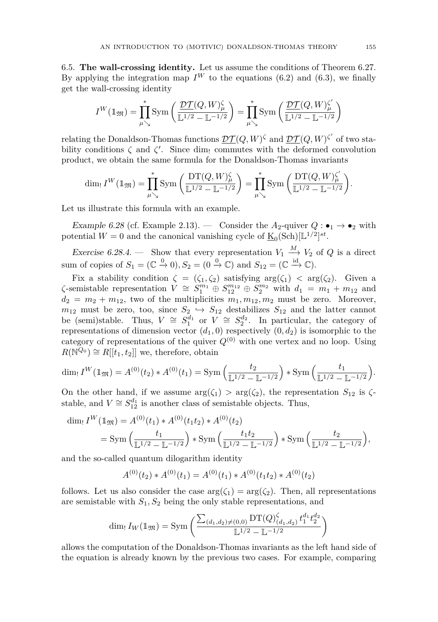<span id="page-55-0"></span>6.5. **The wall-crossing identity.** Let us assume the conditions of Theorem [6.27.](#page-54-0) By applying the integration map  $I^W$  to the equations [\(6.2\)](#page-53-1) and [\(6.3\)](#page-53-2), we finally get the wall-crossing identity

$$
I^W({1\hskip-2.5pt{\rm l}}_\mathfrak{M})=\prod_{\mu\searrow}^*\mathrm{Sym}\left(\frac{\mathcal{DT}(Q,W)^{\zeta}_\mu}{\mathbb{L}^{1/2}-\mathbb{L}^{-1/2}}\right)=\prod_{\mu\searrow}^*\mathrm{Sym}\left(\frac{\mathcal{DT}(Q,W)^{\zeta'}_\mu}{\mathbb{L}^{1/2}-\mathbb{L}^{-1/2}}\right)
$$

relating the Donaldson-Thomas functions  $\mathcal{DT}(Q, W)$ <sup> $\zeta$ </sup> and  $\mathcal{DT}(Q, W)$ <sup> $\zeta'$ </sup> of two stability conditions  $\zeta$  and  $\zeta'$ . Since dim<sub>!</sub> commutes with the deformed convolution product, we obtain the same formula for the Donaldson-Thomas invariants

$$
\dim_!I^W(\mathbb{1}_{\mathfrak{M}})=\prod_{\mu\searrow}^*\text{Sym}\left(\frac{\text{DT}(Q,W)^{\zeta}_{\mu}}{\mathbb{L}^{1/2}-\mathbb{L}^{-1/2}}\right)=\prod_{\mu\searrow}^*\text{Sym}\left(\frac{\text{DT}(Q,W)^{\zeta'}_{\mu}}{\mathbb{L}^{1/2}-\mathbb{L}^{-1/2}}\right).
$$

Let us illustrate this formula with an example.

Example 6.28 (cf. Example [2.13\)](#page-8-0). — Consider the  $A_2$ -quiver  $Q: \bullet_1 \to \bullet_2$  with potential  $W = 0$  and the canonical vanishing cycle of  $\underline{\mathrm{K}}_0(\mathrm{Sch})[\mathbb{L}^{1/2}]^{st}$ .

Exercise 6.28.4. — Show that every representation  $V_1 \stackrel{M}{\longrightarrow} V_2$  of *Q* is a direct sum of copies of  $S_1 = (\mathbb{C} \stackrel{0}{\to} 0), S_2 = (0 \stackrel{0}{\to} \mathbb{C})$  and  $S_{12} = (\mathbb{C} \stackrel{\text{id}}{\to} \mathbb{C})$ .

Fix a stability condition  $\zeta = (\zeta_1, \zeta_2)$  satisfying  $\arg(\zeta_1) < \arg(\zeta_2)$ . Given a  $\zeta$ -semistable representation  $V \cong S_{1}^{m_{1}} \oplus S_{12}^{m_{22}} \oplus S_{2}^{m_{2}}$  with  $d_{1} = m_{1} + m_{12}$  and  $d_2 = m_2 + m_{12}$ , two of the multiplicities  $m_1, m_{12}, m_2$  must be zero. Moreover,  $m_{12}$  must be zero, too, since  $S_2 \hookrightarrow S_{12}$  destabilizes  $S_{12}$  and the latter cannot be (semi)stable. Thus,  $V \cong S_1^{\overline{d}_1}$  or  $V \cong S_2^{d_2}$ . In particular, the category of representations of dimension vector  $(d_1, 0)$  respectively  $(0, d_2)$  is isomorphic to the category of representations of the quiver  $Q^{(0)}$  with one vertex and no loop. Using  $R(\mathbb{N}^{Q_0}) \cong R[[t_1, t_2]]$  we, therefore, obtain

$$
\dim_{!} I^{W}(\mathbb{1}_{\mathfrak{M}}) = A^{(0)}(t_2) * A^{(0)}(t_1) = \text{Sym}\left(\frac{t_2}{\mathbb{L}^{1/2} - \mathbb{L}^{-1/2}}\right) * \text{Sym}\left(\frac{t_1}{\mathbb{L}^{1/2} - \mathbb{L}^{-1/2}}\right).
$$

On the other hand, if we assume  $\arg(\zeta_1) > \arg(\zeta_2)$ , the representation  $S_{12}$  is  $\zeta$ stable, and  $V \cong S_{12}^{d_1}$  is another class of semistable objects. Thus,

$$
\dim_! I^W(\mathbb{1}_{\mathfrak{M}}) = A^{(0)}(t_1) * A^{(0)}(t_1 t_2) * A^{(0)}(t_2)
$$
  
= Sym  $\left(\frac{t_1}{\mathbb{L}^{1/2} - \mathbb{L}^{-1/2}}\right) * Sym \left(\frac{t_1 t_2}{\mathbb{L}^{1/2} - \mathbb{L}^{-1/2}}\right) * Sym \left(\frac{t_2}{\mathbb{L}^{1/2} - \mathbb{L}^{-1/2}}\right),$ 

and the so-called quantum dilogarithm identity

$$
A^{(0)}(t_2) * A^{(0)}(t_1) = A^{(0)}(t_1) * A^{(0)}(t_1 t_2) * A^{(0)}(t_2)
$$

follows. Let us also consider the case  $arg(\zeta_1) = arg(\zeta_2)$ . Then, all representations are semistable with *S*1*, S*<sup>2</sup> being the only stable representations, and

$$
\dim I_W(\mathbb{1}_{\mathfrak{M}}) = \text{Sym}\left(\frac{\sum_{(d_1,d_2)\neq(0,0)}\text{DT}(Q)_{(d_1,d_2)}^{\zeta}t_1^{d_1}t_2^{d_2}}{\mathbb{L}^{1/2}-\mathbb{L}^{-1/2}}\right)
$$

allows the computation of the Donaldson-Thomas invariants as the left hand side of the equation is already known by the previous two cases. For example, comparing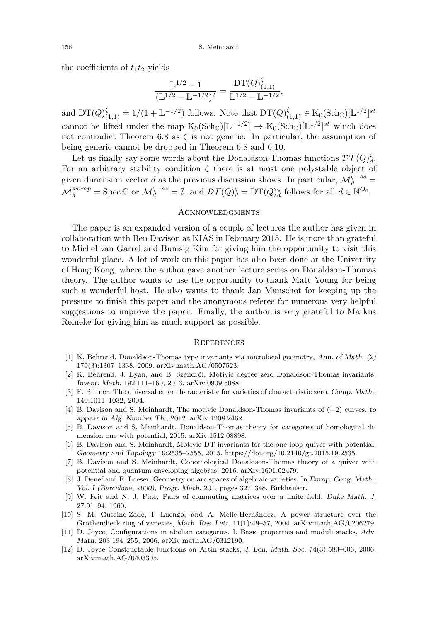the coefficients of  $t_1t_2$  yields

$$
\frac{\mathbb{L}^{1/2} - 1}{(\mathbb{L}^{1/2} - \mathbb{L}^{-1/2})^2} = \frac{\mathop{\text{DT}}(Q)_{(1,1)}^{\zeta}}{\mathbb{L}^{1/2} - \mathbb{L}^{-1/2}},
$$

and  $DT(Q)_{(1,1)}^{\zeta} = 1/(1 + L^{-1/2})$  follows. Note that  $DT(Q)_{(1,1)}^{\zeta} \in K_0(\text{Sch}_{\mathbb{C}})[L^{1/2}]^{st}$ cannot be lifted under the map  $K_0(\text{Sch}_{\mathbb{C}})[\mathbb{L}^{-1/2}] \to K_0(\text{Sch}_{\mathbb{C}})[\mathbb{L}^{1/2}]^{st}$  which does not contradict Theorem [6.8](#page-45-0) as  $\zeta$  is not generic. In particular, the assumption of being generic cannot be dropped in Theorem [6.8](#page-45-0) and [6.10.](#page-46-1)

Let us finally say some words about the Donaldson-Thomas functions  $\mathcal{DT}(Q)_{d}^{\zeta}$ . For an arbitrary stability condition  $\zeta$  there is at most one polystable object of given dimension vector *d* as the previous discussion shows. In particular,  $\mathcal{M}_d^{\zeta - ss}$  =  $\mathcal{M}_d^{ssimp} = \text{Spec } \mathbb{C} \text{ or } \mathcal{M}_d^{\zeta-ss} = \emptyset, \text{ and } \mathcal{DT}(Q)_d^{\zeta} = \text{DT}(Q)_d^{\zeta} \text{ follows for all } d \in \mathbb{N}^{\mathcal{Q}_0}.$ 

#### <span id="page-56-0"></span>**ACKNOWLEDGMENTS**

The paper is an expanded version of a couple of lectures the author has given in collaboration with Ben Davison at KIAS in February 2015. He is more than grateful to Michel van Garrel and Bumsig Kim for giving him the opportunity to visit this wonderful place. A lot of work on this paper has also been done at the University of Hong Kong, where the author gave another lecture series on Donaldson-Thomas theory. The author wants to use the opportunity to thank Matt Young for being such a wonderful host. He also wants to thank Jan Manschot for keeping up the pressure to finish this paper and the anonymous referee for numerous very helpful suggestions to improve the paper. Finally, the author is very grateful to Markus Reineke for giving him as much support as possible.

#### <span id="page-56-1"></span>**REFERENCES**

- <span id="page-56-2"></span>[1] K. Behrend, Donaldson-Thomas type invariants via microlocal geometry, Ann. of Math. (2) 170(3):1307–1338, 2009. arXiv:math.AG/0507523.
- <span id="page-56-5"></span>[2] K. Behrend, J. Byan, and B. Szendrői, Motivic degree zero Donaldson-Thomas invariants, Invent. Math. 192:111–160, 2013. arXiv:0909.5088.
- <span id="page-56-11"></span>[3] F. Bittner. The universal euler characteristic for varieties of characteristic zero. Comp. Math., 140:1011–1032, 2004.
- <span id="page-56-7"></span>[4] B. Davison and S. Meinhardt, The motivic Donaldson-Thomas invariants of (−2) curves, to appear in Alg. Number Th., 2012. arXiv:1208.2462.
- <span id="page-56-9"></span>[5] B. Davison and S. Meinhardt, Donaldson-Thomas theory for categories of homological dimension one with potential, 2015. arXiv:1512.08898.
- <span id="page-56-6"></span>[6] B. Davison and S. Meinhardt, Motivic DT-invariants for the one loop quiver with potential, Geometry and Topology 19:2535–2555, 2015. https://doi.org/10.2140/gt.2015.19.2535.
- <span id="page-56-8"></span>[7] B. Davison and S. Meinhardt, Cohomological Donaldson-Thomas theory of a quiver with potential and quantum enveloping algebras, 2016. arXiv:1601.02479.
- <span id="page-56-12"></span>[8] J. Denef and F. Loeser, Geometry on arc spaces of algebraic varieties, In Europ. Cong. Math., Vol. I (Barcelona, 2000), Progr. Math. 201, pages 327–348. Birkhäuser.
- <span id="page-56-13"></span>[9] W. Feit and N. J. Fine, Pairs of commuting matrices over a finite field, Duke Math. J. 27:91–94, 1960.
- <span id="page-56-10"></span>[10] S. M. Guseine-Zade, I. Luengo, and A. Melle-Hernández, A power structure over the Grothendieck ring of varieties, Math. Res. Lett. 11(1):49–57, 2004. arXiv:math.AG/0206279.
- <span id="page-56-3"></span>[11] D. Joyce, Configurations in abelian categories. I. Basic properties and moduli stacks, Adv. Math. 203:194–255, 2006. arXiv:math.AG/0312190.
- <span id="page-56-4"></span>[12] D. Joyce Constructable functions on Artin stacks, J. Lon. Math. Soc. 74(3):583–606, 2006. arXiv:math.AG/0403305.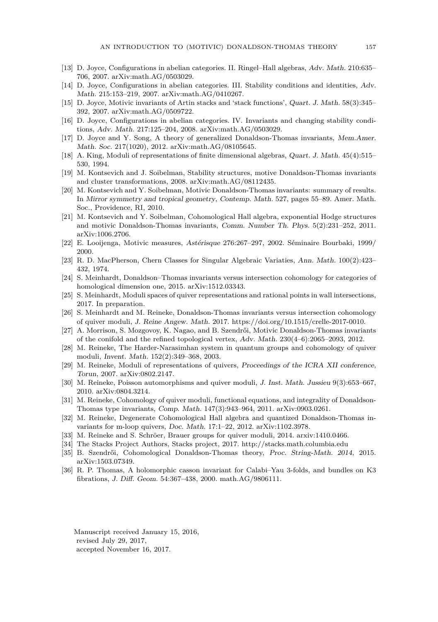- <span id="page-57-1"></span>[13] D. Joyce, Configurations in abelian categories. II. Ringel–Hall algebras, Adv. Math. 210:635– 706, 2007. arXiv:math.AG/0503029.
- <span id="page-57-2"></span>[14] D. Joyce, Configurations in abelian categories. III. Stability conditions and identities, Adv. Math. 215:153–219, 2007. arXiv:math.AG/0410267.
- <span id="page-57-3"></span>[15] D. Joyce, Motivic invariants of Artin stacks and 'stack functions', Quart. J. Math. 58(3):345– 392, 2007. arXiv:math.AG/0509722.
- <span id="page-57-4"></span>[16] D. Joyce, Configurations in abelian categories. IV. Invariants and changing stability conditions, Adv. Math. 217:125–204, 2008. arXiv:math.AG/0503029.
- <span id="page-57-5"></span>[17] D. Joyce and Y. Song, A theory of generalized Donaldson-Thomas invariants, Mem.Amer. Math. Soc. 217(1020), 2012. arXiv:math.AG/08105645.
- <span id="page-57-18"></span>[18] A. King, Moduli of representations of finite dimensional algebras, Quart. J. Math. 45(4):515– 530, 1994.
- <span id="page-57-6"></span>[19] M. Kontsevich and J. Soibelman, Stability structures, motive Donaldson-Thomas invariants and cluster transformations, 2008. arXiv:math.AG/08112435.
- <span id="page-57-8"></span>[20] M. Kontsevich and Y. Soibelman, Motivic Donaldson-Thomas invariants: summary of results. In Mirror symmetry and tropical geometry, Contemp. Math. 527, pages 55–89. Amer. Math. Soc., Providence, RI, 2010.
- <span id="page-57-7"></span>[21] M. Kontsevich and Y. Soibelman, Cohomological Hall algebra, exponential Hodge structures and motivic Donaldson-Thomas invariants, Comm. Number Th. Phys. 5(2):231–252, 2011. arXiv:1006.2706.
- <span id="page-57-22"></span>[22] E. Looijenga, Motivic measures, Astérisque 276:267–297, 2002. Séminaire Bourbaki, 1999/ 2000.
- <span id="page-57-21"></span>[23] R. D. MacPherson, Chern Classes for Singular Algebraic Variaties, Ann. Math. 100(2):423– 432, 1974.
- <span id="page-57-14"></span>[24] S. Meinhardt, Donaldson–Thomas invariants versus intersection cohomology for categories of homological dimension one, 2015. arXiv:1512.03343.
- <span id="page-57-17"></span>[25] S. Meinhardt, Moduli spaces of quiver representations and rational points in wall intersections, 2017. In preparation.
- <span id="page-57-13"></span>[26] S. Meinhardt and M. Reineke, Donaldson-Thomas invariants versus intersection cohomology of quiver moduli, J. Reine Angew. Math. 2017. https://doi.org/10.1515/crelle-2017-0010.
- <span id="page-57-12"></span>[27] A. Morrison, S. Mozgovoy, K. Nagao, and B. Szendrői, Motivic Donaldson-Thomas invariants of the conifold and the refined topological vertex, Adv. Math. 230(4–6):2065–2093, 2012.
- <span id="page-57-23"></span>[28] M. Reineke, The Harder-Narasimhan system in quantum groups and cohomology of quiver moduli, Invent. Math. 152(2):349–368, 2003.
- <span id="page-57-19"></span>[29] M. Reineke, Moduli of representations of quivers, Proceedings of the ICRA XII conference, Torun, 2007. arXiv:0802.2147.
- <span id="page-57-9"></span>[30] M. Reineke, Poisson automorphisms and quiver moduli, J. Inst. Math. Jussieu 9(3):653–667, 2010. arXiv:0804.3214.
- <span id="page-57-10"></span>[31] M. Reineke, Cohomology of quiver moduli, functional equations, and integrality of Donaldson-Thomas type invariants, Comp. Math. 147(3):943–964, 2011. arXiv:0903.0261.
- <span id="page-57-11"></span>[32] M. Reineke, Degenerate Cohomological Hall algebra and quantized Donaldson-Thomas invariants for m-loop quivers, Doc. Math. 17:1–22, 2012. arXiv:1102.3978.
- <span id="page-57-20"></span>[33] M. Reineke and S. Schröer, Brauer groups for quiver moduli, 2014. arxiv:1410.0466.
- <span id="page-57-16"></span>[34] The Stacks Project Authors, Stacks project, 2017. http://stacks.math.columbia.edu
- <span id="page-57-15"></span>[35] B. Szendrői, Cohomological Donaldson-Thomas theory, Proc. String-Math. 2014, 2015. arXiv:1503.07349.
- <span id="page-57-0"></span>[36] R. P. Thomas, A holomorphic casson invariant for Calabi–Yau 3-folds, and bundles on K3 fibrations, J. Diff. Geom. 54:367–438, 2000. math.AG/9806111.

Manuscript received January 15, 2016, revised July 29, 2017, accepted November 16, 2017.